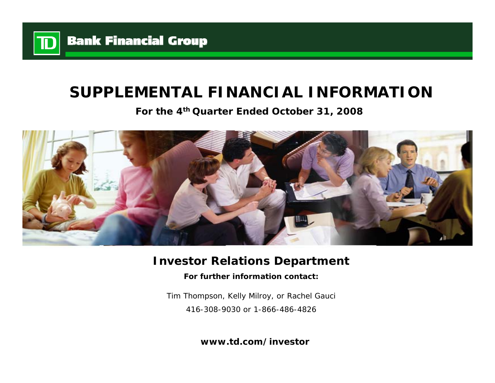

# **SUPPLEMENTAL FINANCIAL INFORMATION**

**For the 4th Quarter Ended October 31, 2008**



# **Investor Relations Department**

**For further information contact:**

Tim Thompson, Kelly Milroy, or Rachel Gauci 416-308-9030 or 1-866-486-4826

**www.td.com/investor**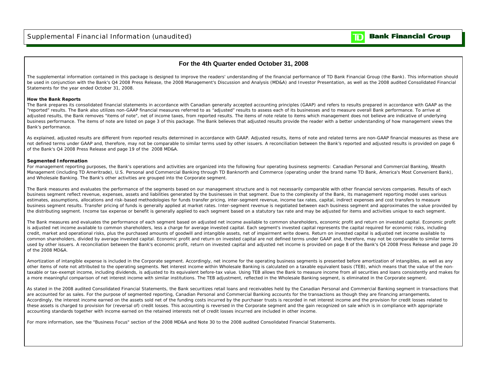

### **For the 4th Quarter ended October 31, 2008**

The supplemental information contained in this package is designed to improve the readers' understanding of the financial performance of TD Bank Financial Group (the Bank). This information should be used in conjunction with the Bank's Q4 2008 Press Release, the 2008 Management's Discussion and Analysis (MD&A) and Investor Presentation, as well as the 2008 audited Consolidated Financial Statements for the year ended October 31, 2008.

### **How the Bank Reports**

The Bank prepares its consolidated financial statements in accordance with Canadian generally accepted accounting principles (GAAP) and refers to results prepared in accordance with GAAP as the "reported" results. The Bank also utilizes non-GAAP financial measures referred to as "adjusted" results to assess each of its businesses and to measure overall Bank performance. To arrive at adjusted results, the Bank removes "items of note", net of income taxes, from reported results. The items of note relate to items which management does not believe are indicative of underlying business performance. The items of note are listed on page 3 of this package. The Bank believes that adjusted results provide the reader with a better understanding of how management views the Bank's performance.

As explained, adjusted results are different from reported results determined in accordance with GAAP. Adjusted results, items of note and related terms are non-GAAP financial measures as these are not defined terms under GAAP and, therefore, may not be comparable to similar terms used by other issuers. A reconciliation between the Bank's reported and adjusted results is provided on page 6 of the Bank's Q4 2008 Press Release and page 19 of the 2008 MD&A.

### **Segmented Information**

For management reporting purposes, the Bank's operations and activities are organized into the following four operating business segments: Canadian Personal and Commercial Banking, Wealth Management (including TD Ameritrade), U.S. Personal and Commercial Banking through TD Banknorth and Commerce (operating under the brand name TD Bank, America's Most Convenient Bank), and Wholesale Banking. The Bank's other activities are grouped into the Corporate segment.

The Bank measures and evaluates the performance of the segments based on our management structure and is not necessarily comparable with other financial services companies. Results of each business segment reflect revenue, expenses, assets and liabilities generated by the businesses in that segment. Due to the complexity of the Bank, its management reporting model uses various estimates, assumptions, allocations and risk-based methodologies for funds transfer pricing, inter-segment revenue, income tax rates, capital, indirect expenses and cost transfers to measure business segment results. Transfer pricing of funds is generally applied at market rates. Inter-segment revenue is negotiated between each business segment and approximates the value provided by the distributing segment. Income tax expense or benefit is generally applied to each segment based on a statutory tax rate and may be adjusted for items and activities unique to each segment.

The Bank measures and evaluates the performance of each segment based on adjusted net income available to common shareholders, economic profit and return on invested capital. Economic profit is adjusted net income available to common shareholders, less a charge for average invested capital. Each segment's invested capital represents the capital required for economic risks, including credit, market and operational risks, plus the purchased amounts of goodwill and intangible assets, net of impairment write downs. Return on invested capital is adjusted net income available to common shareholders, divided by average invested capital. Economic profit and return on invested capital are not defined terms under GAAP and, therefore, may not be comparable to similar terms used by other issuers. A reconciliation between the Bank's economic profit, return on invested capital and adjusted net income is provided on page 8 of the Bank's Q4 2008 Press Release and page 20 of the 2008 MD&A.

Amortization of intangible expense is included in the Corporate segment. Accordingly, net income for the operating business segments is presented before amortization of intangibles, as well as any other items of note not attributed to the operating segments. Net interest income within Wholesale Banking is calculated on a taxable equivalent basis (TEB), which means that the value of the nontaxable or tax-exempt income, including dividends, is adjusted to its equivalent before-tax value. Using TEB allows the Bank to measure income from all securities and loans consistently and makes for a more meaningful comparison of net interest income with similar institutions. The TEB adjustment, reflected in the Wholesale Banking segment, is eliminated in the Corporate segment.

As stated in the 2008 audited Consolidated Financial Statements, the Bank securitizes retail loans and receivables held by the Canadian Personal and Commercial Banking segment in transactions that are accounted for as sales. For the purpose of segmented reporting, Canadian Personal and Commercial Banking accounts for the transactions as though they are financing arrangements. Accordingly, the interest income earned on the assets sold net of the funding costs incurred by the purchaser trusts is recorded in net interest income and the provision for credit losses related to these assets is charged to provision for (reversal of) credit losses. This accounting is reversed in the Corporate segment and the gain recognized on sale which is in compliance with appropriate accounting standards together with income earned on the retained interests net of credit losses incurred are included in other income.

For more information, see the "Business Focus" section of the 2008 MD&A and Note 30 to the 2008 audited Consolidated Financial Statements.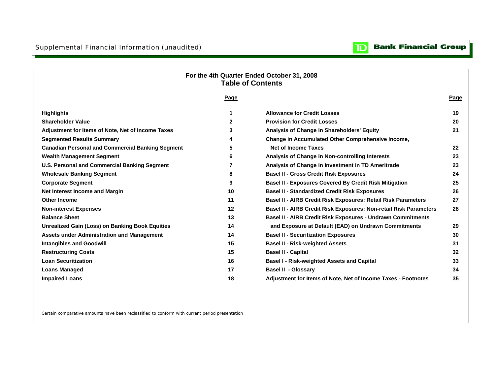#### **Bank Financial Group**  $\mathbf{D}$

## **For the 4th Quarter Ended October 31, 2008 Table of Contents**

|                                                         | <u>Page</u> |                                                                   | <b>Page</b>     |
|---------------------------------------------------------|-------------|-------------------------------------------------------------------|-----------------|
| <b>Highlights</b>                                       |             | <b>Allowance for Credit Losses</b>                                | 19              |
| <b>Shareholder Value</b>                                | 2           | <b>Provision for Credit Losses</b>                                | 20              |
| Adjustment for Items of Note, Net of Income Taxes       | 3           | Analysis of Change in Shareholders' Equity                        | 21              |
| <b>Segmented Results Summary</b>                        | 4           | Change in Accumulated Other Comprehensive Income,                 |                 |
| <b>Canadian Personal and Commercial Banking Segment</b> | 5           | <b>Net of Income Taxes</b>                                        | 22              |
| <b>Wealth Management Segment</b>                        | 6           | Analysis of Change in Non-controlling Interests                   | 23              |
| <b>U.S. Personal and Commercial Banking Segment</b>     |             | Analysis of Change in Investment in TD Ameritrade                 | 23              |
| <b>Wholesale Banking Segment</b>                        | 8           | <b>Basel II - Gross Credit Risk Exposures</b>                     | 24              |
| <b>Corporate Segment</b>                                | 9           | <b>Basel II - Exposures Covered By Credit Risk Mitigation</b>     | 25              |
| Net Interest Income and Margin                          | 10          | <b>Basel II - Standardized Credit Risk Exposures</b>              | 26              |
| <b>Other Income</b>                                     | 11          | Basel II - AIRB Credit Risk Exposures: Retail Risk Parameters     | 27              |
| <b>Non-interest Expenses</b>                            | 12          | Basel II - AIRB Credit Risk Exposures: Non-retail Risk Parameters | 28              |
| <b>Balance Sheet</b>                                    | 13          | Basel II - AIRB Credit Risk Exposures - Undrawn Commitments       |                 |
| <b>Unrealized Gain (Loss) on Banking Book Equities</b>  | 14          | and Exposure at Default (EAD) on Undrawn Commitments              | 29              |
| <b>Assets under Administration and Management</b>       | 14          | <b>Basel II - Securitization Exposures</b>                        | 30              |
| <b>Intangibles and Goodwill</b>                         | 15          | <b>Basel II - Risk-weighted Assets</b>                            | 31              |
| <b>Restructuring Costs</b>                              | 15          | <b>Basel II - Capital</b>                                         | $32\phantom{a}$ |
| <b>Loan Securitization</b>                              | 16          | <b>Basel I - Risk-weighted Assets and Capital</b>                 | 33              |
| <b>Loans Managed</b>                                    | 17          | <b>Basel II - Glossary</b>                                        | 34              |
| <b>Impaired Loans</b>                                   | 18          | Adjustment for Items of Note, Net of Income Taxes - Footnotes     | 35              |
|                                                         |             |                                                                   |                 |

Certain comparative amounts have been reclassified to conform with current period presentation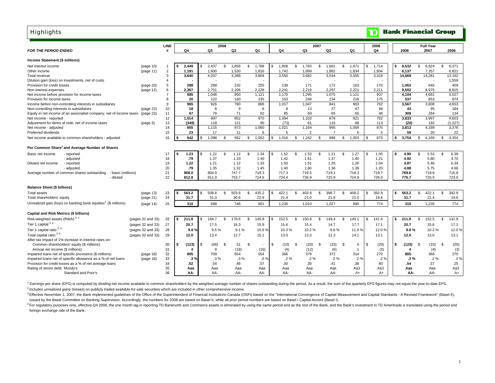| <b>Highlights</b>                                                          |                   |                |             |     |            |      |            |                |                          |                |       |                |                          |                |                |              |    | $\mathbb T$            |      | <b>Bank Financial Group</b> |              |                          |               |         |
|----------------------------------------------------------------------------|-------------------|----------------|-------------|-----|------------|------|------------|----------------|--------------------------|----------------|-------|----------------|--------------------------|----------------|----------------|--------------|----|------------------------|------|-----------------------------|--------------|--------------------------|---------------|---------|
| <b>FOR THE PERIOD ENDED</b>                                                |                   | LINE<br>#      | Q4          |     | Q3         | 2008 | Q2         |                | Q <sub>1</sub>           |                | Q4    |                | Q3                       | 2007           | Q2             | Q1           |    | 2006<br>Q <sub>4</sub> |      | 2008                        |              | <b>Full Year</b><br>2007 |               | 2006    |
| Income Statement (\$ millions)                                             |                   |                |             |     |            |      |            |                |                          |                |       |                |                          |                |                |              |    |                        |      |                             |              |                          |               |         |
| Net interest income                                                        | (page 10)         | $\overline{1}$ | 2,449       |     | 2.437      | \$   | 1,858      | \$             | 1.788                    | $\mathfrak{s}$ | 1,808 | \$             | 1.783                    | \$             | 1,662          | \$<br>1,671  | \$ | 1,714                  | Ŝ.   | 8.532                       | s.           | 6,924                    | \$            | 6,371   |
| Other income                                                               | (page 11)         | $\overline{2}$ | 1,191       |     | 1,600      |      | 1,530      |                | 1,816                    |                | 1,742 |                | 1,899                    |                | 1,882          | 1,834        |    | 1,604                  |      | 6,137                       |              | 7,357                    |               | 6,821   |
| Total revenue                                                              |                   | 3              | 3,640       |     | 4,037      |      | 3,388      |                | 3,604                    |                | 3,550 |                | 3,682                    |                | 3,544          | 3,505        |    | 3,318                  |      | 14,669                      |              | 14,281                   |               | 13,192  |
| Dilution gain (loss) on investments, net of costs                          |                   | $\overline{4}$ |             |     |            |      |            |                |                          |                |       |                | $\overline{\phantom{a}}$ |                |                |              |    |                        |      |                             |              |                          |               | 1,559   |
| Provision for credit losses                                                | (page 20)         | 5              | 288         |     | 288        |      | 232        |                | 255                      |                | 139   |                | 171                      |                | 172            | 163          |    | 170                    |      | 1.063                       |              | 645                      |               | 409     |
| Non-interest expenses                                                      | (page 12)         | 6              | 2,367       |     | 2,701      |      | 2.206      |                | 2.228                    |                | 2.241 |                | 2,216                    |                | 2.297          | 2,221        |    | 2,211                  |      | 9.502                       |              | 8.975                    |               | 8,815   |
| Net income before provision for income taxes                               |                   | $\overline{7}$ | 985         |     | 1,048      |      | 950        |                | 1,121                    |                | 1,170 |                | 1,295                    |                | 1,075          | 1,121        |    | 937                    |      | 4,104                       |              | 4,661                    |               | 5,527   |
| Provision for income taxes                                                 |                   | 8              | 20          |     | 122        |      | 160        |                | 235                      |                | 153   |                | 248                      |                | 234            | 218          |    | 175                    |      | 537                         |              | 853                      |               | 874     |
| Income before non-controlling interests in subsidiaries                    |                   | 9              | 965         |     | 926        |      | 790        |                | 886                      |                | 1,017 |                | 1,047                    |                | 841            | 903          |    | 762                    |      | 3,567                       |              | 3,808                    |               | 4,653   |
| Non-controlling interests in subsidiaries                                  | (page 23)         | 10             | 18          |     | 8          |      | 9          |                | 8                        |                | 8     |                | 13                       |                | 27             | 47           |    | 48                     |      | 43                          |              | 95                       |               | 184     |
| Equity in net income of an associated company, net of income taxes         | (page 23)         | 11             | 67          |     | 79         |      | 71         |                | 92                       |                | 85    |                | 69                       |                | 65             | 65           |    | 48                     |      | 309                         |              | 284                      |               | 134     |
| Net income - reported                                                      |                   | 12             | 1.014       |     | 997        |      | 852        |                | 970                      |                | 1,094 |                | 1,103                    |                | 879            | 921          |    | 762                    |      | 3.833                       |              | 3.997                    |               | 4.603   |
| Adjustment for items of note, net of income taxes                          | (page 3)          | 13             | (349)       |     | 118        |      | 121        |                | 90                       |                | (73)  |                | 61                       |                | 116            | 88           |    | 113                    |      | (20)                        |              | 192                      |               | (1,227) |
| Net income - adjusted                                                      |                   | 14             | 665         |     | 1,115      |      | 973        |                | 1,060                    |                | 1,021 |                | 1,164                    |                | 995            | 1,009        |    | 875                    |      | 3,813                       |              | 4,189                    |               | 3,376   |
| Preferred dividends                                                        |                   | 15             | 23          |     | 17         |      | 11         |                | 8                        |                | 5     |                | $\overline{2}$           |                | $\overline{7}$ | 6            |    | 5                      |      | 59                          |              | 20                       |               | 22      |
| Net income available to common shareholders - adjusted                     |                   | 16             | 642         |     | 1,098      | \$   | 962        | \$             | 1,052                    | \$             | 1,016 | \$             | 1,162                    | $\mathfrak{L}$ | 988            | \$<br>1,003  |    | 870                    | \$   | 3,754                       | \$           | 4,169                    | \$            | 3,354   |
| Per Common Share <sup>1</sup> and Average Number of Shares                 |                   |                |             |     |            |      |            |                |                          |                |       |                |                          |                |                |              |    |                        |      |                             |              |                          |               |         |
| Basic net income<br>- reported                                             |                   | 17             | 1.23        | \$  | 1.22       | S.   | 1.12       | $\mathfrak{L}$ | 1.34                     | \$             | 1.52  | $\mathfrak{L}$ | 1.53                     | $\mathbf{\$}$  | 1.21           | \$<br>1.27   | £. | 1.05                   | -S   | 4.90                        | \$           | 5.53                     | $\mathbf{\$}$ | 6.39    |
| - adjusted                                                                 |                   | 18             | .79         |     | 1.37       |      | 1.33       |                | 1.46                     |                | 1.42  |                | 1.61                     |                | 1.37           | 1.40         |    | 1.21                   |      | 4.92                        |              | 5.80                     |               | 4.70    |
| Diluted net income<br>- reported                                           |                   | 19             | 1.22        |     | 1.21       |      | 1.12       |                | 1.33                     |                | 1.50  |                | 1.51                     |                | 1.20           | 1.26         |    | 1.04                   |      | 4.87                        |              | 5.48                     |               | 6.34    |
| - adjusted                                                                 |                   | 20             | .79         |     | 1.35       |      | 1.32       |                | 1.45                     |                | 1.40  |                | 1.60                     |                | 1.36           | 1.38         |    | 1.20                   |      | 4.88                        |              | 5.75                     |               | 4.66    |
| Average number of common shares outstanding<br>basic (millions)            |                   | 21             | 808.0       |     | 804.0      |      | 747.7      |                | 718.3                    |                | 717.3 |                | 719.5                    |                | 719.1          | 718.3        |    | 719.7                  |      | 769.6                       |              | 718.6                    |               | 716.8   |
| - diluted                                                                  |                   | 22             | 812.8       |     | 811.0      |      | 753.7      |                | 724.6                    |                | 724.4 |                | 726.9                    |                | 725.9          | 724.9        |    | 726.0                  |      | 775.7                       |              | 725.5                    |               | 723.0   |
| <b>Balance Sheet (\$ billions)</b>                                         |                   |                |             |     |            |      |            |                |                          |                |       |                |                          |                |                |              |    |                        |      |                             |              |                          |               |         |
| <b>Total assets</b>                                                        | (page 13)         | 23             | \$<br>563.2 | \$. | 508.8      | \$   | 503.6      | \$             | 435.2                    | \$             | 422.1 | \$             | 403.9                    | \$             | 396.7          | \$<br>408.2  | \$ | 392.9                  | -S.  | 563.2                       | \$           | 422.1                    | \$            | 392.9   |
| Total shareholders' equity                                                 | (page 21)         | 24             | 31.7        |     | 31.3       |      | 30.6       |                | 22.9                     |                | 21.4  |                | 21.0                     |                | 21.8           | 21.0         |    | 19.6                   |      | 31.7                        |              | 21.4                     |               | 19.6    |
| Unrealized gain (loss) on banking book equities <sup>2</sup> (\$ millions) | (page 14)         | 25             | 310         |     | 698        |      | 746        |                | 901                      |                | 1.236 |                | 1,010                    |                | 1,027          | 990          |    | 774                    |      | 310                         |              | 1.236                    |               | 774     |
|                                                                            |                   |                |             |     |            |      |            |                |                          |                |       |                |                          |                |                |              |    |                        |      |                             |              |                          |               |         |
| Capital and Risk Metrics (\$ billions)                                     |                   |                |             |     |            |      |            |                |                          |                |       |                |                          |                |                |              |    |                        |      |                             |              |                          |               |         |
| Risk-weighted assets (RWA) <sup>3,4</sup>                                  | (pages 31 and 33) | 26             | \$<br>211.8 | S.  | 184.7      | s.   | 178.6      | S.             | 145.9                    | \$             | 152.5 | - \$           | 150.8                    | \$             | 149.4          | \$<br>149.1  | S. | 141.9                  | s.   | 211.8                       | s.           | 152.5                    | \$            | 141.9   |
| Tier 1 capital 3, 4                                                        | (pages 32 and 33) | 27             | 20.7        |     | 17.5       |      | 16.3       |                | 15.9                     |                | 15.6  |                | 15.4                     |                | 14.7           | 17.7         |    | 17.1                   |      | 20.7                        |              | 15.6                     |               | 17.1    |
| Tier 1 capital ratio <sup>3, 4</sup>                                       | (pages 32 and 33) | 28             | 9.8%        |     | 9.5%       |      | 9.1%       |                | 10.9%                    |                | 10.3% |                | 10.2%                    |                | 9.8%           | 11.9%        |    | 12.0%                  |      | 9.8%                        |              | 10.3%                    |               | 12.0%   |
| Total capital ratio 3, 4                                                   | (pages 32 and 33) | 29             | 12.0        |     | 13.4       |      | 12.7       |                | 15.1                     |                | 13.0  |                | 13.3                     |                | 12.3           | 14.1         |    | 13.1                   |      | 12.0                        |              | 13.0                     |               | 13.1    |
| After-tax impact of 1% increase in interest rates on:                      |                   |                |             |     |            |      |            |                |                          |                |       |                |                          |                |                |              |    |                        |      |                             |              |                          |               |         |
| Common shareholders' equity (\$ millions)                                  |                   | 30             | \$<br>(123) | \$. | (66)       | \$   | 51         | Ŝ.             | $\overline{\phantom{a}}$ | \$             | (10)  | \$             | (20)                     | <sub>S</sub>   | (33)           | \$<br>5      | \$ | (20)                   | l \$ | (123)                       | <sup>S</sup> | (10)                     | - \$          | (20)    |
| Annual net income (\$ millions)                                            |                   | 31             |             |     | 9          |      | (18)       |                | (16)                     |                | (4)   |                | (12)                     |                | (6)            | $\mathbf{1}$ |    | (3)                    |      | 4                           |              | (4)                      |               | (3)     |
| Impaired loans net of specific provisions (\$ millions)                    | (page 18)         | 32             | 805         |     | 709        |      | 654        |                | 554                      |                | 366   |                | 379                      |                | 372            | 314          |    | 270                    |      | 805                         |              | 366                      |               | 270     |
| Impaired loans net of specific allowance as a % of net loans               | (page 18)         | 33             | .3%         |     | $.3\%$     |      | .3%        |                | .3%                      |                | .2%   |                | $.2\%$                   |                | $.2\%$         | $.2\%$       |    | .2%                    |      | .3%                         |              | $.2\%$                   |               | .2%     |
| Provision for credit losses as a % of net average loans                    |                   | 34             | .52         |     | .54        |      | .49        |                | .57                      |                | .30   |                | .39                      |                | .41            | .38          |    | .40                    |      | .54                         |              | .37                      |               | .25     |
| Rating of senior debt: Moody's                                             |                   | 35<br>36       | Aaa         |     | Aaa<br>AA- |      | Aaa<br>AA- |                | Aaa                      |                | Aaa   |                | Aaa                      |                | Aaa            | Aa3          |    | Aa3                    |      | Aaa                         |              | Aaa<br>AA-               |               | Aa3     |
| Standard and Poor's                                                        |                   |                | AA-         |     |            |      |            |                | AA-                      |                | AA-   |                | AA-                      |                | AA-            | $A+$         |    | $A+$                   |      | AA-                         |              |                          |               | A+      |

<sup>1</sup> Earnings per share (EPS) is computed by dividing net income available to common shareholders by the weighted average number of shares outstanding during the period. As a result, the sum of the quarterly EPS figures may

<sup>2</sup> Includes unrealized gains (losses) on publicly traded available-for-sale securities which are included in other comprehensive income.

3 Effective November 1, 2007, the Bank implemented guidelines of the Office of the Superintendent of Financial Institutions Canada (OSFI) based on the "International Convergence of Capital Measurement and Capital Standards issued by the Basel Committee on Banking Supervision. Accordingly, the numbers for 2008 are based on Basel II, while all prior period numbers are based on Basel I Capital Accord (Basel I).

<sup>4</sup> For regulatory purposes only, effective Q4 2008, the one month lag in reporting TD Banknorth and Commerce assets is eliminated by using the same period end as the rest of the Bank, and the Bank's investment in TD Ameri foreign exchange rate of the Bank.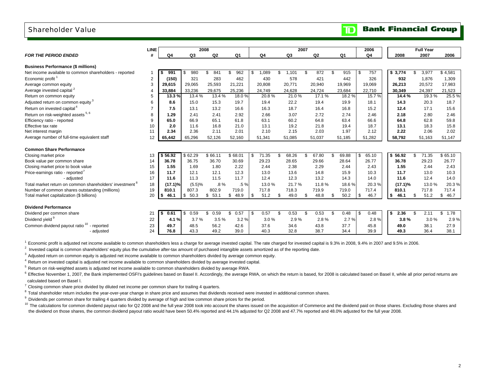### Shareholder Value

|                                                                     | <b>LINE</b>    |            | 2008       |            |                |             |     | 2007   |     |        |    |                | 2006        |      |         | <b>Full Year</b> |            |
|---------------------------------------------------------------------|----------------|------------|------------|------------|----------------|-------------|-----|--------|-----|--------|----|----------------|-------------|------|---------|------------------|------------|
| <b>FOR THE PERIOD ENDED</b>                                         | #              | Q4         | Q3         | Q2         | Q <sub>1</sub> | Q4          |     | Q3     |     | Q2     |    | Q <sub>1</sub> | Q4          |      | 2008    | 2007             | 2006       |
| <b>Business Performance (\$ millions)</b>                           |                |            |            |            |                |             |     |        |     |        |    |                |             |      |         |                  |            |
| Net income available to common shareholders - reported              |                | 991<br>S   | 980<br>S.  | 841<br>\$  | 962<br>\$      | \$<br>1,089 | \$  | 1.101  | \$. | 872    | £. | 915            | \$<br>757   |      | \$3,774 | \$<br>3,977      | \$4,581    |
| Economic profit <sup>1</sup>                                        | $\overline{2}$ | (150)      | 321        | 283        | 462            | 430         |     | 578    |     | 421    |    | 442            | 326         |      | 932     | 1.876            | 1,309      |
| Average common equity                                               | 3              | 29,615     | 29,065     | 25,593     | 21,221         | 20,808      |     | 20,771 |     | 20,940 |    | 19,969         | 19,069      |      | 26,213  | 20,572           | 17,983     |
| Average invested capital <sup>2</sup>                               |                | 33.884     | 33.236     | 29.675     | 25.236         | 24.749      |     | 24.628 |     | 24.724 |    | 23,684         | 22,710      |      | 30.349  | 24.397           | 21,523     |
| Return on common equity                                             | 5              | 13.3%      | 13.4 %     | 13.4 %     | 18.0%          | 20.8%       |     | 21.0%  |     | 17.1 % |    | 18.2%          | 15.7%       |      | 14.4 %  | 19.3%            | 25.5%      |
| Adjusted return on common equity <sup>3</sup>                       | 6              | 8.6        | 15.0       | 15.3       | 19.7           | 19.4        |     | 22.2   |     | 19.4   |    | 19.9           | 18.1        |      | 14.3    | 20.3             | 18.7       |
| Return on invested capital <sup>4</sup>                             |                | 7.5        | 13.1       | 13.2       | 16.6           | 16.3        |     | 18.7   |     | 16.4   |    | 16.8           | 15.2        |      | 12.4    | 17.1             | 15.6       |
| Return on risk-weighted assets 5, 6                                 | 8              | 1.29       | 2.41       | 2.41       | 2.92           | 2.66        |     | 3.07   |     | 2.72   |    | 2.74           | 2.46        |      | 2.18    | 2.80             | 2.46       |
| Efficiency ratio - reported                                         | 9              | 65.0       | 66.9       | 65.1       | 61.8           | 63.1        |     | 60.2   |     | 64.8   |    | 63.4           | 66.6        |      | 64.8    | 62.8             | 59.8       |
| Effective tax rate                                                  | 10             | 2.0        | 11.6       | 16.8       | 21.0           | 13.1        |     | 19.2   |     | 21.8   |    | 19.4           | 18.7        |      | 13.1    | 18.3             | 15.8       |
| Net interest margin                                                 | 11             | 2.34       | 2.36       | 2.11       | 2.01           | 2.10        |     | 2.15   |     | 2.03   |    | 1.97           | 2.12        |      | 2.22    | 2.06             | 2.02       |
| Average number of full-time equivalent staff                        | 12             | 65.442     | 65,296     | 52,126     | 52,160         | 51.341      |     | 51,085 |     | 51,037 |    | 51,185         | 51.282      |      | 58,792  | 51,163           | 51,147     |
|                                                                     |                |            |            |            |                |             |     |        |     |        |    |                |             |      |         |                  |            |
| <b>Common Share Performance</b>                                     |                |            |            |            |                |             |     |        |     |        |    |                |             |      |         |                  |            |
| Closing market price                                                | 13             | \$56.92    | \$62.29    | \$66.11    | \$68.01        | \$<br>71.35 | -S  | 68.26  | \$  | 67.80  |    | 69.88          | \$<br>65.10 | - \$ | 56.92   | \$<br>71.35      | \$65.10    |
| Book value per common share                                         | 14             | 36.78      | 36.75      | 36.70      | 30.69          | 29.23       |     | 28.65  |     | 29.66  |    | 28.64          | 26.77       |      | 36.78   | 29.23            | 26.77      |
| Closing market price to book value                                  | 15             | 1.55       | 1.69       | 1.80       | 2.22           | 2.44        |     | 2.38   |     | 2.29   |    | 2.44           | 2.43        |      | 1.55    | 2.44             | 2.43       |
| Price-earnings ratio - reported                                     | 16             | 11.7       | 12.1       | 12.1       | 12.3           | 13.0        |     | 13.6   |     | 14.8   |    | 15.9           | 10.3        |      | 11.7    | 13.0             | 10.3       |
| - adjusted                                                          | 17             | 11.6       | 11.3       | 11.5       | 11.7           | 12.4        |     | 12.3   |     | 13.2   |    | 14.3           | 14.0        |      | 11.6    | 12.4             | 14.0       |
| Total market return on common shareholders' investment <sup>8</sup> | 18             | (17.1)%    | (5.5)%     | $.8\%$     | $.5\%$         | 13.0 %      |     | 21.7%  |     | 11.8%  |    | 18.6%          | 20.3%       |      | (17.1)% | 13.0%            | 20.3%      |
| Number of common shares outstanding (millions)                      | 19             | 810.1      | 807.3      | 802.9      | 719.0          | 717.8       |     | 718.3  |     | 719.9  |    | 719.0          | 717.4       |      | 810.1   | 717.8            | 717.4      |
| Total market capitalization (\$ billions)                           | 20             | 46.1<br>\$ | 50.3<br>\$ | \$<br>53.1 | 48.9<br>\$     | \$<br>51.2  | -S  | 49.0   | \$  | 48.8   | £. | 50.2           | \$<br>46.7  | S    | 46.1    | \$<br>51.2       | 46.7<br>\$ |
|                                                                     |                |            |            |            |                |             |     |        |     |        |    |                |             |      |         |                  |            |
| <b>Dividend Performance</b>                                         |                |            |            |            |                |             |     |        |     |        |    |                |             |      |         |                  |            |
| Dividend per common share                                           | 21             | 0.61<br>\$ | 0.59<br>\$ | 0.59<br>\$ | \$<br>0.57     | \$<br>0.57  | -\$ | 0.53   | \$  | 0.53   | \$ | 0.48           | \$<br>0.48  | - \$ | 2.36    | \$<br>2.11       | 1.78<br>\$ |
| Dividend yield 9                                                    | 22             | 4.1%       | 3.7%       | 3.5%       | 3.2%           | 3.0%        |     | 2.9%   |     | 2.8%   |    | 2.7%           | 2.8%        |      | 3.8%    | 3.0%             | 2.9%       |
| Common dividend payout ratio <sup>10</sup> - reported               | 23             | 49.7       | 48.5       | 56.2       | 42.6           | 37.6        |     | 34.6   |     | 43.8   |    | 37.7           | 45.8        |      | 49.0    | 38.1             | 27.9       |
| - adjusted                                                          | 24             | 76.8       | 43.3       | 49.2       | 39.0           | 40.3        |     | 32.8   |     | 38.7   |    | 34.4           | 39.9        |      | 49.3    | 36.4             | 38.1       |
|                                                                     |                |            |            |            |                |             |     |        |     |        |    |                |             |      |         |                  |            |

<sup>1</sup> Economic profit is adjusted net income available to common shareholders less a charge for average invested capital. The rate charged for invested capital is 9.3% in 2008, 9.4% in 2007 and 9.5% in 2006.

 $2$  Invested capital is common shareholders' equity plus the cumulative after-tax amount of purchased intangible assets amortized as of the reporting date.

 $3$  Adjusted return on common equity is adjusted net income available to common shareholders divided by average common equity.

4 Return on invested capital is adjusted net income available to common shareholders divided by average invested capital.

 $5$  Return on risk-weighted assets is adjusted net income available to common shareholders divided by average RWA.

 $6$  Effective November 1, 2007, the Bank implemented OSFI's quidelines based on Basel II. Accordingly, the average RWA, on which the return is based, for 2008 is calculated based on Basel II, while all prior period return calculated based on Basel I.

 $7$  Closing common share price divided by diluted net income per common share for trailing 4 quarters.

 $8$  Total shareholder return includes the year-over-year change in share price and assumes that dividends received were invested in additional common shares.

9 Dividends per common share for trailing 4 quarters divided by average of high and low common share prices for the period.

<sup>10</sup> The calculations for common dividend payout ratio for Q2 2008 and the full year 2008 took into account the shares issued on the acquisition of Commerce and the dividend paid on those shares. Excluding those shares and the dividend on those shares, the common dividend payout ratio would have been 50.4% reported and 44.1% adjusted for Q2 2008 and 47.7% reported and 48.0% adjusted for the full year 2008.

#### **Bank Financial Group**  $\mathbf{D}$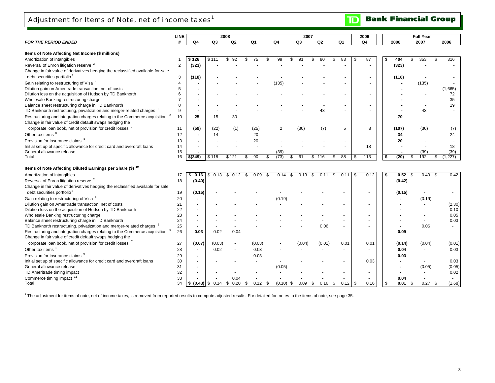## Adjustment for Items of Note, net of income taxes $^1$

| <b>FOR THE PERIOD ENDED</b>                                                                                                            | <b>LINE</b><br># | Q4                  | Q3         | 2008<br>Q2               | Q1        |      | Q4          | 2007<br>Q3  | Q <sub>2</sub> | Q1         |     | 2006<br>Q4 | 2008        |                   | <b>Full Year</b><br>2007 | 2006          |
|----------------------------------------------------------------------------------------------------------------------------------------|------------------|---------------------|------------|--------------------------|-----------|------|-------------|-------------|----------------|------------|-----|------------|-------------|-------------------|--------------------------|---------------|
|                                                                                                                                        |                  |                     |            |                          |           |      |             |             |                |            |     |            |             |                   |                          |               |
| Items of Note Affecting Net Income (\$ millions)                                                                                       |                  |                     |            |                          |           |      |             |             |                |            |     |            |             |                   |                          |               |
| Amortization of intangibles                                                                                                            |                  | 126                 | \$111      | 92                       | 75<br>S   | - 35 | 99          | \$.<br>91   | 80<br>\$       | \$<br>83   | \$  | 87         | 404<br>\$   | \$.               | 353                      | \$<br>316     |
| Reversal of Enron litigation reserve <sup>2</sup>                                                                                      | 2                | (323)               |            |                          |           |      |             |             |                |            |     |            | (323)       |                   |                          |               |
| Change in fair value of derivatives hedging the reclassified available-for-sale                                                        |                  |                     |            |                          |           |      |             |             |                |            |     |            |             |                   |                          |               |
| debt securities portfolio <sup>3</sup>                                                                                                 | 3                | (118)               |            |                          |           |      |             |             |                |            |     |            | (118)       |                   |                          |               |
| Gain relating to restructuring of Visa <sup>4</sup>                                                                                    | $\overline{4}$   |                     |            |                          |           |      | (135)       |             |                |            |     |            |             |                   | (135)                    |               |
| Dilution gain on Ameritrade transaction, net of costs                                                                                  | 5                |                     |            |                          |           |      |             |             |                |            |     |            |             |                   |                          | (1,665)       |
| Dilution loss on the acquisition of Hudson by TD Banknorth                                                                             | 6                |                     |            |                          |           |      |             |             |                |            |     |            |             |                   |                          | 72            |
| Wholesale Banking restructuring charge                                                                                                 | $\overline{7}$   |                     |            |                          |           |      |             |             |                |            |     |            |             |                   |                          | 35            |
| Balance sheet restructuring charge in TD Banknorth                                                                                     | 8                |                     |            |                          |           |      |             |             |                |            |     |            |             |                   |                          | 19            |
| TD Banknorth restructuring, privatization and merger-related charges                                                                   | 9                |                     |            |                          |           |      |             |             | 43             |            |     |            |             |                   | 43                       |               |
| Restructuring and integration charges relating to the Commerce acquisition<br>Change in fair value of credit default swaps hedging the | 10               | 25                  | 15         | 30                       |           |      |             |             |                |            |     |            | 70          |                   |                          |               |
| corporate loan book, net of provision for credit losses 7                                                                              | 11               | (59)                | (22)       | (1)                      | (25)      |      | 2           | (30)        | (7)            | 5          |     | 8          | (107)       |                   | (30)                     | (7)           |
| Other tax items 8                                                                                                                      | 12               |                     | 14         |                          | 20        |      |             |             |                |            |     |            | 34          |                   |                          | 24            |
| Provision for insurance claims <sup>9</sup>                                                                                            | 13               |                     |            |                          | 20        |      |             |             |                |            |     |            | 20          |                   |                          |               |
| Initial set up of specific allowance for credit card and overdraft loans                                                               | 14               |                     |            |                          |           |      |             |             |                |            |     | 18         |             |                   |                          | 18            |
| General allowance release                                                                                                              | 15               |                     |            |                          |           |      | (39)        |             |                |            |     |            |             |                   | (39)                     | (39)          |
| Total                                                                                                                                  | 16               | \$(349)             | \$118      | \$121                    | 90<br>\$. | \$.  | (73)        | 61<br>\$.   | \$<br>116      | 88<br>\$   | -96 | 113        | (20)<br>-\$ | \$.               | 192                      | \$<br>(1.227) |
|                                                                                                                                        |                  |                     |            |                          |           |      |             |             |                |            |     |            |             |                   |                          |               |
| Items of Note Affecting Diluted Earnings per Share (\$) <sup>10</sup>                                                                  |                  |                     |            |                          |           |      |             |             |                |            |     |            |             |                   |                          |               |
| Amortization of intangibles                                                                                                            | 17               | 0.16                | \$<br>0.13 | 0.12<br>\$.              | 0.09      | £.   | 0.14        | 0.13<br>\$. | \$<br>0.11     | \$<br>0.11 | -S  | 0.12       | \$          | 0.52 <sup>5</sup> | 0.49                     | \$<br>0.42    |
| Reversal of Enron litigation reserve <sup>2</sup>                                                                                      | 18               | (0.40)              |            |                          |           |      |             |             |                |            |     |            |             | (0.42)            |                          | $\sim$        |
| Change in fair value of derivatives hedging the reclassified available for sale                                                        |                  |                     |            |                          |           |      |             |             |                |            |     |            |             |                   |                          |               |
| debt securities portfolio <sup>3</sup>                                                                                                 | 19               | (0.15)              |            |                          |           |      |             |             |                |            |     |            |             | (0.15)            |                          |               |
| Gain relating to restructuring of Visa <sup>4</sup>                                                                                    | 20               |                     |            |                          |           |      | (0.19)      |             |                |            |     |            |             |                   | (0.19)                   |               |
| Dilution gain on Ameritrade transaction, net of costs                                                                                  | 21               |                     |            |                          |           |      |             |             |                |            |     |            |             |                   |                          | (2.30)        |
| Dilution loss on the acquisition of Hudson by TD Banknorth                                                                             | 22               |                     |            |                          |           |      |             |             |                |            |     |            |             |                   |                          | 0.10          |
| Wholesale Banking restructuring charge                                                                                                 | 23               |                     |            |                          |           |      |             |             |                |            |     |            |             |                   |                          | 0.05          |
| Balance sheet restructuring charge in TD Banknorth                                                                                     | 24               |                     |            |                          |           |      |             |             |                |            |     |            |             |                   |                          | 0.03          |
| TD Banknorth restructuring, privatization and merger-related charges <sup>5</sup>                                                      | 25               |                     |            | $\overline{\phantom{a}}$ |           |      |             |             | 0.06           |            |     |            |             |                   | 0.06                     |               |
| Restructuring and integration charges relating to the Commerce acquisition                                                             | 26               | 0.03                | 0.02       | 0.04                     |           |      |             |             |                |            |     |            |             | 0.09              |                          |               |
| Change in fair value of credit default swaps hedging the                                                                               |                  |                     |            |                          |           |      |             |             |                |            |     |            |             |                   |                          |               |
| corporate loan book, net of provision for credit losses 7                                                                              | 27               | (0.07)              | (0.03)     | ٠                        | (0.03)    |      |             | (0.04)      | (0.01)         | 0.01       |     | 0.01       |             | (0.14)            | (0.04)                   | (0.01)        |
| Other tax items <sup>8</sup>                                                                                                           | 28               | $\blacksquare$      | 0.02       |                          | 0.03      |      |             |             |                |            |     |            |             | 0.04              |                          | 0.03          |
| Provision for insurance claims <sup>9</sup>                                                                                            | 29               |                     |            |                          | 0.03      |      |             |             |                |            |     |            |             | 0.03              |                          |               |
| Initial set up of specific allowance for credit card and overdraft loans                                                               | 30               |                     |            |                          |           |      |             |             |                |            |     | 0.03       |             |                   |                          | 0.03          |
| General allowance release                                                                                                              | 31               |                     |            |                          |           |      | (0.05)      |             |                |            |     |            |             |                   | (0.05)                   | (0.05)        |
| TD Ameritrade timing impact                                                                                                            | 32               |                     |            |                          |           |      |             |             |                |            |     |            |             |                   |                          | 0.02          |
| Commerce timing impact 11                                                                                                              | 33               |                     |            | 0.04                     |           |      |             |             |                |            |     |            |             | 0.04              |                          |               |
| Total                                                                                                                                  | 34               | $(0.43)$ \$<br>l \$ | 0.14       | 0.20<br>\$               | 0.12<br>S | \$   | $(0.10)$ \$ | 0.09        | 0.16<br>\$     | 0.12<br>S. | -\$ | 0.16       | l \$        | 0.01<br>S         | 0.27                     | \$<br>(1.68)  |

<sup>1</sup> The adjustment for items of note, net of income taxes, is removed from reported results to compute adjusted results. For detailed footnotes to the items of note, see page 35.

**Bank Financial Group** 

 $\overline{\mathbf{D}}$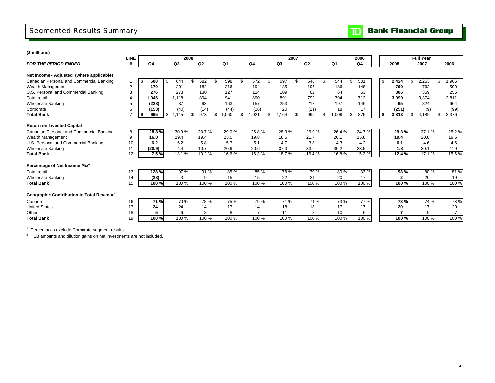## Segmented Results Summary

### **(\$ millions)**

| Q3<br>Q2<br>Q1<br>Q4<br>Q3<br>Q2<br>Q <sub>1</sub><br>2007<br><b>FOR THE PERIOD ENDED</b><br>#<br>Q4<br>2008<br>Q4<br>Net Income - Adjusted (where applicable)<br>Canadian Personal and Commercial Banking<br>582<br>598<br>572<br>597<br>544<br>501<br>2,424<br>2,253<br>600<br>644<br>\$<br>\$<br>\$<br>\$<br>540<br>\$<br>£.<br>\$<br>- 56<br>$\overline{2}$<br>216<br>170<br>201<br>182<br>194<br>185<br>197<br>186<br>148<br>769<br>762<br>Wealth Management<br>127<br>3<br>276<br>273<br>130<br>109<br>62<br>359<br>U.S. Personal and Commercial Banking<br>124<br>64<br>63<br>806<br>712<br>1.118<br>894<br>941<br>890<br>891<br>799<br>3,999<br>3,374<br><b>Total retail</b><br>1.046<br>794 |        |
|------------------------------------------------------------------------------------------------------------------------------------------------------------------------------------------------------------------------------------------------------------------------------------------------------------------------------------------------------------------------------------------------------------------------------------------------------------------------------------------------------------------------------------------------------------------------------------------------------------------------------------------------------------------------------------------------------|--------|
|                                                                                                                                                                                                                                                                                                                                                                                                                                                                                                                                                                                                                                                                                                      | 2006   |
|                                                                                                                                                                                                                                                                                                                                                                                                                                                                                                                                                                                                                                                                                                      |        |
|                                                                                                                                                                                                                                                                                                                                                                                                                                                                                                                                                                                                                                                                                                      | 1,966  |
|                                                                                                                                                                                                                                                                                                                                                                                                                                                                                                                                                                                                                                                                                                      | 590    |
|                                                                                                                                                                                                                                                                                                                                                                                                                                                                                                                                                                                                                                                                                                      | 255    |
|                                                                                                                                                                                                                                                                                                                                                                                                                                                                                                                                                                                                                                                                                                      | 2,811  |
| 37<br>93<br>163<br>157<br>217<br>197<br>146<br>824<br><b>Wholesale Banking</b><br>(228)<br>253<br>65<br>5                                                                                                                                                                                                                                                                                                                                                                                                                                                                                                                                                                                            | 664    |
| (153)<br>20<br>(21)<br>6<br>(40)<br>(14)<br>(44)<br>(26)<br>18<br>17<br>(251)<br>(9)<br>Corporate                                                                                                                                                                                                                                                                                                                                                                                                                                                                                                                                                                                                    | (99)   |
| \$<br>1,115<br>973<br>1,060<br>\$<br>1,021<br>1,164<br>995<br>1,009<br>\$<br>875<br>3,813<br>4,189<br><b>Total Bank</b><br>665<br>\$<br>\$<br>\$<br>\$                                                                                                                                                                                                                                                                                                                                                                                                                                                                                                                                               | 3,376  |
|                                                                                                                                                                                                                                                                                                                                                                                                                                                                                                                                                                                                                                                                                                      |        |
| <b>Return on Invested Capital</b>                                                                                                                                                                                                                                                                                                                                                                                                                                                                                                                                                                                                                                                                    |        |
| 28.3%<br>26.9%<br>26.4%<br>24.7%<br>27.1%<br>Canadian Personal and Commercial Banking<br>28.8%<br>30.9%<br>28.7%<br>29.0%<br>26.8%<br>29.3%<br>8                                                                                                                                                                                                                                                                                                                                                                                                                                                                                                                                                     | 25.2 % |
| 23.0<br>21.7<br>Wealth Management<br>9<br>16.0<br>19.4<br>19.8<br>18.6<br>20.1<br>15.8<br>19.4<br>20.0<br>19.4                                                                                                                                                                                                                                                                                                                                                                                                                                                                                                                                                                                       | 19.5   |
| U.S. Personal and Commercial Banking<br>10<br>6.2<br>6.2<br>5.8<br>5.7<br>5.1<br>4.7<br>3.8<br>4.3<br>4.2<br>6.1<br>4.6                                                                                                                                                                                                                                                                                                                                                                                                                                                                                                                                                                              | 4.6    |
| 10.7<br>37.3<br>(20.9)<br>4.4<br>20.9<br>20.6<br>33.6<br>30.2<br>23.5<br>30.1<br><b>Wholesale Banking</b><br>11<br>1.8                                                                                                                                                                                                                                                                                                                                                                                                                                                                                                                                                                               | 27.9   |
| 12<br>7.5%<br>15.2%<br>12.4%<br><b>Total Bank</b><br>13.1%<br>13.2 %<br>16.6%<br>16.3%<br>18.7%<br>16.4%<br>16.8%<br>17.1%                                                                                                                                                                                                                                                                                                                                                                                                                                                                                                                                                                           | 15.6%  |
| Percentage of Net Income Mix <sup>1</sup>                                                                                                                                                                                                                                                                                                                                                                                                                                                                                                                                                                                                                                                            |        |
| 83%<br>128%<br>97 %<br>91 %<br>85 %<br>85 %<br>78%<br>79 %<br>80%<br>98 %<br>80%<br><b>Total retail</b><br>13                                                                                                                                                                                                                                                                                                                                                                                                                                                                                                                                                                                        | 81 %   |
| 15<br>15<br>21<br>20<br>20<br>Wholesale Banking<br>(28)<br>3<br>9<br>22<br>17<br>$\mathbf{2}$<br>14                                                                                                                                                                                                                                                                                                                                                                                                                                                                                                                                                                                                  | 19     |
| 15<br>100 %<br>100 %<br>100 %<br>100 %<br>100 %<br>100 %<br>100 %<br>100 %<br>100 %<br>100 %<br>100 %<br><b>Total Bank</b>                                                                                                                                                                                                                                                                                                                                                                                                                                                                                                                                                                           | 100 %  |
| Geographic Contribution to Total Revenue                                                                                                                                                                                                                                                                                                                                                                                                                                                                                                                                                                                                                                                             |        |
| 77%<br>71 %<br>70 %<br>78 %<br>75 %<br>79 %<br>71 %<br>74 %<br>73 %<br>73%<br>74 %<br>Canada<br>16                                                                                                                                                                                                                                                                                                                                                                                                                                                                                                                                                                                                   | 73 %   |
| 24<br>17<br><b>United States</b><br>17<br>24<br>18<br>18<br>17<br>17<br>20<br>17<br>14<br>14                                                                                                                                                                                                                                                                                                                                                                                                                                                                                                                                                                                                         | 20     |
| 18<br>5<br>8<br>11<br>Other<br>6<br>8<br>8<br>10<br>7<br>9<br>6                                                                                                                                                                                                                                                                                                                                                                                                                                                                                                                                                                                                                                      |        |
| 100%<br>100 %<br>100 %<br>100 %<br>100 %<br><b>Total Bank</b><br>19<br>100 %<br>100 %<br>100 %<br>100 %<br>100 %<br>100 %                                                                                                                                                                                                                                                                                                                                                                                                                                                                                                                                                                            | 100 %  |

<sup>1</sup> Percentages exclude Corporate segment results.

 $2$  TEB amounts and dilution gains on net investments are not included.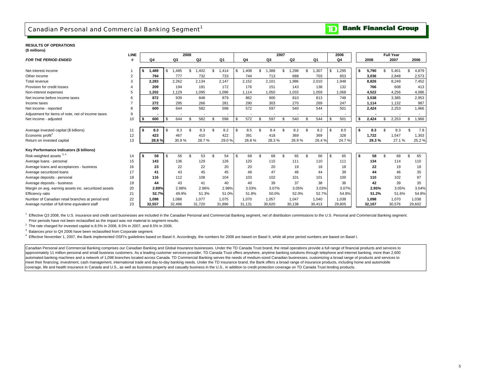$\mathbf{D}% _{T}=\mathbf{D}_{T}\!\left( \mathbf{1}_{T}% \mathbf{1}_{T}\mathbf{1}_{T}\mathbf{1}_{T}\mathbf{1}_{T}\mathbf{1}_{T}\mathbf{1}_{T}\mathbf{1}_{T}\mathbf{1}_{T}\mathbf{1}_{T}\mathbf{1}_{T}\mathbf{1}_{T}\mathbf{1}_{T}\mathbf{1}_{T}\mathbf{1}_{T}\mathbf{1}_{T}\mathbf{1}_{T}\mathbf{1}_{T}$ 

#### **RESULTS OF OPERATIONS(\$ millions)**

|                                                       | LINE           |      |                |      |        | 2008           |                        |     |        |            |                 | 2007 |                |      |                |     | 2006           |     |        |     | <b>Full Year</b> |                |        |
|-------------------------------------------------------|----------------|------|----------------|------|--------|----------------|------------------------|-----|--------|------------|-----------------|------|----------------|------|----------------|-----|----------------|-----|--------|-----|------------------|----------------|--------|
| <b>FOR THE PERIOD ENDED</b>                           |                |      | Q <sub>4</sub> |      | Q3     |                | Q <sub>2</sub>         |     | Q1     | Q4         | Q3              |      | Q <sub>2</sub> |      | Q <sub>1</sub> |     | Q <sub>4</sub> |     | 2008   |     | 2007             |                | 2006   |
|                                                       |                |      |                |      |        |                |                        |     |        |            |                 |      |                |      |                |     |                |     |        |     |                  |                |        |
| Net interest income                                   |                | \$   | 1,489          | \$   | ,485   | \$             | ,402<br>$\overline{1}$ | \$. | 1,414  | \$<br>A08, | \$<br>,388<br>1 |      | ,298           | \$   | 1,307          | \$. | ,295           | \$  | 5,790  |     | 5,401            |                | 4,879  |
| Other income                                          | $\overline{2}$ |      | 794            |      | 777    |                | 732                    |     | 733    | 744        | 713             |      | 688            |      | 703            |     | 653            |     | 3,036  |     | 2,848            |                | 2,573  |
| Total revenue                                         | 3              |      | 2,283          |      | 2,262  |                | 2,134                  |     | 2.147  | 2,152      | 2,101           |      | 1,986          |      | 2,010          |     | 1.948          |     | 8,826  |     | 8,249            |                | 7,452  |
| Provision for credit losses                           |                |      | 209            |      | 194    |                | 191                    |     | 172    | 176        | 151             |      | 143            |      | 138            |     | 132            |     | 766    |     | 608              |                | 413    |
| Non-interest expenses                                 | 5              |      | 1.202          |      | 1,129  |                | 1,095                  |     | 1.096  | 1.114      | 1.050           |      | 1,033          |      | 1,059          |     | 1.068          |     | 4,522  |     | 4,256            |                | 4,086  |
| Net income before income taxes                        | 6              |      | 872            |      | 939    |                | 848                    |     | 879    | 862        | 900             |      | 810            |      | 813            |     | 748            |     | 3,538  |     | 3.385            |                | 2,953  |
| Income taxes                                          |                |      | 272            |      | 295    |                | 266                    |     | 281    | 290        | 303             |      | 270            |      | 269            |     | 247            |     | 1,114  |     | 1.132            |                | 987    |
| Net income - reported                                 | 8              |      | 600            |      | 644    |                | 582                    |     | 598    | 572        | 597             |      | 540            |      | 544            |     | 501            |     | 2.424  |     | 2.253            |                | 1,966  |
| Adjustment for items of note, net of income taxes     | 9              |      |                |      |        |                |                        |     |        |            |                 |      |                |      |                |     |                |     |        |     |                  |                |        |
| Net income - adjusted                                 | 10             | - \$ | 600            | \$   | 644    | $\mathfrak{L}$ | 582                    | \$  | 598    | \$<br>572  | \$<br>597       |      | 540            | \$.  | 544            |     | 501            | s.  | 2,424  |     | 2,253            | \$             | 1,966  |
|                                                       |                |      |                |      |        |                |                        |     |        |            |                 |      |                |      |                |     |                |     |        |     |                  |                |        |
| Average invested capital (\$ billions)                | 11             | - \$ | 8.3            | l \$ | 8.3    | \$.            | 8.3                    | \$  | 8.2    | \$<br>8.5  | \$<br>8.4       |      | 8.2            | - \$ | 8.2            | \$  | 8.0            | s.  | 8.3    | \$. | 8.3              | \$             | 7.8    |
| Economic profit <sup>2</sup>                          | 12             |      | 423            |      | 467    |                | 410                    |     | 422    | 391        | 418             |      | 369            |      | 369            |     | 328            |     | 1,722  |     | 1,547            |                | 1,303  |
| Return on invested capital                            | 13             |      | 28.8%          |      | 30.9%  |                | 28.7%                  |     | 29.0%  | 26.8%      | 28.3%           |      | 26.9%          |      | 26.4%          |     | 24.7%          |     | 29.3%  |     | 27.1%            |                | 25.2 % |
|                                                       |                |      |                |      |        |                |                        |     |        |            |                 |      |                |      |                |     |                |     |        |     |                  |                |        |
| Key Performance Indicators (\$ billions)              |                |      |                |      |        |                |                        |     |        |            |                 |      |                |      |                |     |                |     |        |     |                  |                |        |
| Risk-weighted assets 3, 4                             | 14             |      | 58             | \$   | 56     |                | 53                     |     | 54     | \$<br>68   | 68              |      | 65             | \$   | 66             |     | 65             | -\$ | 58     |     | 68               | $\mathfrak{L}$ | 65     |
| Average loans - personal                              | 15             |      | 143            |      | 136    |                | 129                    |     | 126    | 120        | 115             |      | 111            |      | 110            |     | 111            |     | 134    |     | 114              |                | 110    |
| Average loans and acceptances - business              | 16             |      | 23             |      | 22     |                | 22                     |     | 20     | 20         | 20              |      | 19             |      | 18             |     | 18             |     | 22     |     | 19               |                | 18     |
| Average securitized loans                             | 17             |      | 41             |      | 43     |                | 45                     |     | 45     | 46         | 47              |      | 46             |      | 44             |     | 39             |     | 44     |     | 46               |                | 35     |
| Average deposits - personal                           | 18             |      | 116            |      | 112    |                | 108                    |     | 104    | 103        | 102             |      | 101            |      | 101            |     | 100            |     | 110    |     | 102              |                | 97     |
| Average deposits - business                           | 19             |      | 44             |      | 43     |                | 41                     |     | 40     | 40         | 39              |      | 37             |      | 38             |     | 36             |     | 42     |     | 39               |                | 35     |
| Margin on avg. earning assets inc. securitized assets | 20             |      | 2.89%          |      | 2.98%  |                | 2.96%                  |     | 2.98%  | 3.03%      | 3.07%           |      | 3.05%          |      | 3.03%          |     | 3.07%          |     | 2.95%  |     | 3.05%            |                | 3.04%  |
| Efficiency ratio                                      | 21             |      | 52.7%          |      | 49.9%  |                | 51.3%                  |     | 51.0%  | 51.8%      | 50.0%           |      | 52.0%          |      | 52.7%          |     | 54.8%          |     | 51.2%  |     | 51.6%            |                | 54.8%  |
| Number of Canadian retail branches at period end      | 22             |      | 1,098          |      | 1,088  |                | 1,077                  |     | 1.075  | 1,070      | 1,057           |      | 1,047          |      | 1,040          |     | 1.038          |     | 1,098  |     | 1.070            |                | 1,038  |
| Average number of full-time equivalent staff          | 23             |      | 32.557         |      | 32.496 |                | 31,720                 |     | 31,896 | 31.131     | 30,620          |      | 30,138         |      | 30.413         |     | 29,805         |     | 32.167 |     | 30,576           |                | 29,602 |

1 Effective Q3 2008, the U.S. insurance and credit card businesses are included in the Canadian Personal and Commercial Banking segment, net of distribution commissions to the U.S. Personal and Commercial Banking segment. Prior periods have not been reclassified as the impact was not material to segment results.

 $2$  The rate charged for invested capital is 8.5% in 2008, 8.5% in 2007, and 8.5% in 2006.

<sup>3</sup> Balances prior to Q4 2006 have been reclassified from Corporate segment.

4 Effective November 1, 2007, the Bank implemented OSFI's guidelines based on Basel II. Accordingly, the numbers for 2008 are based on Basel II, while all prior period numbers are based on Basel I.

Canadian Personal and Commercial Banking comprises our Canadian Banking and Global Insurance businesses. Under the TD Canada Trust brand, the retail operations provide a full range of financial products and services to approximately 11 million personal and small business customers. As a leading customer services provider, TD Canada Trust offers anywhere, anytime banking solutions through telephone and internet banking, more than 2,600 automated banking machines and a network of 1,098 branches located across Canada. TD Commercial Banking serves the needs of medium-sized Canadian businesses, customizing a broad range of products and services to meet their financing, investment, cash management, international trade and day-to-day banking needs. Under the TD Insurance brand, the Bank offers a broad range of insurance products, including home and automobile coverage, life and health insurance in Canada and U.S., as well as business property and casualty business in the U.S., in addition to credit protection coverage on TD Canada Trust lending products.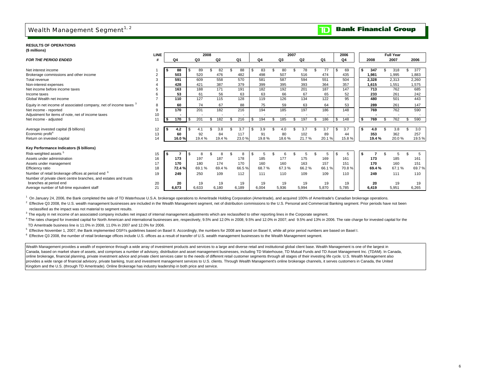## Wealth Management Segment $^{1, 2}$

#### **Bank Financial Group**  $\overline{\mathbf{D}}$

#### **RESULTS OF OPERATIONS(\$ millions)**

|                                                                              | <b>LINE</b>    |       |       |       | 2008  |                |                |       | 2007  |                |                |     | 2006           |        | <b>Full Year</b> |       |
|------------------------------------------------------------------------------|----------------|-------|-------|-------|-------|----------------|----------------|-------|-------|----------------|----------------|-----|----------------|--------|------------------|-------|
| <b>FOR THE PERIOD ENDED</b>                                                  |                | Q4    |       | Q3    |       | Q <sub>2</sub> | Q <sub>1</sub> | Q4    | Q3    | Q <sub>2</sub> | Q <sub>1</sub> |     | Q <sub>4</sub> | 2008   | 2007             | 2006  |
|                                                                              |                |       |       |       |       |                |                |       |       |                |                |     |                |        |                  |       |
| Net interest income                                                          |                |       | 88    |       | 89    | 82             | 88             | 83    | 80    | 78             | 77             | \$. | 69             | 347    | 318              | 377   |
| Brokerage commissions and other income                                       | $\overline{2}$ |       | 503   | 520   |       | 476            | 482            | 498   | 507   | 516            | 474            |     | 435            | 1.981  | 1.995            | 1.883 |
| Total revenue                                                                |                |       | 591   | 609   |       | 558            | 570            | 581   | 587   | 594            | 551            |     | 504            | 2,328  | 2,313            | 2,260 |
| Non-interest expenses                                                        |                |       | 428   | 421   |       | 387            | 379            | 399   | 395   | 393            | 364            |     | 357            | 1,615  | 1,551            | 1,575 |
| Net income before income taxes                                               |                |       | 163   | 188   |       | 171            | 191            | 182   | 192   | 201            | 187            |     | 147            | 713    | 762              | 685   |
| Income taxes                                                                 | 6              |       | 53    | 61    |       | 56             | 63             | 63    | 66    | 67             | 65             |     | 52             | 233    | 261              | 242   |
| Global Wealth net income                                                     | $\overline{7}$ |       | 110   | 127   |       | 115            | 128            | 119   | 126   | 134            | 122            |     | 95             | 480    | 501              | 443   |
| Equity in net income of associated company, net of income taxes <sup>3</sup> | 8              |       | 60    |       | 74    | 67             | 88             | 75    | 59    | 63             | 64             |     | 53             | 289    | 261              | 147   |
| Net income - reported                                                        | 9              |       | 170   | 201   |       | 182            | 216            | 194   | 185   | 197            | 186            |     | 148            | 769    | 762              | 590   |
| Adjustment for items of note, net of income taxes                            | 10             |       |       |       |       |                |                |       |       |                |                |     |                |        |                  |       |
| Net income - adjusted                                                        | 11             | l S   | 170   | 201   |       | 182            | 216            | 194   | 185   | 197            | 186            |     | 148            | 769    | 762              | 590   |
|                                                                              |                |       |       |       |       |                |                |       |       |                |                |     |                |        |                  |       |
| Average invested capital (\$ billions)                                       | 12             |       | 4.2   | 4.1   |       | 3.8            | 3.7            | 3.9   | 4.0   | 3.7            | 3.7            | \$  | 3.7            | 4.0    | 3.8              | 3.0   |
| Economic profit <sup>4</sup>                                                 | 13             |       | 60    |       | 92    | 84             | 117            | 91    | 80    | 102            | 89             |     | 44             | 353    | 362              | 257   |
| Return on invested capital                                                   | 14             |       | 16.0% |       | 19.4% | 19.4%          | 23.0%          | 19.8% | 18.6% | 21.7%          | 20.1%          |     | 15.8%          | 19.4 % | 20.0%            | 19.5% |
| Key Performance Indicators (\$ billions)                                     |                |       |       |       |       |                |                |       |       |                |                |     |                |        |                  |       |
| Risk-weighted assets <sup>5</sup>                                            | 15             | -S    |       |       | 8     | 8              | 8              | 5     |       | 5              | 5              |     | 5              |        | 5                | 5     |
| Assets under administration                                                  | 16             |       | 173   | 197   |       | 187            | 178            | 185   | 177   | 175            | 169            |     | 161            | 173    | 185              | 161   |
| Assets under management                                                      | 17             |       | 170   | 180   |       | 174            | 170            | 160   | 160   | 163            | 157            |     | 151            | 170    | 160              | 151   |
| Efficiency ratio                                                             | 18             |       | 72.4% |       | 69.1% | 69.4%          | 66.5%          | 68.7% | 67.3% | 66.2%          | 66.1%          |     | 70.8%          | 69.4%  | 67.1%            | 69.7% |
| Number of retail brokerage offices at period end <sup>6</sup>                | 19             |       | 249   | 250   |       | 109            | 112            | 111   | 110   | 109            | 109            |     | 110            | 249    | 111              | 110   |
| Number of private client centre branches, and estates and trusts             |                |       |       |       |       |                |                |       |       |                |                |     |                |        |                  |       |
| branches at period end                                                       | 20             |       | 20    |       | 19    | 19             | 19             | 19    | 19    | 19             | 19             |     | 19             | 20     | 19               | 19    |
| Average number of full-time equivalent staff                                 | 21             | 6,673 |       | 6,633 |       | 6,180          | 6,189          | 6,004 | 5,936 | 5,994          | 5,870          |     | 5,785          | 6,419  | 5,951            | 6,265 |

<sup>1</sup> On January 24, 2006, the Bank completed the sale of TD Waterhouse U.S.A. brokerage operations to Ameritrade Holding Corporation (Ameritrade), and acquired 100% of Ameritrade's Canadian brokerage operations.

<sup>2</sup> Effective Q3 2008, the U.S. wealth management businesses are included in the Wealth Management segment, net of distribution commissions to the U.S. Personal and Commercial Banking segment. Prior periods have not been reclassified as the impact was not material to segment results.

<sup>3</sup> The equity in net income of an associated company includes net impact of internal management adjustments which are reclassified to other reporting lines in the Corporate segment.

<sup>4</sup> The rates charged for invested capital for North American and international businesses are, respectively, 9.5% and 12.0% in 2008; 9.5% and 12.0% in 2007; and 9.5% and 13% in 2006. The rate charge for invested capital f TD Ameritrade business line is 11.0% in 2008, 11.0% in 2007 and 12.0% for 2006.

5 Effective November 1, 2007, the Bank implemented OSFI's guidelines based on Basel II. Accordingly, the numbers for 2008 are based on Basel II, while all prior period numbers are based on Basel I.

6 Effective Q3 2008, the number of retail brokerage offices include U.S. offices as a result of transfer of U.S. wealth management businesses to the Wealth Management segment.

Wealth Management provides a wealth of experience through a wide array of investment products and services to a large and diverse retail and institutional global client base. Wealth Management is one of the largest in Canada, based on market share of assets, and comprises a number of advisory, distribution and asset management businesses, including TD Waterhouse, TD Mutual Funds and TD Asset Management Inc. (TDAM). In Canada, online brokerage, financial planning, private investment advice and private client services cater to the needs of different retail customer segments through all stages of their investing life cycle, U.S. Wealth Management provides a wide range of financial advisory, private banking, trust and investment management services to U.S. clients. Through Wealth Management's online brokerage channels, it serves customers in Canada, the United Kingdom and the U.S. (through TD Ameritrade). Online Brokerage has industry leadership in both price and service.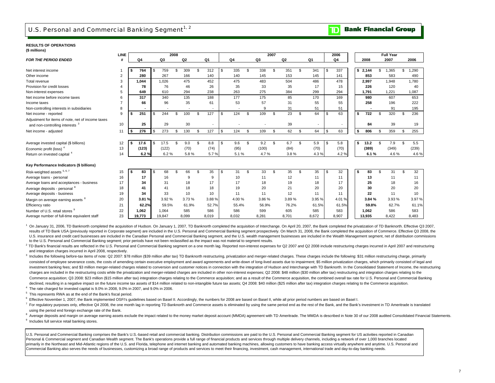### U.S. Personal and Commercial Banking Segment $^{1/2}$

**Bank Financial Group** D

### **RESULTS OF OPERATIONS**

| LINE |                                                            |       |                                                                                                                             | 2008                                          |                                                                                                                                                        |                                                                                |                                          |                                                                                                     |                                  |                                                                          |                                                | 2007                                                                           |                                                |                                                                             |                      |                                                                              | 2006                             |                                                                              |                |                                                                                                | <b>Full Year</b>                          |                                                                                                 |                                          |
|------|------------------------------------------------------------|-------|-----------------------------------------------------------------------------------------------------------------------------|-----------------------------------------------|--------------------------------------------------------------------------------------------------------------------------------------------------------|--------------------------------------------------------------------------------|------------------------------------------|-----------------------------------------------------------------------------------------------------|----------------------------------|--------------------------------------------------------------------------|------------------------------------------------|--------------------------------------------------------------------------------|------------------------------------------------|-----------------------------------------------------------------------------|----------------------|------------------------------------------------------------------------------|----------------------------------|------------------------------------------------------------------------------|----------------|------------------------------------------------------------------------------------------------|-------------------------------------------|-------------------------------------------------------------------------------------------------|------------------------------------------|
| #    |                                                            |       | Q3                                                                                                                          |                                               | Q <sub>2</sub>                                                                                                                                         |                                                                                |                                          |                                                                                                     | Q4                               |                                                                          | Q3                                             |                                                                                | Q <sub>2</sub>                                 |                                                                             | Q1                   |                                                                              | Q4                               |                                                                              | 2008           |                                                                                                |                                           |                                                                                                 | 2006                                     |
|      |                                                            |       |                                                                                                                             |                                               |                                                                                                                                                        |                                                                                |                                          |                                                                                                     |                                  |                                                                          |                                                |                                                                                |                                                |                                                                             |                      |                                                                              |                                  |                                                                              |                |                                                                                                |                                           |                                                                                                 | 1,290                                    |
|      |                                                            |       |                                                                                                                             |                                               |                                                                                                                                                        |                                                                                |                                          |                                                                                                     |                                  |                                                                          |                                                |                                                                                |                                                |                                                                             |                      |                                                                              |                                  |                                                                              |                |                                                                                                |                                           |                                                                                                 | 490                                      |
|      |                                                            |       |                                                                                                                             |                                               |                                                                                                                                                        |                                                                                |                                          |                                                                                                     |                                  |                                                                          |                                                |                                                                                |                                                |                                                                             |                      |                                                                              |                                  |                                                                              |                |                                                                                                |                                           |                                                                                                 | 1,780                                    |
|      |                                                            |       |                                                                                                                             |                                               |                                                                                                                                                        |                                                                                |                                          |                                                                                                     |                                  |                                                                          |                                                |                                                                                |                                                |                                                                             |                      |                                                                              |                                  |                                                                              |                |                                                                                                |                                           |                                                                                                 |                                          |
|      |                                                            |       |                                                                                                                             |                                               |                                                                                                                                                        |                                                                                |                                          |                                                                                                     |                                  |                                                                          |                                                |                                                                                |                                                |                                                                             |                      |                                                                              |                                  |                                                                              |                |                                                                                                |                                           |                                                                                                 | 40                                       |
|      |                                                            |       |                                                                                                                             |                                               |                                                                                                                                                        |                                                                                |                                          |                                                                                                     |                                  |                                                                          |                                                |                                                                                |                                                |                                                                             |                      |                                                                              |                                  |                                                                              |                |                                                                                                |                                           |                                                                                                 | 1,087                                    |
|      |                                                            |       |                                                                                                                             |                                               |                                                                                                                                                        |                                                                                |                                          |                                                                                                     |                                  |                                                                          |                                                |                                                                                |                                                |                                                                             |                      |                                                                              |                                  |                                                                              |                |                                                                                                |                                           |                                                                                                 | 653                                      |
|      |                                                            |       |                                                                                                                             |                                               |                                                                                                                                                        |                                                                                |                                          |                                                                                                     |                                  |                                                                          |                                                |                                                                                |                                                |                                                                             |                      |                                                                              |                                  |                                                                              |                |                                                                                                |                                           |                                                                                                 | 222                                      |
|      |                                                            |       |                                                                                                                             |                                               |                                                                                                                                                        |                                                                                |                                          |                                                                                                     |                                  |                                                                          |                                                |                                                                                |                                                |                                                                             |                      |                                                                              |                                  |                                                                              |                |                                                                                                |                                           |                                                                                                 | 195                                      |
|      |                                                            |       |                                                                                                                             |                                               |                                                                                                                                                        |                                                                                |                                          |                                                                                                     |                                  |                                                                          |                                                |                                                                                |                                                |                                                                             |                      |                                                                              |                                  |                                                                              |                |                                                                                                |                                           |                                                                                                 | 236                                      |
| 10   |                                                            | 25    |                                                                                                                             |                                               |                                                                                                                                                        |                                                                                |                                          |                                                                                                     |                                  |                                                                          |                                                |                                                                                | 39                                             |                                                                             |                      |                                                                              |                                  |                                                                              | 84             |                                                                                                | 39                                        |                                                                                                 | 19                                       |
|      |                                                            |       |                                                                                                                             |                                               |                                                                                                                                                        |                                                                                |                                          |                                                                                                     |                                  |                                                                          |                                                |                                                                                |                                                |                                                                             |                      |                                                                              |                                  |                                                                              |                |                                                                                                |                                           |                                                                                                 | 255                                      |
|      |                                                            |       |                                                                                                                             |                                               |                                                                                                                                                        |                                                                                |                                          |                                                                                                     |                                  |                                                                          |                                                |                                                                                |                                                |                                                                             |                      |                                                                              |                                  |                                                                              |                |                                                                                                |                                           |                                                                                                 |                                          |
|      |                                                            |       |                                                                                                                             | \$                                            |                                                                                                                                                        | \$                                                                             |                                          |                                                                                                     |                                  |                                                                          |                                                |                                                                                |                                                |                                                                             |                      |                                                                              |                                  |                                                                              |                | \$.                                                                                            |                                           | .ኖ                                                                                              | 5.5                                      |
|      |                                                            |       |                                                                                                                             |                                               |                                                                                                                                                        |                                                                                |                                          |                                                                                                     |                                  |                                                                          |                                                |                                                                                |                                                |                                                                             |                      |                                                                              |                                  |                                                                              |                |                                                                                                |                                           |                                                                                                 | (239)                                    |
| 14   |                                                            | 6.2%  |                                                                                                                             |                                               |                                                                                                                                                        |                                                                                | 5.7%                                     |                                                                                                     |                                  |                                                                          |                                                |                                                                                | 3.8%                                           |                                                                             | 4.3%                 |                                                                              | 4.2%                             |                                                                              |                |                                                                                                |                                           |                                                                                                 | 4.6%                                     |
|      |                                                            |       |                                                                                                                             |                                               |                                                                                                                                                        |                                                                                |                                          |                                                                                                     |                                  |                                                                          |                                                |                                                                                |                                                |                                                                             |                      |                                                                              |                                  |                                                                              |                |                                                                                                |                                           |                                                                                                 |                                          |
| 15   |                                                            | 83    | S.                                                                                                                          | \$.                                           | 66                                                                                                                                                     | \$.                                                                            | 35                                       | <sup>\$</sup>                                                                                       | 31                               | \$                                                                       | 33                                             | \$                                                                             | 35                                             | \$                                                                          | 35                   | \$                                                                           | 32                               | \$                                                                           | 83             | \$.                                                                                            | 31                                        | \$                                                                                              | 32                                       |
| 16   |                                                            | 17    |                                                                                                                             |                                               | 9                                                                                                                                                      |                                                                                | 9                                        |                                                                                                     | 10                               |                                                                          | 11                                             |                                                                                | 12                                             |                                                                             | 11                   |                                                                              | 11                               |                                                                              | 13             |                                                                                                | 11                                        |                                                                                                 | 11                                       |
| 17   |                                                            | 34    |                                                                                                                             |                                               | 18                                                                                                                                                     |                                                                                | 17                                       |                                                                                                     | 17                               |                                                                          | 18                                             |                                                                                | 19                                             |                                                                             | 18                   |                                                                              | 17                               |                                                                              | 25             |                                                                                                | 18                                        |                                                                                                 | 16                                       |
| 18   |                                                            | 41    |                                                                                                                             |                                               | 18                                                                                                                                                     |                                                                                | 18                                       |                                                                                                     | 19                               |                                                                          | 20                                             |                                                                                | 21                                             |                                                                             | 20                   |                                                                              | 20                               |                                                                              | 30             |                                                                                                | 20                                        |                                                                                                 | 20                                       |
| 19   |                                                            | 34    |                                                                                                                             |                                               | 10                                                                                                                                                     |                                                                                | 10                                       |                                                                                                     | 11                               |                                                                          | 11                                             |                                                                                | 12                                             |                                                                             | 11                   |                                                                              | 11                               |                                                                              | 22             |                                                                                                | 11                                        |                                                                                                 | 10                                       |
| 20   |                                                            |       |                                                                                                                             |                                               |                                                                                                                                                        |                                                                                | 3.88%                                    |                                                                                                     |                                  |                                                                          |                                                |                                                                                | 3.89%                                          |                                                                             | 3.95 %               |                                                                              | 4.01 %                           |                                                                              |                |                                                                                                |                                           |                                                                                                 | 3.97%                                    |
| 21   |                                                            | 62.2% |                                                                                                                             |                                               |                                                                                                                                                        |                                                                                | 52.7%                                    |                                                                                                     |                                  |                                                                          |                                                |                                                                                | 76.2%                                          |                                                                             | 61.5%                |                                                                              | 61.5%                            |                                                                              |                |                                                                                                |                                           |                                                                                                 | 61.1%                                    |
| 22   |                                                            |       |                                                                                                                             |                                               | 585                                                                                                                                                    |                                                                                | 586                                      |                                                                                                     | 586                              |                                                                          | 599                                            |                                                                                | 605                                            |                                                                             | 585                  |                                                                              | 583                              |                                                                              | 1,062          |                                                                                                | 586                                       |                                                                                                 | 583                                      |
| 23   |                                                            |       |                                                                                                                             |                                               | 8.099                                                                                                                                                  |                                                                                |                                          |                                                                                                     | 8.032                            |                                                                          | 8.281                                          |                                                                                | 8.701                                          |                                                                             | 8.672                |                                                                              | 8.907                            |                                                                              |                |                                                                                                | 8.422                                     |                                                                                                 | 8,483                                    |
|      | $\overline{2}$<br>3<br>8<br>$\mathbf{Q}$<br>11<br>12<br>13 | l \$  | Q <sub>4</sub><br>764<br>280<br>1.044<br>78<br>649<br>317<br>66<br>251<br>276<br>17.6<br>(123)<br>3.81 %<br>1,062<br>19,773 | S.<br>S.<br>\$<br>\$<br>41<br>1,064<br>19.847 | 759<br>\$<br>267<br>1.026<br>76<br>610<br>340<br>96<br>244<br>\$<br>29<br>273<br>\$<br>17.5<br>(122)<br>6.2%<br>68<br>16<br>31<br>33<br>3.92%<br>59.5% | 309<br>166<br>475<br>46<br>294<br>135<br>35<br>100<br>30<br>130<br>9.0<br>(70) | \$.<br>£.<br>S<br>5.8%<br>3.73%<br>61.9% | Q <sub>1</sub><br>312<br>140<br>452<br>26<br>238<br>188<br>61<br>127<br>127<br>8.8<br>(74)<br>8.019 | \$<br>$\mathfrak{s}$<br>\$<br>\$ | 335<br>140<br>475<br>35<br>263<br>177<br>53<br>124<br>124<br>9.6<br>(95) | \$<br>\$<br>\$<br>\$<br>5.1%<br>4.00%<br>55.4% | 338<br>145<br>483<br>33<br>275<br>175<br>57<br>9<br>109<br>109<br>9.2<br>(100) | \$<br>S.<br>\$<br>\$<br>4.7%<br>3.86%<br>56.9% | 351<br>153<br>504<br>35<br>384<br>85<br>31<br>31<br>23<br>62<br>6.7<br>(84) | \$<br>\$<br>\$<br>\$ | 341<br>145<br>486<br>17<br>299<br>170<br>55<br>51<br>64<br>64<br>5.9<br>(70) | \$<br>\$<br>$\mathfrak{s}$<br>\$ | 337<br>141<br>478<br>15<br>294<br>169<br>55<br>51<br>63<br>63<br>5.8<br>(70) | \$<br>\$<br>\$ | \$2.144<br>853<br>2,997<br>226<br>1,791<br>980<br>258<br>722<br>806<br>13.2<br>(389)<br>13.935 | \$<br>£.<br>\$<br>6.1%<br>3.84 %<br>59.8% | 2007<br>1,365<br>583<br>1,948<br>120<br>1,221<br>607<br>196<br>91<br>320<br>359<br>7.9<br>(349) | ፍ<br>\$.<br>.ኖ<br>4.6%<br>3.93%<br>62.7% |

<sup>1</sup> On January 31, 2006, TD Banknorth completed the acquisition of Hudson. On January 1, 2007, TD Banknorth completed the acquisition of Interchange. On April 20, 2007, the Bank completed the privatization of TD Banknorth. results of TD Bank USA (previously reported in Corporate segment) are included in the U.S. Personal and Commercial Banking segment prospectively. On March 31, 2008, the Bank completed the acquisition of Commerce. Effective U.S. insurance and credit card businesses are included in the Canadian Personal and Commercial Banking segment, and the U.S. wealth management businesses are included in the Wealth Management segment, net of distribution c to the U.S. Personal and Commercial Banking segment; prior periods have not been reclassified as the impact was not material to segment results.

<sup>2</sup> TD Bank's financial results are reflected in the U.S. Personal and Commercial Banking segment on a one month lag. Reported non-interest expenses for Q2 2007 and Q2 2008 include restructuring charges incurred in April 2 and integration charges incurred in April 2008, respectively.

3 Includes the following before-tax items of note: Q2 2007: \$78 million (\$39 million after tax) TD Banknorth restructuring, privatization and merger-related charges. These charges include the following: \$31 million restruc consisted of employee severance costs, the costs of amending certain executive employment and award agreements and write-down of long-lived assets due to impairment; \$5 million privatization charges, which primarily consis investment banking fees; and \$3 million merger-related charges related to conversion and customer notices in connection with the integration of Hudson and Interchange with TD Banknorth. In the Consolidated Statement of Inc charges are included in the restructuring costs while the privatization and merger-related charges are included in other non-interest expenses; Q2 2008: \$48 million (\$30 million after tax) restructuring and integration cha Commerce acquisition; Q3 2008: \$23 million (\$15 million after tax) integration charges relating to the Commerce acquisition; and as a result of the Commerce acquisition, the combined overall tax rate for U.S. Personal and declined, resulting in a negative impact on the future income tax assets of \$14 million related to non-intangible future tax assets: Q4 2008: \$40 million (\$25 million after tax) integration charges relating to the Commerce

 $4$  The rate charged for invested capital is  $9.0\%$  in 2008,  $9.0\%$  in 2007, and  $9.0\%$  in 2006.

5 This represents RWA as at the end of the Bank's fiscal period.

<sup>6</sup> Effective November 1, 2007, the Bank implemented OSFI's guidelines based on Basel II. Accordingly, the numbers for 2008 are based on Basel II, while all prior period numbers are based on Basel I.

<sup>7</sup> For requlatory purposes only, effective Q4 2008, the one month lag in reporting TD Banknorth and Commerce assets is eliminated by using the same period end as the rest of the Bank, and the Bank's investment in TD Ameri using the period end foreign exchange rate of the Bank.

<sup>8</sup> Average deposits and margin on average earning assets exclude the impact related to the money market deposit account (MMDA) agreement with TD Ameritrade. The MMDA is described in Note 30 of our 2008 audited Consolidate <sup>9</sup> Includes full service retail banking stores.

U.S. Personal and Commercial Banking comprises the Bank's U.S.-based retail and commercial banking. Distribution commissions are paid to the U.S. Personal and Commercial Banking segment for US activities reported in Canadi Personal & Commercial segment and Canadian Wealth segment. The Bank's operations provide a full range of financial products and services through multiple delivery channels, including a network of over 1,000 branches locate primarily in the Northeast and Mid-Atlantic regions of the U.S. and Florida, telephone and internet banking and automated banking machines, allowing customers to have banking access virtually anywhere and anytime. U.S. Per Commercial Banking also serves the needs of businesses, customizing a broad range of products and services to meet their financing, investment, cash management, international trade and day-to-day banking needs.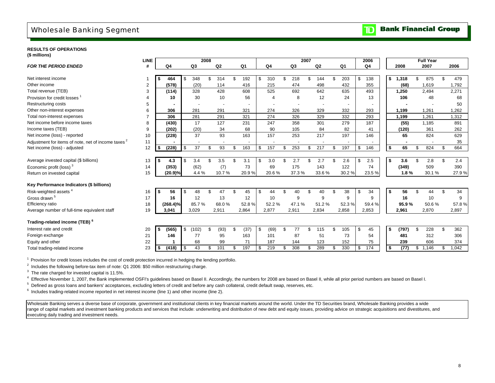## Wholesale Banking Segment

#### **Bank Financial Group**  $\overline{\mathbf{D}}$

### **RESULTS OF OPERATIONS**

| (\$ millions) |  |
|---------------|--|
|---------------|--|

|                                                                | LINE           |    |             |      | 2008  |     |                |    |       |    |                |           | 2007 |                |    |       | 2006      |     |       | <b>Full Year</b> |             |
|----------------------------------------------------------------|----------------|----|-------------|------|-------|-----|----------------|----|-------|----|----------------|-----------|------|----------------|----|-------|-----------|-----|-------|------------------|-------------|
| <b>FOR THE PERIOD ENDED</b>                                    | #              |    | Q4          |      | Q3    |     | Q <sub>2</sub> |    | Q1    |    | Q4             | Q3        |      | Q <sub>2</sub> |    | Q1    | Q4        |     | 2008  | 2007             | 2006        |
|                                                                |                |    |             |      |       |     |                |    |       |    |                |           |      |                |    |       |           |     |       |                  |             |
| Net interest income                                            |                |    | 464         | -\$  | 348   | \$  | 314            | \$ | 192   | \$ | 310            | \$<br>218 | S.   | 144            |    | 203   | \$<br>138 | \$  | 1,318 | 875              | 479         |
| Other income                                                   | $\overline{2}$ |    | (578)       |      | (20)  |     | 114            |    | 416   |    | 215            | 474       |      | 498            |    | 432   | 355       |     | (68)  | 1,619            | 1,792       |
| Total revenue (TEB)                                            | 3              |    | (114)       |      | 328   |     | 428            |    | 608   |    | 525            | 692       |      | 642            |    | 635   | 493       |     | 1,250 | 2,494            | 2,271       |
| Provision for credit losses                                    |                |    | 10          |      | 30    |     | 10             |    | 56    |    | $\overline{4}$ | 8         |      | 12             |    | 24    | 13        |     | 106   | 48               | 68          |
| Restructuring costs                                            | 5              |    |             |      |       |     |                |    |       |    |                |           |      |                |    |       |           |     |       |                  | 50          |
| Other non-interest expenses                                    | 6              |    | 306         |      | 281   |     | 291            |    | 321   |    | 274            | 326       |      | 329            |    | 332   | 293       |     | 1,199 | 1,261            | 1,262       |
| Total non-interest expenses                                    | 7              |    | 306         |      | 281   |     | 291            |    | 321   |    | 274            | 326       |      | 329            |    | 332   | 293       |     | 1,199 | 1,261            | 1,312       |
| Net income before income taxes                                 | 8              |    | (430)       |      | 17    |     | 127            |    | 231   |    | 247            | 358       |      | 301            |    | 279   | 187       |     | (55)  | 1,185            | 891         |
| Income taxes (TEB)                                             | 9              |    | (202)       |      | (20)  |     | 34             |    | 68    |    | 90             | 105       |      | 84             |    | 82    | 41        |     | (120) | 361              | 262         |
| Net income (loss) - reported                                   | 10             |    | (228)       |      | 37    |     | 93             |    | 163   |    | 157            | 253       |      | 217            |    | 197   | 146       |     | 65    | 824              | 629         |
| Adjustment for items of note, net of income taxes <sup>2</sup> | 11             |    |             |      |       |     |                |    |       |    |                |           |      |                |    |       |           |     |       |                  | 35          |
| Net income (loss) - adjusted                                   | 12             | S  | (228)       | - \$ | 37    | \$  | 93             | £. | 163   | \$ | 157            | \$<br>253 | \$   | 217            | ደ  | 197   | \$<br>146 | Ŝ.  | 65    | \$<br>824        | \$<br>664   |
|                                                                |                |    |             |      |       |     |                |    |       |    |                |           |      |                |    |       |           |     |       |                  |             |
| Average invested capital (\$ billions)                         | 13             |    | 4.3         |      | 3.4   | \$. | 3.5            | £. | 3.1   | \$ | 3.0            | \$<br>2.7 |      | 2.7            |    | 2.6   | \$<br>2.5 | Ŝ.  | 3.6   | 2.8              | \$<br>2.4   |
| Economic profit (loss) <sup>3</sup>                            | 14             |    | (353)       |      | (62)  |     | (7)            |    | 73    |    | 69             | 175       |      | 143            |    | 122   | 74        |     | (349) | 509              | 390         |
| Return on invested capital                                     | 15             |    | (20.9)%     |      | 4.4%  |     | 10.7%          |    | 20.9% |    | 20.6%          | 37.3%     |      | 33.6%          |    | 30.2% | 23.5%     |     | 1.8%  | 30.1%            | 27.9%       |
|                                                                |                |    |             |      |       |     |                |    |       |    |                |           |      |                |    |       |           |     |       |                  |             |
| Key Performance Indicators (\$ billions)                       |                |    |             |      |       |     |                |    |       |    |                |           |      |                |    |       |           |     |       |                  |             |
| Risk-weighted assets                                           | 16             | \$ | 56          | - \$ | 48    | \$  | 47             | £. | 45    | -S | 44             | \$<br>40  | \$   | 40             | \$ | 38    | \$<br>34  | Ŝ.  | 56    | 44               | \$<br>34    |
| Gross drawn <sup>5</sup>                                       | 17             |    | 16          |      | 12    |     | 13             |    | 12    |    | 10             | 9         |      | 9              |    | 9     | 9         |     | 16    | 10               | 9           |
| Efficiency ratio                                               | 18             |    | $(268.4)\%$ |      | 85.7% |     | 68.0%          |    | 52.8% |    | 52.2%          | 47.1%     |      | 51.2%          |    | 52.3% | 59.4%     |     | 95.9% | 50.6%            | 57.8%       |
| Average number of full-time equivalent staff                   | 19             |    | 3.041       |      | 3,029 |     | 2,911          |    | 2,864 |    | 2,877          | 2,911     |      | 2,834          |    | 2,858 | 2,853     |     | 2,961 | 2,870            | 2,897       |
|                                                                |                |    |             |      |       |     |                |    |       |    |                |           |      |                |    |       |           |     |       |                  |             |
| Trading-related income (TEB) <sup>6</sup>                      |                |    |             |      |       |     |                |    |       |    |                |           |      |                |    |       |           |     |       |                  |             |
| Interest rate and credit                                       | 20             | \$ | (565)       | \$   | (102) | \$  | (93)           | \$ | (37)  | \$ | (69)           | \$<br>77  | \$   | 115            | \$ | 105   | \$<br>45  | -\$ | (797) | \$<br>228        | \$<br>362   |
| Foreign exchange                                               | 21             |    | 146         |      | 77    |     | 95             |    | 163   |    | 101            | 87        |      | 51             |    | 73    | 54        |     | 481   | 312              | 306         |
| Equity and other                                               | 22             |    |             |      | 68    |     | 99             |    | 71    |    | 187            | 144       |      | 123            |    | 152   | 75        |     | 239   | 606              | 374         |
| Total trading-related income                                   | 23             | Ŝ. | (418)       | - \$ | 43    | \$  | 101            | \$ | 197   | \$ | 219            | \$<br>308 | £.   | 289            | \$ | 330   | \$<br>174 | Ŝ.  | (77)  | \$<br>1,146      | \$<br>1,042 |

<sup>1</sup> Provision for credit losses includes the cost of credit protection incurred in hedging the lending portfolio.

<sup>2</sup> Includes the following before-tax item of note: Q1 2006: \$50 million restructuring charge.

<sup>3</sup> The rate charged for invested capital is 11.5%.

<sup>4</sup> Effective November 1, 2007, the Bank implemented OSFI's guidelines based on Basel II. Accordingly, the numbers for 2008 are based on Basel II, while all prior period numbers are based on Basel I.

 $5$  Defined as gross loans and bankers' acceptances, excluding letters of credit and before any cash collateral, credit default swap, reserves, etc.

<sup>6</sup> Includes trading-related income reported in net interest income (line 1) and other income (line 2).

Wholesale Banking serves a diverse base of corporate, government and institutional clients in key financial markets around the world. Under the TD Securities brand, Wholesale Banking provides a wide range of capital markets and investment banking products and services that include: underwriting and distribution of new debt and equity issues, providing advice on strategic acquisitions and divestitures, and executing daily trading and investment needs.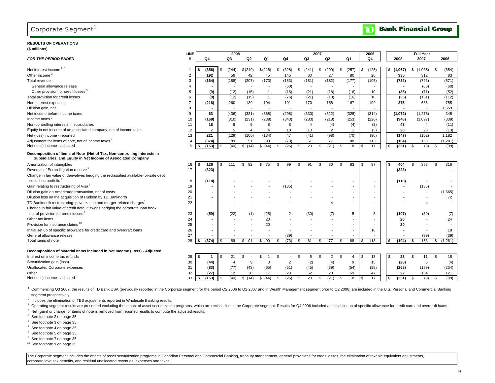### **RESULTS OF OPERATIONS**

### **(\$ millions)**

|                                                                                      | <b>LINE</b> |                          |                | 2008     |                          |                       |                | 2007 |                |                             | 2006                     |             | <b>Full Year</b> |               |
|--------------------------------------------------------------------------------------|-------------|--------------------------|----------------|----------|--------------------------|-----------------------|----------------|------|----------------|-----------------------------|--------------------------|-------------|------------------|---------------|
| <b>FOR THE PERIOD ENDED</b>                                                          |             | Q4                       | Q3             | Q2       | Q1                       | Q4                    | Q3             |      | Q2             | Q1                          | Q4                       | 2008        | 2007             | 2006          |
|                                                                                      |             |                          |                |          |                          |                       |                |      |                |                             |                          |             |                  |               |
| Net interest income <sup>2, 3</sup>                                                  |             | (356)                    | (244)          | \$(249)  | \$(218)                  | (328)<br>\$           | \$<br>(241)    | \$   | (209)          | \$<br>(257)                 | (125)<br>\$              | \$(1,067)   | \$(1,035)        | \$<br>(654)   |
| Other income <sup>3</sup>                                                            | 2           | 192                      | 56             | 42       | 45                       | 145                   | 60             |      | 27             | 80                          | 20                       | 335         | 312              | 83            |
| Total revenue                                                                        | 3           | (164)                    | (188)          | (207)    | (173)                    | (183)                 | (181)          |      | (182)          | (177)                       | (105)                    | (732)       | (723)            | (571)         |
| General allowance release                                                            | 4           |                          |                |          |                          | (60)                  |                |      |                |                             |                          |             | (60)             | (60)          |
| Other provision for credit losses <sup>3</sup>                                       | 5           | (9)                      | (12)           | (15)     | $\overline{1}$           | (16)                  | (21)           |      | (18)           | (16)                        | 10                       | (35)        | (71)             | (52)          |
| Total provision for credit losses                                                    | 6           | (9)                      | (12)           | (15)     | $\mathbf{1}$             | (76)                  | (21)           |      | (18)           | (16)                        | 10                       | (35)        | (131)            | (112)         |
| Non-interest expenses                                                                |             | (218)                    | 260            | 139      | 194                      | 191                   | 170            |      | 158            | 167                         | 199                      | 375         | 686              | 755           |
| Dilution gain, net                                                                   | 8           |                          |                |          |                          |                       |                |      |                |                             |                          |             |                  | 1,559         |
| Net income before income taxes                                                       | 9           | 63                       | (436)          | (331)    | (368)                    | (298)                 | (330)          |      | (322)          | (328)                       | (314)                    | (1,072)     | (1, 278)         | 345           |
| Income taxes <sup>2</sup>                                                            | 10          | (169)                    | (310)          | (231)    | (238)                    | (343)                 | (283)          |      | (218)          | (253)                       | (220)                    | (948)       | (1,097)          | (839)         |
| Non-controlling interests in subsidiaries                                            | 11          | 18                       | 8              | 9        | 8                        | 8                     | $\overline{4}$ |      | (4)            | (4)                         | (3)                      | 43          | $\overline{4}$   | (11)          |
| Equity in net income of an associated company, net of income taxes                   | 12          | $\overline{7}$           | 5              | $\Delta$ | $\overline{4}$           | 10                    | 10             |      | 2              |                             | (5)                      | 20          | 23               | (13)          |
| Net (loss) income - reported                                                         | 13          | 221                      | (129)          | (105)    | (134)                    | 47                    | (41)           |      | (98)           | (70)                        | (96)                     | (147)       | (162)            | 1,182         |
| Adjustment for items of note, net of income taxes <sup>4</sup>                       | 14          | (374)                    | 89             | 91       | 90                       | (73)                  | 61             |      | 77             | 88                          | 113                      | (104)       | 153              | (1,281)       |
| Net (loss) income - adjusted                                                         | 15          | (153)<br>\$              | (40)           | \$(14)   | \$ (44)                  | (26)<br><sup>\$</sup> | 20<br>\$       | \$   | (21)           | 18<br>\$                    | 17<br>\$                 | (251)<br>\$ | \$<br>(9)        | (99)<br>\$    |
| Decomposition of Items of Note (Net of Tax, Non-controlling Interests in             |             |                          |                |          |                          |                       |                |      |                |                             |                          |             |                  |               |
| Subsidiaries, and Equity in Net Income of Associated Company                         |             |                          |                |          |                          |                       |                |      |                |                             |                          |             |                  |               |
| Amortization of intangibles                                                          | 16          | 126<br>\$                | 111            | \$<br>92 | 75<br>\$                 | 99<br>\$              | 91<br>\$.      | \$   | 80             | 83<br>\$                    | 87<br>\$                 | \$<br>404   | 353<br>\$        | \$<br>316     |
| Reversal of Enron litigation reserve <sup>5</sup>                                    | 17          | (323)                    |                |          |                          |                       |                |      |                |                             | $\overline{\phantom{a}}$ | (323)       |                  |               |
| Change in fair value of derivatives hedging the reclassified available-for-sale debt |             |                          |                |          |                          |                       |                |      |                |                             |                          |             |                  |               |
| securities portfolio <sup>6</sup>                                                    | 18          | (118)                    |                |          | $\overline{\phantom{0}}$ |                       |                |      |                |                             |                          | (118)       |                  |               |
| Gain relating to restructuring of Visa <sup>7</sup>                                  | 19          |                          |                |          | $\overline{\phantom{a}}$ | (135)                 |                |      |                |                             |                          |             | (135)            |               |
| Dilution gain on Ameritrade transaction, net of costs                                | 20          | $\sim$                   |                |          | $\overline{\phantom{a}}$ |                       |                |      |                |                             | $\overline{a}$           |             |                  | (1,665)       |
| Dilution loss on the acquisition of Hudson by TD Banknorth                           | 21          | $\overline{a}$           |                |          | $\overline{\phantom{a}}$ |                       |                |      |                |                             | $\overline{\phantom{a}}$ |             |                  | 72            |
| TD Banknorth restructuring, privatization and merger-related charges <sup>8</sup>    | 22          |                          |                |          | $\overline{\phantom{a}}$ |                       |                |      |                |                             |                          |             | 4                |               |
| Change in fair value of credit default swaps hedging the corporate loan book,        |             |                          |                |          |                          |                       |                |      |                |                             |                          |             |                  |               |
| net of provision for credit losses                                                   | 23          | (59)                     | (22)           | (1)      | (25)                     | 2                     | (30)           |      | (7)            | 5                           | 8                        | (107)       | (30)             | (7)           |
| Other tax items                                                                      | 24          | $\overline{\phantom{a}}$ |                |          | 20                       |                       |                |      |                |                             |                          | 20          |                  | 24            |
| Provision for insurance claims <sup>10</sup>                                         | 25          | $\overline{\phantom{a}}$ |                |          | 20                       |                       |                |      |                |                             |                          | 20          |                  |               |
| Initial set up of specific allowance for credit card and overdraft loans             | 26          |                          |                |          |                          |                       |                |      |                |                             | 18                       |             |                  | 18            |
| General allowance release                                                            | 27          |                          |                |          |                          | (39)                  |                |      |                |                             |                          |             | (39)             | (39)          |
| Total items of note                                                                  | 28          | (374)                    | 89             | \$<br>91 | 90<br>\$                 | (73)<br>\$            | 61<br>\$       | \$   | 77             | 88<br>\$                    | 113<br>\$.               | (104)<br>\$ | \$<br>153        | \$<br>(1,281) |
|                                                                                      |             |                          |                |          |                          |                       |                |      |                |                             |                          |             |                  |               |
| Decomposition of Material Items included in Net Income (Loss) - Adjusted             |             |                          |                |          |                          |                       |                |      |                |                             |                          |             |                  |               |
| Interest on income tax refunds                                                       | 29          | \$                       | 21             | \$       | \$                       | \$                    | \$.<br>5       | \$   | $\overline{2}$ | \$<br>$\boldsymbol{\Delta}$ | 13<br>£.                 | \$<br>23    | \$<br>11         | \$<br>18      |
| Securitization gain (loss)                                                           | 30          | (44)                     | $\overline{4}$ | 9        | 3                        | $\overline{2}$        | (2)            |      | (4)            | 9                           | 15                       | (28)        | 5                | (4)           |
| Unallocated Corporate expenses                                                       | 31          | (83)                     | (77)           | (43)     | (65)                     | (51)                  | (45)           |      | (39)           | (54)                        | (58)                     | (268)       | (189)            | (234)         |
| Other                                                                                | 32          | (27)                     | 12             | 20       | 17                       | 23                    | 62             |      | 20             | 59                          | 47                       | 22          | 164              | 121           |
| Net (loss) income - adjusted                                                         | 33          | (153)<br>s.              | (40)           | \$(14)   | (44)<br>\$               | (26)<br>\$            | 20<br>\$.      | \$   | (21)           | 18<br>\$                    | 17                       | (251)<br>\$ | \$<br>(9)        | (99)<br>\$    |
|                                                                                      |             |                          |                |          |                          |                       |                |      |                |                             |                          |             |                  |               |

Commencing Q3 2007, the results of TD Bank USA (previously reported in the Corporate segment for the period Q2 2006 to Q2 2007 and in Wealth Management segment prior to Q2 2006) are included in the U.S. Personal and Commer segment prospectively.

 $2$  Includes the elimination of TEB adjustments reported in Wholesale Banking results.

<sup>3</sup> Operating segment results are presented excluding the impact of asset securitization programs, which are reclassified in the Corporate segment. Results for Q4 2006 included an initial set up of specific allowance for c

<sup>4</sup> Net (gain) or charge for items of note is removed from reported results to compute the adjusted results.

5 See footnote 2 on page 35.

<sup>6</sup> See footnote 3 on page 35.

- 7 See footnote 4 on page 35.
- <sup>8</sup> See footnote 5 on page 35.
- <sup>9</sup> See footnote 7 on page 35.
- 10 See footnote 9 on page 35.

The Corporate segment includes the effects of asset securitization programs in Canadian Personal and Commercial Banking, treasury management, general provisions for credit losses, the elimination of taxable equivalent adju corporate level tax benefits, and residual unallocated revenues, expenses and taxes.

#### **Bank Financial Group**  $\mathbf{D}$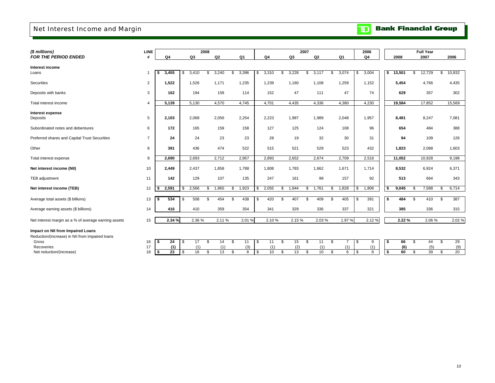## Net Interest Income and Margin

## **TD** Bank Financial Group

| <b>LINE</b>    |                      |                         |                                     |                                          |                                  |                                         |                                         |                                          | 2006                            |                                 | <b>Full Year</b>         |                                            |
|----------------|----------------------|-------------------------|-------------------------------------|------------------------------------------|----------------------------------|-----------------------------------------|-----------------------------------------|------------------------------------------|---------------------------------|---------------------------------|--------------------------|--------------------------------------------|
| #              | Q <sub>4</sub>       | Q3                      | Q2                                  | Q1                                       | Q <sub>4</sub>                   | Q3                                      | Q2                                      | Q1                                       | Q <sub>4</sub>                  | 2008                            | 2007                     | 2006                                       |
|                |                      |                         |                                     |                                          |                                  |                                         |                                         |                                          |                                 |                                 |                          | 10,832<br>S.                               |
|                |                      |                         |                                     |                                          |                                  |                                         |                                         |                                          |                                 |                                 |                          |                                            |
| $\overline{2}$ | 1,522                | 1,526                   | 1,171                               | 1,235                                    | 1,239                            | 1,160                                   | 1,108                                   | 1,259                                    | 1,152                           | 5,454                           | 4,766                    | 4,435                                      |
| 3              | 162                  | 194                     | 159                                 | 114                                      | 152                              | 47                                      | 111                                     | 47                                       | 74                              | 629                             | 357                      | 302                                        |
| $\overline{4}$ | 5,139                | 5,130                   | 4,570                               | 4,745                                    | 4,701                            | 4,435                                   | 4,336                                   | 4,380                                    | 4,230                           | 19,584                          | 17,852                   | 15,569                                     |
| 5              | 2,103                | 2,068                   | 2,056                               | 2,254                                    | 2,223                            | 1,987                                   | 1,989                                   | 2,048                                    | 1,957                           | 8,481                           | 8,247                    | 7,081                                      |
| 6              | 172                  | 165                     | 159                                 | 158                                      | 127                              | 125                                     | 124                                     | 108                                      | 96                              | 654                             | 484                      | 388                                        |
| $\overline{7}$ | 24                   | 24                      | 23                                  | 23                                       | 28                               | 19                                      | 32                                      | 30                                       | 31                              | 94                              | 109                      | 126                                        |
| 8              | 391                  | 436                     | 474                                 | 522                                      | 515                              | 521                                     | 529                                     | 523                                      | 432                             | 1,823                           | 2,088                    | 1,603                                      |
| 9              | 2,690                | 2,693                   | 2,712                               | 2,957                                    | 2,893                            | 2,652                                   | 2,674                                   | 2,709                                    | 2,516                           | 11,052                          | 10,928                   | 9,198                                      |
| 10             | 2,449                | 2,437                   | 1,858                               | 1,788                                    | 1,808                            | 1,783                                   | 1,662                                   | 1,671                                    | 1,714                           | 8,532                           | 6,924                    | 6,371                                      |
| 11             | 142                  | 129                     | 107                                 | 135                                      | 247                              | 161                                     | 99                                      | 157                                      | 92                              | 513                             | 664                      | 343                                        |
| 12             | 2,591<br>\$          | 2,566<br>\$.            | 1,965<br>\$                         | 1,923<br>\$.                             | 2,055                            | 1,944<br>\$                             | 1,761<br>\$                             | 1,828<br>S                               | 1,806<br>\$                     | 9,045<br>S.                     | 7,588                    | 6,714<br>\$                                |
| 13             | 534<br>\$            | 508<br>\$.              | 454<br>S.                           | 438<br>S.                                | 420<br>\$                        | 407<br>\$                               | 409<br>S.                               | 405<br>\$                                | 391<br>\$                       | 484<br>S.                       | 410<br>-S                | 387<br>\$                                  |
| 14             | 416                  | 410                     | 359                                 | 354                                      | 341                              | 329                                     | 336                                     | 337                                      | 321                             | 385                             | 336                      | 315                                        |
| 15             |                      |                         |                                     |                                          |                                  |                                         |                                         |                                          | 2.12%                           |                                 |                          | 2.02%                                      |
|                |                      |                         |                                     |                                          |                                  |                                         |                                         |                                          |                                 |                                 |                          |                                            |
| 16             | 24<br>s              | 17<br>l \$              | S.<br>14                            | S.<br>11                                 | <b>\$</b><br>11                  | \$<br>15                                | \$<br>11                                | \$<br>$\overline{7}$                     | \$<br>9                         | 66<br>S.                        | \$<br>44                 | \$<br>29                                   |
| 17             | (1)                  | (1)                     | (1)                                 | (3)                                      | (1)                              |                                         | (1)                                     | (1)                                      | (1)                             | (6)                             | (5)                      | (9)<br>S.<br>20                            |
|                | $\overline{1}$<br>18 | 3,455<br>\$<br>23<br>\$ | 3,410<br>\$<br>2.34 %<br>16<br>l \$ | 2008<br>3,240<br>\$<br>2.36%<br>13<br>\$ | 3,396<br>\$.<br>2.11%<br>\$<br>8 | 3,310<br>\$<br>2.01%<br>10<br><b>\$</b> | 3,228<br>\$<br>2.10%<br>(2)<br>13<br>S. | 2007<br>\$<br>3,117<br>2.15%<br>10<br>S. | 3,074<br>\$<br>2.03%<br>6<br>\$ | 3,004<br>\$<br>1.97%<br>8<br>\$ | 13,501<br>\$<br>60<br>S. | 12,729<br>\$<br>2.22%<br>2.06%<br>39<br>S. |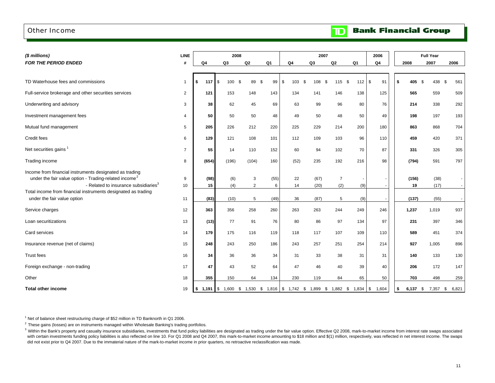### Other Income

#### **Bank Financial Group**  $\mathbb{D}$

| (\$ millions)                                                                                                                                                                                                                                                                    | <b>LINE</b>    |           |                    |                       | 2008                     |                                                                                                                                                                                 |                | 2007                 |                            |            | 2006                               |                      | <b>Full Year</b>     |           |
|----------------------------------------------------------------------------------------------------------------------------------------------------------------------------------------------------------------------------------------------------------------------------------|----------------|-----------|--------------------|-----------------------|--------------------------|---------------------------------------------------------------------------------------------------------------------------------------------------------------------------------|----------------|----------------------|----------------------------|------------|------------------------------------|----------------------|----------------------|-----------|
| FOR THE PERIOD ENDED                                                                                                                                                                                                                                                             |                | Q4        |                    | Q3                    | Q2                       | Q1                                                                                                                                                                              | Q4             | Q3                   | Q2                         | Q1         | Q4                                 | 2008                 | 2007                 | 2006      |
| TD Waterhouse fees and commissions                                                                                                                                                                                                                                               | $\mathbf{1}$   | 117<br>\$ |                    | $\mathfrak{s}$<br>100 | \$<br>89                 | \$<br>99                                                                                                                                                                        | \$<br>103      | \$<br>108            | $115$ \$<br>\$             | 112        | \$<br>91                           | \$<br>405<br>- \$    | 438                  | \$<br>561 |
| Full-service brokerage and other securities services                                                                                                                                                                                                                             | $\overline{2}$ | 121       |                    | 153                   | 148                      | 143                                                                                                                                                                             | 134            | 141                  | 146                        | 138        | 125                                | 565                  | 559                  | 509       |
| Underwriting and advisory                                                                                                                                                                                                                                                        | 3              |           | 38                 | 62                    | 45                       | 69                                                                                                                                                                              | 63             | 99                   | 96                         | 80         | 76                                 | 214                  | 338                  | 292       |
| Investment management fees                                                                                                                                                                                                                                                       | 4              |           | 50                 | 50                    | 50                       | 48                                                                                                                                                                              | 49             | 50                   | 48                         | 50         | 49                                 | 198                  | 197                  | 193       |
| Mutual fund management                                                                                                                                                                                                                                                           | 5              |           | 205                | 226                   | 212                      | 220                                                                                                                                                                             | 225            | 229                  | 214                        | 200        | 180                                | 863                  | 868                  | 704       |
| Credit fees                                                                                                                                                                                                                                                                      | 6              |           | 129                | 121                   | 108                      | 101                                                                                                                                                                             | 112            | 109                  | 103                        | 96         | 110                                | 459                  | 420                  | 371       |
| Net securities gains <sup>1</sup>                                                                                                                                                                                                                                                | $\overline{7}$ |           | 55                 | 14                    | 110                      | 152                                                                                                                                                                             | 60             | 94                   | 102                        | 70         | 87                                 | 331                  | 326                  | 305       |
| Trading income                                                                                                                                                                                                                                                                   | 8              |           | (654)              | (196)                 | (104)                    | 160                                                                                                                                                                             | (52)           | 235                  | 192                        | 216        | 98                                 | (794)                | 591                  | 797       |
| Income from financial instruments designated as trading<br>under the fair value option - Trading-related income <sup>2</sup><br>- Related to insurance subsidiaries <sup>3</sup><br>Total income from financial instruments designated as trading<br>under the fair value option | 9<br>10<br>11  |           | (98)<br>15<br>(83) | (6)<br>(4)<br>(10)    | 3<br>$\overline{2}$<br>5 | (55)<br>6<br>(49)                                                                                                                                                               | 22<br>14<br>36 | (67)<br>(20)<br>(87) | $\overline{7}$<br>(2)<br>5 | (9)        | $\sim$<br>$\overline{\phantom{a}}$ | (156)<br>19<br>(137) | (38)<br>(17)<br>(55) | $\sim$    |
| Service charges                                                                                                                                                                                                                                                                  | 12             |           | 363                | 356                   | 258                      | 260                                                                                                                                                                             | 263            | 263                  | 244                        | (9)<br>249 | 246                                | 1,237                | 1,019                | 937       |
| Loan securitizations                                                                                                                                                                                                                                                             | 13             |           | (13)               | 77                    | 91                       | 76                                                                                                                                                                              | 80             | 86                   | 97                         | 134        | 97                                 | 231                  | 397                  | 346       |
| Card services                                                                                                                                                                                                                                                                    | 14             |           | 179                | 175                   | 116                      | 119                                                                                                                                                                             | 118            | 117                  | 107                        | 109        | 110                                | 589                  | 451                  | 374       |
| Insurance revenue (net of claims)                                                                                                                                                                                                                                                | 15             |           | 248                | 243                   | 250                      | 186                                                                                                                                                                             | 243            | 257                  | 251                        | 254        | 214                                | 927                  | 1,005                | 896       |
| <b>Trust fees</b>                                                                                                                                                                                                                                                                | 16             |           | 34                 | 36                    | 36                       | 34                                                                                                                                                                              | 31             | 33                   | 38                         | 31         | 31                                 | 140                  | 133                  | 130       |
| Foreign exchange - non-trading                                                                                                                                                                                                                                                   | 17             |           | 47                 | 43                    | 52                       | 64                                                                                                                                                                              | 47             | 46                   | 40                         | 39         | 40                                 | 206                  | 172                  | 147       |
| Other                                                                                                                                                                                                                                                                            | 18             |           | 355                | 150                   | 64                       | 134                                                                                                                                                                             | 230            | 119                  | 84                         | 65         | 50                                 | 703                  | 498                  | 259       |
| <b>Total other income</b>                                                                                                                                                                                                                                                        | 19             |           |                    |                       |                          | $\frac{1}{2}$ 1,191 $\frac{1}{2}$ 5 1,600 $\frac{1}{2}$ 1,530 $\frac{1}{2}$ 1,816 $\frac{1}{2}$ 1,742 $\frac{1}{2}$ 1,899 $\frac{1}{2}$ 1,882 $\frac{1}{2}$ 1,834 $\frac{1}{2}$ |                |                      |                            |            | 1,604                              | \$<br>6,137 \$       | 7,357 \$             | 6,821     |

<sup>1</sup> Net of balance sheet restructuring charge of \$52 million in TD Banknorth in Q1 2006.

 $2$  These gains (losses) are on instruments managed within Wholesale Banking's trading portfolios.

with certain investments funding policy liabilities is also reflected on line 10. For Q1 2008 and Q4 2007, this mark-to-market income amounting to \$18 million and \$(1) million, respectively, was reflected in net interest i did not exist prior to Q4 2007. Due to the immaterial nature of the mark-to-market income in prior quarters, no retroactive reclassification was made. <sup>3</sup> Within the Bank's property and casualty insurance subsidiaries, investments that fund policy liabilities are designated as trading under the fair value option. Effective Q2 2008, mark-to-market income from interest rat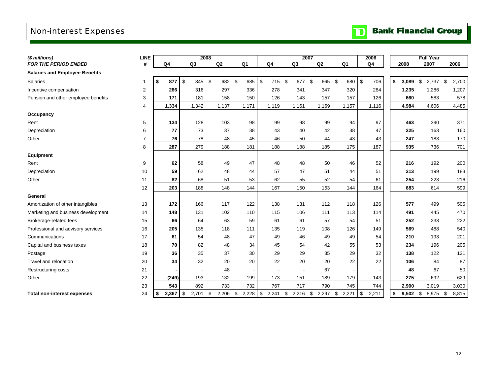## Non-interest Expenses

| (\$ millions)                         | <b>LINE</b>    |                                    |    | 2008  |             |                             |                |                          | 2007      |                | 2006                          |             | <b>Full Year</b> |             |
|---------------------------------------|----------------|------------------------------------|----|-------|-------------|-----------------------------|----------------|--------------------------|-----------|----------------|-------------------------------|-------------|------------------|-------------|
| <b>FOR THE PERIOD ENDED</b>           | #              | Q <sub>4</sub>                     | Q3 |       | Q2          | Q <sub>1</sub>              | Q <sub>4</sub> | Q3                       | Q2        | Q <sub>1</sub> | Q <sub>4</sub>                | 2008        | 2007             | 2006        |
| <b>Salaries and Employee Benefits</b> |                |                                    |    |       |             |                             |                |                          |           |                |                               |             |                  |             |
| Salaries                              | $\mathbf{1}$   | \$<br>877                          | \$ | 845   | \$<br>682   | \$<br>685                   | \$<br>715      | \$<br>677                | \$<br>665 | \$<br>680      | \$<br>706                     | \$<br>3,089 | \$<br>2,737      | \$<br>2,700 |
| Incentive compensation                | 2              | 286                                |    | 316   | 297         | 336                         | 278            | 341                      | 347       | 320            | 284                           | 1,235       | 1,286            | 1,207       |
| Pension and other employee benefits   | 3              | 171                                |    | 181   | 158         | 150                         | 126            | 143                      | 157       | 157            | 126                           | 660         | 583              | 578         |
|                                       | 4              | 1,334                              |    | 1,342 | 1,137       | 1,171                       | 1,119          | 1,161                    | 1,169     | 1,157          | 1,116                         | 4,984       | 4,606            | 4,485       |
| Occupancy                             |                |                                    |    |       |             |                             |                |                          |           |                |                               |             |                  |             |
| Rent                                  | 5              | 134                                |    | 128   | 103         | 98                          | 99             | 98                       | 99        | 94             | 97                            | 463         | 390              | 371         |
| Depreciation                          | 6              | 77                                 |    | 73    | 37          | 38                          | 43             | 40                       | 42        | 38             | 47                            | 225         | 163              | 160         |
| Other                                 | $\overline{7}$ | 76                                 |    | 78    | 48          | 45                          | 46             | 50                       | 44        | 43             | 43                            | 247         | 183              | 170         |
|                                       | 8              | 287                                |    | 279   | 188         | 181                         | 188            | 188                      | 185       | 175            | 187                           | 935         | 736              | 701         |
| <b>Equipment</b>                      |                |                                    |    |       |             |                             |                |                          |           |                |                               |             |                  |             |
| Rent                                  | 9              | 62                                 |    | 58    | 49          | 47                          | 48             | 48                       | 50        | 46             | 52                            | 216         | 192              | 200         |
| Depreciation                          | 10             | 59                                 |    | 62    | 48          | 44                          | 57             | 47                       | 51        | 44             | 51                            | 213         | 199              | 183         |
| Other                                 | 11             | 82                                 |    | 68    | 51          | 53                          | 62             | 55                       | 52        | 54             | 61                            | 254         | 223              | 216         |
|                                       | 12             | 203                                |    | 188   | 148         | 144                         | 167            | 150                      | 153       | 144            | 164                           | 683         | 614              | 599         |
| General                               |                |                                    |    |       |             |                             |                |                          |           |                |                               |             |                  |             |
| Amortization of other intangibles     | 13             | 172                                |    | 166   | 117         | 122                         | 138            | 131                      | 112       | 118            | 126                           | 577         | 499              | 505         |
| Marketing and business development    | 14             | 148                                |    | 131   | 102         | 110                         | 115            | 106                      | 111       | 113            | 114                           | 491         | 445              | 470         |
| Brokerage-related fees                | 15             | 66                                 |    | 64    | 63          | 59                          | 61             | 61                       | 57        | 54             | 51                            | 252         | 233              | 222         |
| Professional and advisory services    | 16             | 205                                |    | 135   | 118         | 111                         | 135            | 119                      | 108       | 126            | 149                           | 569         | 488              | 540         |
| Communications                        | 17             | 61                                 |    | 54    | 48          | 47                          | 49             | 46                       | 49        | 49             | 54                            | 210         | 193              | 201         |
| Capital and business taxes            | 18             | 70                                 |    | 82    | 48          | 34                          | 45             | 54                       | 42        | 55             | 53                            | 234         | 196              | 205         |
| Postage                               | 19             | 36                                 |    | 35    | 37          | 30                          | 29             | 29                       | 35        | 29             | 32                            | 138         | 122              | 121         |
| Travel and relocation                 | 20             | 34                                 |    | 32    | 20          | 20                          | 22             | 20                       | 20        | 22             | 22                            | 106         | 84               | 87          |
| Restructuring costs                   | 21             |                                    |    |       | 48          |                             |                | $\overline{\phantom{a}}$ | 67        |                |                               | 48          | 67               | 50          |
| Other                                 | 22             | (249)                              |    | 193   | 132         | 199                         | 173            | 151                      | 189       | 179            | 143                           | 275         | 692              | 629         |
|                                       | 23             | 543                                |    | 892   | 733         | 732                         | 767            | 717                      | 790       | 745            | 744                           | 2,900       | 3,019            | 3,030       |
| <b>Total non-interest expenses</b>    | 24             | 2,367<br>$\boldsymbol{\mathsf{s}}$ | \$ | 2,701 | \$<br>2,206 | $\sqrt[6]{2}$<br>$2,228$ \$ | 2,241          | \$<br>$2,216$ \$         | 2,297     | 2,221<br>\$    | $\pmb{\mathfrak{z}}$<br>2,211 | \$<br>9,502 | \$<br>8,975 \$   | 8,815       |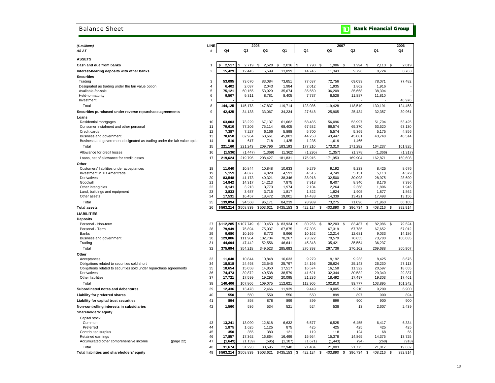### Balance Sheet

## **TD** Bank Financial Group

| (\$ millions)                                                                                                      | LINE                |                  | 2008             |                  |                  |                  |                     | 2007              |                  | 2006                |
|--------------------------------------------------------------------------------------------------------------------|---------------------|------------------|------------------|------------------|------------------|------------------|---------------------|-------------------|------------------|---------------------|
| AS AT                                                                                                              | #                   | Q4               | Q3               | Q2               | Q1               | Q4               | Q3                  | Q2                | Q1               | Q4                  |
|                                                                                                                    |                     |                  |                  |                  |                  |                  |                     |                   |                  |                     |
| <b>ASSETS</b>                                                                                                      |                     |                  |                  |                  |                  |                  |                     |                   |                  |                     |
| Cash and due from banks                                                                                            | $\mathbf{1}$        | 2,517            | 2,719            | 2.520<br>S.      | 2,036<br>S.      | \$<br>1.790      | - \$<br>1,986       | <b>S</b><br>1,994 | -S<br>2,113      | S<br>2,019          |
| Interest-bearing deposits with other banks                                                                         | $\overline{2}$      | 15,429           | 12,445           | 15,599           | 13,099           | 14,746           | 11,343              | 9,796             | 8,724            | 8,763               |
| <b>Securities</b>                                                                                                  |                     |                  |                  |                  |                  |                  |                     |                   |                  |                     |
| Trading                                                                                                            | 3                   | 53,095           | 73,670           | 83,084           | 73,651           | 77,637           | 72,756              | 69,093            | 78,071           | 77,482              |
| Designated as trading under the fair value option                                                                  | $\overline{4}$      | 6,402            | 2,037            | 2,043            | 1,984            | 2,012            | 1,935               | 1,862             | 1,916            |                     |
| Available-for-sale                                                                                                 | $\sqrt{5}$          | 75,121           | 60,155           | 53,929           | 35,674           | 35,650           | 36,209              | 35,668            | 38,394           |                     |
| Held-to-maturity<br>Investment                                                                                     | 6<br>$\overline{7}$ | 9,507            | 9,311            | 8,781            | 8,405            | 7,737            | 8,528               | 11,887            | 11,810           |                     |
|                                                                                                                    |                     |                  |                  |                  |                  |                  |                     |                   |                  | 46,976              |
| Total                                                                                                              | 8                   | 144,125          | 145,173          | 147,837          | 119,714          | 123,036          | 119,428             | 118,510           | 130,191          | 124,458             |
| Securities purchased under reverse repurchase agreements                                                           | 9                   | 42,425           | 34,138           | 33,067           | 34,234           | 27,648           | 25,905              | 25,434            | 32,357           | 30,961              |
| Loans                                                                                                              |                     |                  |                  |                  |                  |                  |                     |                   |                  |                     |
| Residential mortgages                                                                                              | 10<br>11            | 63,003<br>79,610 | 73,229<br>77,206 | 67,137<br>75,114 | 61,662<br>68,405 | 58,485           | 56,096              | 53,997<br>65,370  | 51,794<br>63,520 | 53,425              |
| Consumer instalment and other personal<br>Credit cards                                                             | 12                  | 7,387            | 7,227            | 6,166            | 5,898            | 67,532<br>5,700  | 66,574<br>5,574     | 5,369             | 5,175            | 63,130<br>4,856     |
| Business and government                                                                                            | 13                  | 70,650           | 62,964           | 60,661           | 45,803           | 44,258           | 43,447              | 45,081            | 43,748           | 40,514              |
| Business and government designated as trading under the fair value option                                          | 14                  | 510              | 617              | 718              | 1,425            | 1,235            | 1,619               | 1,465             |                  |                     |
| Total                                                                                                              | 15                  | 221,160          | 221,243          | 209,796          | 183,193          | 177,210          | 173,310             | 171,282           | 164,237          | 161,925             |
| Allowance for credit losses                                                                                        | 16                  | (1, 536)         | (1, 447)         | (1, 369)         | (1, 362)         | (1, 295)         | (1, 357)            | (1, 378)          | (1,366)          | (1, 317)            |
| Loans, net of allowance for credit losses                                                                          | 17                  | 219,624          | 219,796          | 208,427          | 181,831          | 175,915          | 171,953             | 169,904           | 162,871          | 160,608             |
| Other                                                                                                              |                     |                  |                  |                  |                  |                  |                     |                   |                  |                     |
| Customers' liabilities under acceptances                                                                           | 18                  | 11,040           | 10,844           | 10,848           | 10,633           | 9,279            | 9,192               | 9,233             | 8,425            | 8,676               |
| Investment in TD Ameritrade                                                                                        | 19                  | 5,159            | 4,877            | 4,829            | 4,593            | 4,515            | 4,749               | 5,131             | 5,113            | 4,379               |
| Derivatives                                                                                                        | 20                  | 83,548           | 41,173           | 40,321           | 38,346           | 38,918           | 32,500              | 30,098            | 28,975           | 28,690              |
| Goodwill                                                                                                           | 21                  | 14,842           | 14,317           | 14,213           | 7,875            | 7,918            | 8,407               | 8,940             | 8,176            | 7,396               |
| Other intangibles                                                                                                  | 22                  | 3,141            | 3,213            | 3,773            | 1,974            | 2,104            | 2,264               | 2,368             | 1,896            | 1,946               |
| Land, buildings and equipment                                                                                      | 23                  | 3,833            | 3,687            | 3,715            | 1,817            | 1,822            | 1,824               | 1,905             | 1,877            | 1,862               |
| Other assets                                                                                                       | 24                  | 17,531           | 16,457           | 18,472           | 19,001           | 14,433           | 14,339              | 13,421            | 17,498           | 13,156              |
| Total                                                                                                              | 25                  | 139.094          | 94.568           | 96.171           | 84.239           | 78.989           | 73.275              | 71.096            | 71.960           | 66,105              |
| <b>Total assets</b>                                                                                                | 26                  | \$563,214        | \$508,839        | \$503,621        | \$435,153        | \$<br>422,124    | 403,890<br>\$       | \$<br>396,734     | 408,216<br>\$    | 392,914<br>\$       |
| <b>LIABILITIES</b>                                                                                                 |                     |                  |                  |                  |                  |                  |                     |                   |                  |                     |
| <b>Deposits</b>                                                                                                    |                     |                  |                  |                  |                  |                  |                     |                   |                  |                     |
| Personal - Non-term                                                                                                | 27                  | \$112,285        | \$107,749        | \$110,453        | 83,934<br>\$     | 80,256<br>\$     | 82,203<br>\$        | 83,487<br>\$      | 82,986<br>\$     | 79,624<br>\$        |
| Personal - Term                                                                                                    | 28                  | 79,949           | 76,894           | 75,037           | 67,875           | 67,305           | 67,319              | 67,785            | 67,652           | 67,012              |
| Banks                                                                                                              | 29                  | 9,680            | 10,169           | 8,773            | 8,966            | 10,162           | 12,214              | 12,681            | 9,033            | 14,186              |
| Business and government                                                                                            | 30                  | 129,086          | 111,964          | 102,704          | 78,267           | 73,322           | 70,579              | 70,655            | 73,780           | 100,085             |
| Trading                                                                                                            | 31                  | 44,694           | 47,442           | 52,556           | 46,641           | 45,348           | 35,421              | 35,554            | 36,237           |                     |
| Total                                                                                                              | 32                  | 375,694          | 354,218          | 349,523          | 285,683          | 276,393          | 267,736             | 270,162           | 269,688          | 260,907             |
| Other                                                                                                              |                     |                  |                  |                  |                  |                  |                     |                   |                  |                     |
| Acceptances                                                                                                        | 33                  | 11,040           | 10,844           | 10,848           | 10,633           | 9,279            | 9,192               | 9,233             | 8,425            | 8,676               |
| Obligations related to securities sold short<br>Obligations related to securities sold under repurchase agreements | 34<br>35            | 18,518<br>18,654 | 24,493<br>15,058 | 23,546<br>14,850 | 25,797<br>17,517 | 24,195<br>16,574 | 26,624<br>16,158    | 25,143<br>11,322  | 26,230<br>20,597 | 27,113<br>18,655    |
| Derivatives                                                                                                        | 36                  | 74,473           | 39,872           | 40,538           | 38,579           | 41,621           | 32,344              | 30,582            | 29,340           | 29,337              |
| Other liabilities                                                                                                  | 37                  | 17,721           | 17,599           | 19,293           | 20,095           | 21,236           | 18,492              | 17,497            | 19,303           | 17,461              |
| Total                                                                                                              | 38                  | 140,406          | 107,866          | 109,075          | 112,621          | 112,905          | 102,810             | 93,777            | 103,895          | 101,242             |
| Subordinated notes and debentures                                                                                  | 39                  | 12,436           | 13,478           | 12,466           | 11,939           | 9,449            | 10,005              | 9,210             | 9,209            | 6,900               |
| Liability for preferred shares                                                                                     | 40                  | 550              | 550              | 550              | 550              | 550              | 899                 | 897               | 900              | 894                 |
| Liability for capital trust securities                                                                             | 41                  | 894              | 898              | 878              | 899              | 899              | 899                 | 900               | 900              | 900                 |
| Non-controlling interests in subsidiaries                                                                          | 42                  | 1,560            | 536              | 534              | 521              | 524              | 538                 | 13                | 2,607            | 2,439               |
| Shareholders' equity                                                                                               |                     |                  |                  |                  |                  |                  |                     |                   |                  |                     |
| Capital stock                                                                                                      |                     |                  |                  |                  |                  |                  |                     |                   |                  |                     |
| Common                                                                                                             | 43                  | 13,241           | 13,090           | 12,818           | 6,632            | 6,577            | 6,525               | 6,455             | 6,417            | 6,334               |
| Preferred                                                                                                          | 44                  | 1,875            | 1.625            | 1.125            | 875              | 425              | 425                 | 425               | 425              | 425                 |
| Contributed surplus                                                                                                | 45                  | 350              | 355              | 383              | 121              | 119              | 118                 | 124               | 68               | 66                  |
| Retained earnings                                                                                                  | 46                  | 17,857           | 17,362           | 16,864           | 16,499           | 15,954           | 15,378              | 14,865            | 14,375           | 13,725              |
| Accumulated other comprehensive income<br>(page 22)                                                                | 47                  | (1,649)          | (1, 139)         | (595)            | (1, 187)         | (1,671)          | (1, 443)            | (94)              | (268)            | (918)               |
| Total                                                                                                              | 48                  | 31,674           | 31,293           | 30,595           | 22,940           | 21,404           | 21,003              | 21,775            | 21,017           | 19,632              |
| Total liabilities and shareholders' equity                                                                         | 49                  | \$563.214        | \$508,839        | \$503,621        | $$435,153$ \$    | 422.124          | <b>S</b><br>403.890 | \$<br>396.734     | \$<br>408.216    | <b>S</b><br>392.914 |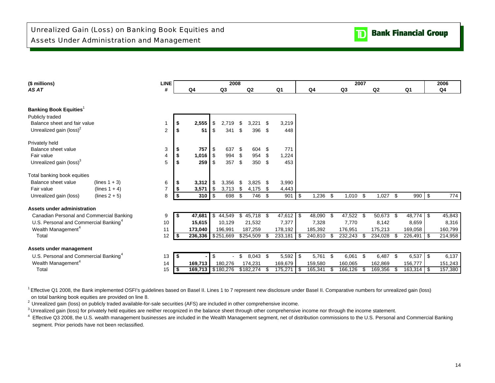| (\$ millions)                                     |                  | <b>LINE</b>    |      |                   | 2008         |      |                |     |                |               |      |           | 2007 |                |      |                |      | 2006    |
|---------------------------------------------------|------------------|----------------|------|-------------------|--------------|------|----------------|-----|----------------|---------------|------|-----------|------|----------------|------|----------------|------|---------|
| AS AT                                             |                  | #              |      | Q4                | Q3           |      | Q <sub>2</sub> |     | Q <sub>1</sub> | Q4            |      | Q3        |      | Q <sub>2</sub> |      | Q <sub>1</sub> |      | Q4      |
| Banking Book Equities <sup>1</sup>                |                  |                |      |                   |              |      |                |     |                |               |      |           |      |                |      |                |      |         |
| Publicly traded                                   |                  |                |      |                   |              |      |                |     |                |               |      |           |      |                |      |                |      |         |
| Balance sheet and fair value                      |                  |                | - 5  | 2,555             | \$<br>2.719  | \$   | 3.221          | \$  | 3,219          |               |      |           |      |                |      |                |      |         |
| Unrealized gain (loss) <sup>2</sup>               |                  | $\overline{2}$ | - \$ | 51                | \$<br>341    | \$   | 396            | \$  | 448            |               |      |           |      |                |      |                |      |         |
| Privately held                                    |                  |                |      |                   |              |      |                |     |                |               |      |           |      |                |      |                |      |         |
| Balance sheet value                               |                  | 3              | - \$ | 757               | 637          | \$   | 604            | -\$ | 771            |               |      |           |      |                |      |                |      |         |
| Fair value                                        |                  | 4              | -\$  | 1,016             | \$<br>994    | \$   | 954            | \$  | 1,224          |               |      |           |      |                |      |                |      |         |
| Unrealized gain (loss) <sup>3</sup>               |                  | 5              |      | 259               | 357          | \$   | 350            | \$  | 453            |               |      |           |      |                |      |                |      |         |
| Total banking book equities                       |                  |                |      |                   |              |      |                |     |                |               |      |           |      |                |      |                |      |         |
| Balance sheet value                               | (lines $1 + 3$ ) | 6              |      | 3,312             | \$<br>3,356  | - \$ | 3,825          | \$  | 3,990          |               |      |           |      |                |      |                |      |         |
| Fair value                                        | (lines $1 + 4$ ) | $\overline{7}$ | -\$  | 3,571             | \$<br>3,713  | \$   | 4,175          | \$  | 4,443          |               |      |           |      |                |      |                |      |         |
| Unrealized gain (loss)                            | $(lines 2 + 5)$  | 8              | -\$  | 310               | 698 \$       |      | 746            | \$  | 901            | \$<br>1,236   | \$   | 1,010     | -\$  | $1,027$ \$     |      | 990 \$         |      | 774     |
| Assets under administration                       |                  |                |      |                   |              |      |                |     |                |               |      |           |      |                |      |                |      |         |
| Canadian Personal and Commercial Banking          |                  | 9              | - 5  | 47,681            | \$<br>44,549 | \$   | 45,718         | -\$ | 47,612         | \$<br>48,090  | - \$ | 47,522 \$ |      | 50,673 \$      |      | 48,774         | l \$ | 45,843  |
| U.S. Personal and Commercial Banking <sup>4</sup> |                  | 10             |      | 15,615            | 10,129       |      | 21,532         |     | 7,377          | 7,328         |      | 7,770     |      | 8,142          |      | 8,659          |      | 8,316   |
| Wealth Management <sup>4</sup>                    |                  | 11             |      | 173,040           | 196,991      |      | 187,259        |     | 178,192        | 185,392       |      | 176,951   |      | 175,213        |      | 169,058        |      | 160,799 |
| Total                                             |                  | 12             | - \$ | 236,336           | \$251,669    |      | \$254,509      | \$  | 233,181        | \$<br>240,810 | \$   | 232,243   |      | 234,028 \$     |      | 226,491        | l \$ | 214,958 |
| Assets under management                           |                  |                |      |                   |              |      |                |     |                |               |      |           |      |                |      |                |      |         |
| U.S. Personal and Commercial Banking <sup>4</sup> |                  | 13             | - \$ |                   | \$           | \$   | 8,043          | \$  | 5,592          | \$<br>5,761   | \$   | 6,061     | - \$ | 6,487 \$       |      | $6,537$ \$     |      | 6,137   |
| Wealth Management <sup>4</sup>                    |                  | 14             |      | 169,713           | 180,276      |      | 174,231        |     | 169,679        | 159,580       |      | 160,065   |      | 162,869        |      | 156,777        |      | 151,243 |
| Total                                             |                  | 15             | -\$  | 169,713 \$180,276 |              |      | \$182,274      | S   | 175,271        | 165,341       | \$   | 166,126   | \$   | 169,356        | - \$ | 163,314        | - \$ | 157,380 |

<sup>1</sup> Effective Q1 2008, the Bank implemented OSFI's guidelines based on Basel II. Lines 1 to 7 represent new disclosure under Basel II. Comparative numbers for unrealized gain (loss)

on total banking book equities are provided on line 8.

<sup>2</sup> Unrealized gain (loss) on publicly traded available-for-sale securities (AFS) are included in other comprehensive income.

<sup>3</sup> Unrealized gain (loss) for privately held equities are neither recognized in the balance sheet through other comprehensive income nor through the income statement.

<sup>4</sup> Effective Q3 2008, the U.S. wealth management businesses are included in the Wealth Management segment, net of distribution commissions to the U.S. Personal and Commercial Banking segment. Prior periods have not been reclassified.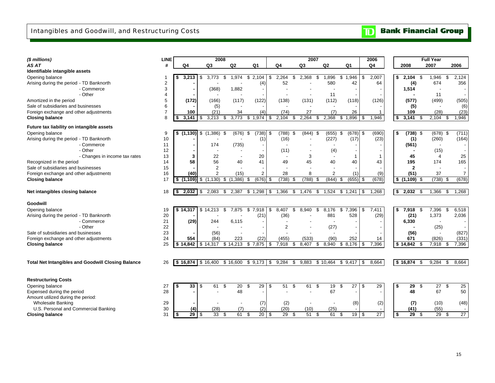# **TD** Bank Financial Group

| (\$ millions)                                             | <b>LINE</b>    |                       |     | 2008                |                |                 |                      |                          |                |                          |     | 2007  |     |                          |                      |              |      | 2006            |             |                 |      | <b>Full Year</b>         |     |                 |
|-----------------------------------------------------------|----------------|-----------------------|-----|---------------------|----------------|-----------------|----------------------|--------------------------|----------------|--------------------------|-----|-------|-----|--------------------------|----------------------|--------------|------|-----------------|-------------|-----------------|------|--------------------------|-----|-----------------|
| AS AT                                                     | #              | Q4                    |     | Q <sub>3</sub>      | Q <sub>2</sub> |                 | Q1                   |                          | Q <sub>4</sub> |                          |     | Q3    |     | Q2                       |                      | Q1           |      | Q4              | 2008        |                 |      | 2007                     |     | 2006            |
| Identifiable intangible assets                            |                |                       |     |                     |                |                 |                      |                          |                |                          |     |       |     |                          |                      |              |      |                 |             |                 |      |                          |     |                 |
| Opening balance                                           |                | \$<br>3,213           | \$  | 3,773               | \$             | 1,974           | $\overline{3}$ 2,104 |                          | \$             | 2,264                    | \$  | 2,368 | \$  | 1,896                    | \$                   | 1,946        | \$   | 2,007           | \$<br>2,104 |                 | \$   | 1,946                    | \$  | 2,124           |
| Arising during the period - TD Banknorth                  | 2              |                       |     |                     |                |                 |                      | (4)                      |                | 52                       |     |       |     | 580                      |                      | 42           |      | 64              |             | (4)             |      | 674                      |     | 356             |
| - Commerce                                                | 3              |                       |     | (368)               |                | 1,882           |                      | $\overline{\phantom{a}}$ |                |                          |     |       |     |                          |                      |              |      |                 | 1,514       |                 |      |                          |     |                 |
| - Other                                                   | $\overline{4}$ |                       |     |                     |                |                 |                      |                          |                |                          |     |       |     | 11                       |                      |              |      |                 |             |                 |      | 11                       |     |                 |
| Amortized in the period                                   | 5              | (172)                 |     | (166)               |                | (117)           |                      | (122)                    |                | (138)                    |     | (131) |     | (112)                    |                      | (118)        |      | (126)           |             | (577)           |      | (499)                    |     | (505)           |
| Sale of subsidiaries and businesses                       | 6              |                       |     | (5)                 |                |                 |                      |                          |                |                          |     |       |     | $\overline{\phantom{a}}$ |                      |              |      |                 |             | (5)             |      | $\overline{\phantom{a}}$ |     | (6)             |
| Foreign exchange and other adjustments                    | $\overline{7}$ | 100                   |     | (21)                |                | 34              |                      | (4)                      |                | (74)                     |     | 27    |     | (7)                      |                      | 26           |      | -1              |             | 109             |      | (28)                     |     | (23)            |
| <b>Closing balance</b>                                    | 8              | \$<br>3.141           | \$  | 3,213               | S              | 3,773           | \$                   | 1,974                    | S              | 2,104                    | ß.  | 2,264 | S   | 2,368                    | \$                   | .896         | \$   | 1,946           | \$<br>3,141 |                 | \$.  | 2,104                    | \$. | 1,946           |
| Future tax liability on intangible assets                 |                |                       |     |                     |                |                 |                      |                          |                |                          |     |       |     |                          |                      |              |      |                 |             |                 |      |                          |     |                 |
| Opening balance                                           | 9              | $\sqrt[3]{(1,130)}$   | \$  | (1,386)             | -\$            | (676)           | \$                   | (738)                    | \$             | (788)                    | -\$ | (844) | -\$ | (655)                    | \$                   | (678)        | \$   | (690)           | \$          | $(738)$ \$      |      | (678)                    | \$  | (711)           |
| Arising during the period - TD Banknorth                  | 10             |                       |     |                     |                |                 |                      | (1)                      |                | (16)                     |     |       |     | (227)                    |                      | (17)         |      | (23)            |             | (1)             |      | (260)                    |     | (164)           |
| - Commerce                                                | 11             |                       |     | 174                 |                | (735)           |                      | $\overline{\phantom{a}}$ |                |                          |     |       |     |                          |                      |              |      |                 |             | (561)           |      |                          |     |                 |
| - Other                                                   | 12             |                       |     |                     |                |                 |                      |                          |                | (11)                     |     |       |     | (4)                      |                      |              |      |                 |             |                 |      | (15)                     |     |                 |
| - Changes in income tax rates                             | 13             | 3                     |     | 22                  |                |                 |                      | 20                       |                | $\overline{\phantom{a}}$ |     | 3     |     |                          |                      |              |      |                 |             | 45              |      | 4                        |     | 25              |
| Recognized in the period                                  | 14             | 58                    |     | 56                  |                | 40              |                      | 41                       |                | 49                       |     | 45    |     | 40                       |                      | 40           |      | 43              |             | 195             |      | 174                      |     | 165             |
| Sale of subsidiaries and businesses                       | 15             |                       |     | 2                   |                |                 |                      |                          |                |                          |     |       |     |                          |                      |              |      |                 |             | $\mathbf{2}$    |      |                          |     |                 |
| Foreign exchange and other adjustments                    | 16             | (40)                  |     | 2                   |                | (15)            |                      | $\overline{2}$           |                | 28                       |     | 8     |     | $\overline{2}$           |                      | (1)          |      | (9)             |             | (51)            |      | 37                       |     | $\overline{7}$  |
| <b>Closing balance</b>                                    | 17             | \$<br>(1, 109)        | \$  | (1, 130)            | \$             | (1, 386)<br>\$  |                      | (676)                    | \$             | (738)                    | \$  | (788) | \$  | (844)                    | \$                   | $(655)$ \$   |      | (678)           |             | $$(1,109)$ \$   |      | (738)                    | \$  | (678)           |
|                                                           |                |                       |     |                     |                |                 |                      |                          |                |                          |     |       |     |                          |                      |              |      |                 |             |                 |      |                          |     |                 |
| Net intangibles closing balance                           | 18             | \$                    |     | 2,083               | \$             | 2,387           | \$1,298              |                          | <b>\$</b>      | 1,366                    | \$  | 1,476 | \$  | 1,524                    | \$1,241              |              | l \$ | 1,268           | \$<br>2,032 |                 | - \$ | 1,366                    | \$  | 1,268           |
| Goodwill                                                  |                |                       |     |                     |                |                 |                      |                          |                |                          |     |       |     |                          |                      |              |      |                 |             |                 |      |                          |     |                 |
| Opening balance                                           | 19             | $$ \overline{14,317}$ |     | \$14,213            | \$             | 7,875           | \$                   | 7,918                    | \$             | 8.407                    | \$  | 8.940 | \$  | 8,176                    | \$<br>$\overline{7}$ | .396         | \$   | 7,411           | \$<br>7,918 |                 | -\$  | 7,396                    | \$  | 6,518           |
| Arising during the period - TD Banknorth                  | 20             |                       |     |                     |                |                 |                      | (21)                     |                | (36)                     |     |       |     | 881                      |                      | 528          |      | (29)            |             | (21)            |      | 1,373                    |     | 2,036           |
| - Commerce                                                | 21             | (29)                  |     | 244                 |                | 6,115           |                      | $\overline{\phantom{a}}$ |                |                          |     |       |     |                          |                      |              |      |                 |             | 6,330           |      |                          |     |                 |
| - Other                                                   | 22             |                       |     |                     |                |                 |                      |                          |                | $\overline{2}$           |     |       |     | (27)                     |                      |              |      |                 |             |                 |      | (25)                     |     |                 |
| Sale of subsidiaries and businesses                       | 23             |                       |     | (56)                |                |                 |                      |                          |                |                          |     |       |     |                          |                      |              |      |                 |             | (56)            |      | $\blacksquare$           |     | (827)           |
| Foreign exchange and other adjustments                    | 24             | 554                   |     | (84)                |                | 223             |                      | (22)                     |                | (455)                    |     | (533) |     | (90)                     |                      | 252          |      | 14              |             | 671             |      | (826)                    |     | (331)           |
| <b>Closing balance</b>                                    | 25             | \$14.842              |     | \$14,317            | \$14,213       |                 | \$                   | 7,875                    | \$             | 7,918                    | \$  | 8,407 | \$  | 8.940                    | \$                   | 8,176        | \$   | 7,396           | \$14,842    |                 | - \$ | 7,918                    | \$  | 7,396           |
|                                                           |                |                       |     |                     |                |                 |                      |                          |                |                          |     |       |     |                          |                      |              |      |                 |             |                 |      |                          |     |                 |
| <b>Total Net Intangibles and Goodwill Closing Balance</b> | 26             |                       |     | $$16,874$ $$16,400$ | \$16,600       |                 |                      |                          |                | $$9,173$ $$9,284$        | \$  | 9,883 |     | \$10,464                 |                      | $$9,417$ \\$ |      | 8,664           | \$16,874    |                 | \$   | 9,284                    | \$  | 8,664           |
|                                                           |                |                       |     |                     |                |                 |                      |                          |                |                          |     |       |     |                          |                      |              |      |                 |             |                 |      |                          |     |                 |
| <b>Restructuring Costs</b>                                |                |                       |     |                     |                |                 |                      |                          |                |                          |     |       |     |                          |                      |              |      |                 |             |                 |      |                          |     |                 |
| Opening balance                                           | 27             | \$<br>33              | -\$ | 61                  | \$             | $\overline{20}$ | \$                   | 29                       | -\$            | 51                       | \$  | 61    | \$  | 19                       | \$                   | 27           | \$   | 29              | \$          | 29              | \$   | $\overline{27}$          | \$  | 25              |
| Expensed during the period                                | 28             |                       |     |                     |                | 48              |                      |                          |                |                          |     |       |     | 67                       |                      |              |      |                 |             | 48              |      | 67                       |     | 50              |
| Amount utilized during the period:                        |                |                       |     |                     |                |                 |                      |                          |                |                          |     |       |     |                          |                      |              |      |                 |             |                 |      |                          |     |                 |
| <b>Wholesale Banking</b>                                  | 29             |                       |     |                     |                |                 |                      | (7)                      |                | (2)                      |     |       |     |                          |                      | (8)          |      | (2)             |             | (7)             |      | (10)                     |     | (48)            |
| U.S. Personal and Commercial Banking                      | 30             | (4)                   |     | (28)                |                | (7)             |                      | (2)                      |                | (20)                     |     | (10)  |     | (25)                     |                      |              |      |                 |             | (41)            |      | (55)                     |     |                 |
| <b>Closing balance</b>                                    | 31             | \$<br>$29$ \ \$       |     | 33                  | \$             | 61              | \$                   | 20S                      |                | $\overline{29}$          | \$  | 51    | \$  | 61                       | \$                   | 19S          |      | $\overline{27}$ | \$          | $\overline{29}$ | \$   | 29                       | \$  | $\overline{27}$ |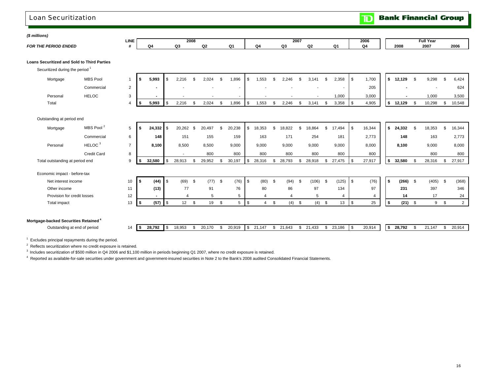### Loan Securitization

**Bank Financial Group**  $\overline{\mathbf{D}}$ 

*(\$ millions)* 

| <i>s illilloris)</i> | <b>LINE</b> |         | 2008 |               |                |    | 2007 |   | 2006 |      | Full Year |      |  |
|----------------------|-------------|---------|------|---------------|----------------|----|------|---|------|------|-----------|------|--|
| FOR THE<br>-NDED     |             | n.<br>w | C.   | $\sim$<br>WZ. | O <sub>1</sub> | Q4 | ົດ   | ⌒ | Q    | 2008 | 2007      | 2006 |  |
|                      |             |         |      |               |                |    |      |   |      |      |           |      |  |

**Loans Securitized and Sold to Third Parties**

Securitized during the period<sup>1</sup>

| Mortgage | <b>MBS Pool</b> | 5,993 | I S | 2,216 | 2,024 | 896,1  | ,553 | 2,246 | 3,141 | 2,358 | 1,700 | 12,129 | 9,298  | 6,424  |
|----------|-----------------|-------|-----|-------|-------|--------|------|-------|-------|-------|-------|--------|--------|--------|
|          | Commercial      |       |     |       |       | $\sim$ |      |       |       |       | 205   |        |        | 624    |
| Personal | <b>HELOC</b>    |       |     |       |       |        |      |       |       | 1,000 | 3,000 |        | 1,000  | 3,500  |
| Total    |                 | 5,993 | I S | 2,216 | 2,024 | 896.   | ,553 | 2,246 | 3.141 | 3,358 | 4,905 | 12,129 | 10,298 | 10,548 |

Outstanding at period end

| Mortgage                        | MBS Pool <sup>2</sup> | 5  | 55   | $24,332$ \$              |                  | 20,262                   | -\$ | 20.497 |      | 20,238 |      | 18,353 | S    | 18,822 | J.   | 18,864 | S    | 17,494 | l \$ | 16,344 |      | 24,332 |      | 18,353 |           | 16,344         |
|---------------------------------|-----------------------|----|------|--------------------------|------------------|--------------------------|-----|--------|------|--------|------|--------|------|--------|------|--------|------|--------|------|--------|------|--------|------|--------|-----------|----------------|
|                                 | Commercial            | 6  |      | 148                      |                  | 151                      |     | 155    |      | 159    |      | 163    |      | 171    |      | 254    |      | 181    |      | 2,773  |      | 148    |      | 163    |           | 2,773          |
| Personal                        | HELOC <sup>3</sup>    | ⇁  |      | 8,100                    |                  | 8,500                    |     | 8,500  |      | 9,000  |      | 9,000  |      | 9,000  |      | 9,000  |      | 9,000  |      | 8,000  |      | 8,100  |      | 9,000  |           | 8,000          |
|                                 | <b>Credit Card</b>    | 8  |      |                          |                  | $\overline{\phantom{a}}$ |     | 800    |      | 800    |      | 800    |      | 800    |      | 800    |      | 800    |      | 800    |      |        |      | 800    |           | 800            |
| Total outstanding at period end |                       | 9  | د⊏ ا | 32,580                   | $\overline{1}$ s | 28,913                   | \$. | 29,952 | æ.   | 30,197 | \$   | 28,316 | S.   | 28,793 | - \$ | 28,918 | ৬    | 27,475 | l \$ | 27,917 |      | 32,580 |      | 28,316 |           | 27,917         |
| Economic impact - before-tax    |                       |    |      |                          |                  |                          |     |        |      |        |      |        |      |        |      |        |      |        |      |        |      |        |      |        |           |                |
| Net interest income             |                       | 10 |      | (44)                     | $\sqrt{3}$       | (69)                     | -96 | (77)   | - \$ | (76)   | l \$ | (80)   | - \$ | (94)   | - \$ | (106)  | \$   | (125)  | l \$ | (76)   |      | (266)  | - \$ | (405)  | - \$      | (368)          |
| Other income                    |                       | 11 |      | (13)                     |                  | 77                       |     | 91     |      | 76     |      | 80     |      | 86     |      | 97     |      | 134    |      | 97     |      | 231    |      | 397    |           | 346            |
| Provision for credit losses     |                       | 12 |      | $\overline{\phantom{a}}$ |                  |                          |     | 5      |      | 5      |      |        |      |        |      | 5      |      |        |      |        |      | 14     |      | 17     |           | 24             |
| Total impact                    |                       | 13 |      | (57)                     | $\blacksquare$   | 12                       | \$. | 19     | S    | 5      | S    | 4      | \$   | (4)    | - \$ | (4)    | - \$ | 13     | \$   | 25     | - 55 | (21)   | - \$ | 9      | <b>.s</b> | $\overline{2}$ |
|                                 |                       |    |      |                          |                  |                          |     |        |      |        |      |        |      |        |      |        |      |        |      |        |      |        |      |        |           |                |

### **Mortgage-backed Securities Retained <sup>4</sup>**

| Outstanding at end of period<br>14. | . . | 28.792 | 18,953 | 20,170 | 20,919 | <b>c</b><br>- 17 | 21.147<br><u>.</u> | 21.643 | 21.433 | 23,186 | 20,914 | 28.792 | $\overline{A}$ $\overline{A}$ $\overline{A}$ $\overline{A}$ $\overline{A}$ $\overline{A}$ $\overline{A}$ $\overline{A}$ $\overline{A}$ $\overline{A}$ $\overline{A}$ $\overline{A}$ $\overline{A}$ $\overline{A}$ $\overline{A}$ $\overline{A}$ $\overline{A}$ $\overline{A}$ $\overline{A}$ $\overline{A}$ $\overline{A}$ $\overline{A}$ $\overline{A}$ $\overline{A}$ $\overline{$<br>14, | 20,914 |
|-------------------------------------|-----|--------|--------|--------|--------|------------------|--------------------|--------|--------|--------|--------|--------|---------------------------------------------------------------------------------------------------------------------------------------------------------------------------------------------------------------------------------------------------------------------------------------------------------------------------------------------------------------------------------------------|--------|

 $1$  Excludes principal repayments during the period.

2 Reflects securitization where no credit exposure is retained.

<sup>3</sup> Includes securitization of \$500 million in Q4 2006 and \$1,100 million in periods beginning Q1 2007, where no credit exposure is retained.

4 Reported as available-for-sale securities under government and government-insured securities in Note 2 to the Bank's 2008 audited Consolidated Financial Statements.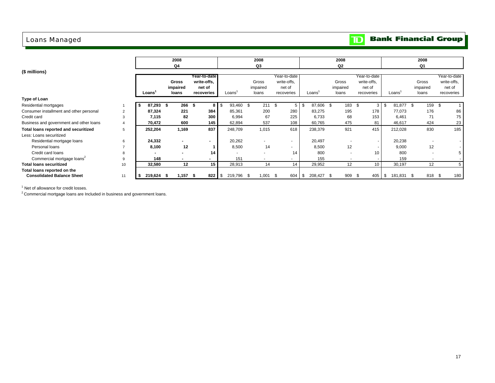## Loans Managed

# **TD** Bank Financial Group

|                                         |                |         | 2008<br>Q4               |                |                          | 2008<br>Q3    |              |                   | 2008<br>Q2               |                 |                    | 2008<br>Q1               |              |
|-----------------------------------------|----------------|---------|--------------------------|----------------|--------------------------|---------------|--------------|-------------------|--------------------------|-----------------|--------------------|--------------------------|--------------|
| (\$ millions)                           |                |         |                          |                |                          |               |              |                   |                          |                 |                    |                          |              |
|                                         |                |         |                          | Year-to-date   |                          |               | Year-to-date |                   |                          | Year-to-date    |                    |                          | Year-to-date |
|                                         |                |         | <b>Gross</b>             | write-offs.    |                          | Gross         | write-offs,  |                   | Gross                    | write-offs.     |                    | Gross                    | write-offs,  |
|                                         |                |         | impaired                 | net of         |                          | impaired      | net of       |                   | impaired                 | net of          |                    | impaired                 | net of       |
|                                         |                | Loans'  | loans                    | recoveries     | Loans'                   | loans         | recoveries   | Loans             | loans                    | recoveries      | Loans <sup>'</sup> | loans                    | recoveries   |
| Type of Loan                            |                |         |                          |                |                          |               |              |                   |                          |                 |                    |                          |              |
| Residential mortgages                   |                | 87,293  | 266<br>- 56              | - \$           | 93,460 \$<br>\$.         | 211           | - \$<br>5    | 87,606 \$<br>- \$ | 183 \$                   | 3 <sup>1</sup>  | \$<br>81,877 \$    | 159 \$                   |              |
| Consumer installment and other personal | $\overline{2}$ | 87,324  | 221                      | 384            | 85,361                   | 200           | 280          | 83,275            | 195                      | 178             | 77,073             | 176                      | 86           |
| Credit card                             | 3              | 7.115   | 82                       | 300            | 6,994                    | 67            | 225          | 6,733             | 68                       | 153             | 6.461              | 71                       | 75           |
| Business and government and other loans |                | 70,472  | 600                      | 145            | 62,894                   | 537           | 108          | 60,765            | 475                      | 81              | 46,617             | 424                      | 23           |
| Total loans reported and securitized    | 5              | 252,204 | 1,169                    | 837            | 248,709                  | 1,015         | 618          | 238,379           | 921                      | 415             | 212,028            | 830                      | 185          |
| Less: Loans securitized                 |                |         |                          |                |                          |               |              |                   |                          |                 |                    |                          |              |
| Residential mortgage loans              | 6              | 24,332  | $\overline{\phantom{0}}$ | $\blacksquare$ | 20,262                   |               |              | 20,497            |                          |                 | 20,238             | $\overline{\phantom{a}}$ |              |
| Personal loans                          |                | 8,100   | 12                       |                | 8,500                    | 14            |              | 8,500             | 12                       |                 | 9,000              | 12                       |              |
| Credit card loans                       | 8              |         | $\overline{\phantom{0}}$ | 14             | $\overline{\phantom{a}}$ |               | 14           | 800               |                          | 10              | 800                | $\overline{\phantom{a}}$ | 5            |
| Commercial mortgage loans <sup>2</sup>  | 9              | 148     | $\overline{\phantom{0}}$ | $\sim$         | 151                      | $\sim$        | $\sim$       | 155               | $\overline{\phantom{a}}$ | $\sim$          | 159                | $\sim$                   |              |
| <b>Total loans securitized</b>          | 10             | 32,580  | 12                       | 15             | 28,913                   | 14            | 14           | 29,952            | 12                       | 10 <sup>1</sup> | 30,197             | 12                       | 5            |
| Total loans reported on the             |                |         |                          |                |                          |               |              |                   |                          |                 |                    |                          |              |
| <b>Consolidated Balance Sheet</b>       | 11             | 219,624 | 1.157                    | 822<br>- 56    | -\$<br>219,796           | 1,001<br>- \$ | - \$<br>604  | 208,427<br>- \$   | 909<br>- \$              | - \$<br>405     | -\$<br>181,831     | 818 \$<br>-\$            | 180          |

<sup>1</sup> Net of allowance for credit losses.

<sup>2</sup> Commercial mortgage loans are Included in business and government loans.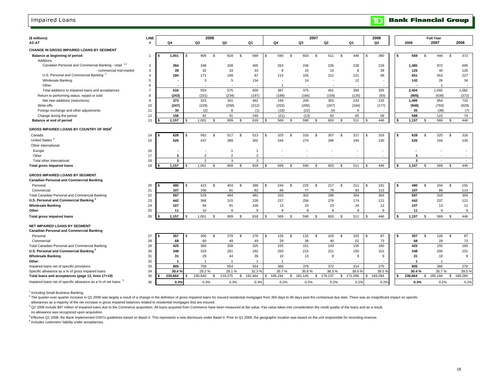### Impaired Loans

| (\$ millions)                                                | LINE                    |   |                   |     |                | 2008           |                |                |                |     |         |                |         | 2007         |                |               |        |     | 2006    |      |              |                    | <b>Full Year</b> |                |         |
|--------------------------------------------------------------|-------------------------|---|-------------------|-----|----------------|----------------|----------------|----------------|----------------|-----|---------|----------------|---------|--------------|----------------|---------------|--------|-----|---------|------|--------------|--------------------|------------------|----------------|---------|
| AS AT                                                        | #                       |   | Q4                |     | Q3             |                | Q <sub>2</sub> |                | Q1             |     | Q4      |                | Q3      |              | Q <sub>2</sub> | Q1            |        |     | Q4      |      | 2008         |                    | 2007             |                | 2006    |
| CHANGE IN GROSS IMPAIRED LOANS BY SEGMENT                    |                         |   |                   |     |                |                |                |                |                |     |         |                |         |              |                |               |        |     |         |      |              |                    |                  |                |         |
|                                                              | 1                       |   | 1,001             | \$  | 909            | \$             | 818            | <b>S</b>       | 569            |     | 590     | \$             | 603     | \$           | 511            | \$            | 446    |     | 390     | s    | 569          | \$                 | 446              | \$             | 372     |
| Balance at beginning of period<br>Additions                  |                         |   |                   |     |                |                |                |                |                |     |         |                |         |              |                |               |        |     |         |      |              |                    |                  |                |         |
| Canadian Personal and Commercial Banking - retail 1,2        | $\overline{2}$          |   | 394               |     | 348            |                | 338            |                | 405            |     | 263     |                | 246     |              | 235            |               | 228    |     | 219     |      | 1,485        |                    | 972              |                | 695     |
| - commercial mid-market                                      | 3                       |   | 28                |     | 32             |                | 33             |                | 33             |     | 8       |                | 10      |              | 14             |               | 8      |     | 39      |      | 126          |                    | 40               |                | 126     |
| U.S. Personal and Commercial Banking <sup>3</sup>            | $\overline{\mathbf{4}}$ |   | 194               |     | 171            |                | 199            |                | 87             |     | 115     |                | 105     |              | 212            |               | 121    |     | 68      |      | 651          |                    | 553              |                | 227     |
| <b>Wholesale Banking</b>                                     | 5                       |   |                   |     | 3              |                | 5              |                | 134            |     |         |                | 14      |              | ×              |               | 12     |     |         |      | 142          |                    | 26               |                | 34      |
| Other                                                        | 6                       |   |                   |     |                |                |                |                |                |     |         |                |         |              |                |               |        |     |         |      |              |                    |                  |                |         |
| Total additions to impaired loans and acceptances            | $\overline{7}$          |   | 616               |     | 554            |                | 575            |                | 659            |     | 387     |                | 375     |              | 461            |               | 369    |     | 326     |      | 2,404        |                    | 1,592            |                | 1,082   |
| Return to performing status, repaid or sold                  | 8                       |   | (243)             |     | (231)          |                | (234)          |                | (197)          |     | (188)   |                | (166)   |              | (158)          |               | (126)  |     | (93)    |      | (905)        |                    | (638)            |                | (372)   |
|                                                              | 9                       |   | 373               |     | 323            |                | 341            |                | 462            |     | 199     |                | 209     |              | 303            |               | 243    |     | 233     |      | 1,499        |                    | 954              |                | 710     |
| Net new additions (reductions)<br>Write-offs                 | 10                      |   | (247)             |     | (229)          |                | (258)          |                | (212)          |     | (202)   |                | (200)   |              | (207)          |               | (184)  |     | (177)   |      | (946)        |                    | (793)            |                | (629)   |
| Foreign exchange and other adjustments                       | 11                      |   | 30                |     | (2)            |                | 8              |                | (1)            |     | (18)    |                | (22)    |              | (4)            |               | 6      |     |         |      | 35           |                    | (38)             |                | (7)     |
|                                                              | 12                      |   | 156               |     | 92             |                | 91             |                | 249            |     | (21)    |                | (13)    |              | 92             |               | 65     |     | 56      |      | 588          |                    | 123              |                | 74      |
| Change during the period<br>Balance at end of period         | 13                      |   | 1,157             |     | 1,001          | <b>S</b>       | 909            | \$             | 818            |     | 569     | \$             | 590     | S.           | 603            | \$            | 511    | \$  | 446     | l S  | 1,157        | $\mathfrak{s}$     | 569              | $\mathfrak{L}$ | 446     |
|                                                              |                         |   |                   |     |                |                |                |                |                |     |         |                |         |              |                |               |        |     |         |      |              |                    |                  |                |         |
| GROSS IMPAIRED LOANS BY COUNTRY OF RISK <sup>4</sup>         |                         |   |                   |     |                |                |                |                |                |     |         |                |         |              |                |               |        |     |         |      |              |                    |                  |                |         |
| Canada                                                       | 14                      |   | 628               |     | 562            | <b>S</b>       | 517            | \$             | 513            |     | 325     | $\mathfrak{s}$ | 316     | s.           | 307            | \$            | 317    |     | 316     | s    | 628          | $\mathbf{\hat{s}}$ | 325              | s.             | 316     |
| United States <sup>3</sup>                                   | 15                      |   | 526               |     | 437            |                | 389            |                | 302            |     | 244     |                | 274     |              | 296            |               | 194    |     | 130     |      | 526          |                    | 244              |                | 130     |
| Other international                                          |                         |   |                   |     |                |                |                |                |                |     |         |                |         |              |                |               |        |     |         |      |              |                    |                  |                |         |
| Europe                                                       | 16                      |   |                   |     |                |                |                |                | $\overline{1}$ |     |         |                |         |              |                |               | $\sim$ |     |         |      |              |                    |                  |                |         |
| Other                                                        | 17                      |   | 3                 |     | $\overline{2}$ |                | $\overline{2}$ |                | $\overline{2}$ |     |         |                |         |              |                |               |        |     |         |      | 3            |                    |                  |                |         |
| Total other international                                    | 18                      |   | 3                 |     | $\overline{2}$ |                | $\overline{3}$ |                | $\overline{3}$ |     | $\sim$  |                | $\sim$  |              | $\sim$         |               | $\sim$ |     | $\sim$  |      | $\mathbf{3}$ |                    | $\sim$           |                | $\sim$  |
| <b>Total gross impaired loans</b>                            | 19                      |   | 1,157             |     | 1,001          | -S             | 909            | - \$           | 818            |     | 569     | \$.            | 590     | S.           | 603            | \$            | 511    | -S  | 446     | l \$ | 1,157        | -S                 | 569              | \$             | 446     |
|                                                              |                         |   |                   |     |                |                |                |                |                |     |         |                |         |              |                |               |        |     |         |      |              |                    |                  |                |         |
| <b>GROSS IMPAIRED LOANS BY SEGMENT</b>                       |                         |   |                   |     |                |                |                |                |                |     |         |                |         |              |                |               |        |     |         |      |              |                    |                  |                |         |
| <b>Canadian Personal and Commercial Banking</b>              |                         |   |                   |     |                |                |                |                |                |     |         |                |         |              |                |               |        |     |         |      |              |                    |                  |                |         |
| Personal                                                     | 20                      | S | 490               | \$. | 423            | \$             | 403            | \$             | 399            | \$. | 244     | $\mathfrak{s}$ | 225     | S.           | 217            | \$            | 211    | \$. | 191     | l s  | 490          | \$                 | 244              | \$             | 191     |
| Commercial                                                   | 21                      |   | 107               |     | 106            |                | 91             |                | 82             |     | 66      |                | 77      |              | 79             |               | 93     |     | 113     |      | 107          |                    | 66               |                | 113     |
| Total Canadian Personal and Commercial Banking               | 22                      |   | 597               |     | 529            |                | 494            |                | 481            |     | 310     |                | 302     |              | 296            |               | 304    |     | 304     |      | 597          |                    | 310              |                | 304     |
| U.S. Personal and Commercial Banking <sup>3</sup>            | 23                      |   | 442               |     | 368            |                | 315            |                | 228            |     | 237     |                | 256     |              | 276            |               | 174    |     | 121     |      | 442          |                    | 237              |                | 121     |
| <b>Wholesale Banking</b>                                     | 24                      |   | 107               |     | 94             |                | 91             |                | 100            |     | 13      |                | 24      |              | 23             |               | 24     |     | 12      |      | 107          |                    | 13               |                | 12      |
| Other                                                        | 25                      |   | 11                |     | 10             |                | 9              |                | 9              |     | 9       |                | 8       |              | 8              |               | 9      |     | 9       |      | 11           |                    | 9                |                | 9       |
| <b>Total gross impaired loans</b>                            | 26                      |   | 1.157             |     | 1.001          | $\mathfrak{s}$ | 909            | $\mathfrak{L}$ | 818            |     | 569     | \$.            | 590     | -S           | 603            | $\mathbf{s}$  | 511    | \$  | 446     | \$   | 1.157        | $\mathfrak{s}$     | 569              | $\mathfrak{L}$ | 446     |
| NET IMPAIRED LOANS BY SEGMENT                                |                         |   |                   |     |                |                |                |                |                |     |         |                |         |              |                |               |        |     |         |      |              |                    |                  |                |         |
| <b>Canadian Personal and Commercial Banking</b>              |                         |   |                   |     |                |                |                |                |                |     |         |                |         |              |                |               |        |     |         |      |              |                    |                  |                |         |
| Personal                                                     | 27                      |   | 357               |     | 300            | \$             | 279            | \$             | 276            | S   | 126     | $\mathfrak{s}$ | 115     | $\mathbf{s}$ | 103            | \$            | 103    |     | 87      | l S  | 357          | $\mathfrak{s}$     | 126              | $\mathfrak{L}$ | 87      |
| Commercial                                                   | 28                      |   | 68                |     | 60             |                | 49             |                | 49             |     | 29      |                | 36      |              | 40             |               | 52     |     | 73      |      | 68           |                    | 29               |                | 73      |
| Total Canadian Personal and Commercial Banking               | 29                      |   | 425               |     | 360            |                | 328            |                | 325            |     | 155     |                | 151     |              | 143            |               | 155    |     | 160     |      | 425          |                    | 155              |                | 160     |
| U.S. Personal and Commercial Banking                         | 30                      |   | 348               |     | 319            |                | 281            |                | 192            |     | 200     |                | 215     |              | 221            |               | 150    |     | 101     |      | 348          |                    | 200              |                | 101     |
| <b>Wholesale Banking</b>                                     | 31                      |   | 31                |     | 29             |                | 44             |                | 36             |     | 10      |                | 13      |              | 8              |               | 9      |     | 9       |      | 31           |                    | 10               |                | 9       |
| Other                                                        | 32                      |   |                   |     |                |                |                |                |                |     |         |                |         |              |                |               |        |     |         |      |              |                    | -1               |                |         |
| Impaired loans net of specific provisions                    | 33                      |   | 805               |     | 709            |                | 654            |                | 554            |     | 366     |                | 379     |              | 372            |               | 314    |     | 270     |      | 805          |                    | 366              |                | 270     |
| Specific allowance as a % of gross impaired loans            | 34                      |   | 30.4 <sub>9</sub> |     | 29.2%          |                | 28.1%          |                | 32.3           |     | 35.7%   |                | 35.8%   |              | 38.3%          |               | 38.6   |     | 39.5%   |      | 30.4%        |                    | 35.7%            |                | 39.5 %  |
| Total loans and acceptances (page 13, lines 17+18)           | 35                      |   | 230,664           |     | 230,640        | \$.            | 219,275        | \$             | 192,464        | \$. | 185,194 | \$             | 181,145 | \$           | 179,137        | 171,296<br>\$ |        | s.  | 169,284 | l S  | 230,664      | \$                 | 185,194          | \$             | 169,284 |
| Impaired loans net of specific allowance as a % of net loans | 36                      |   | 0.3%              |     | 0.3%           |                | 0.3%           |                | 0.3%           |     | 0.2%    |                | 0.2%    |              | 0.2%           |               | 0.2%   |     | 0.2%    |      | 0.3%         |                    | 0.2%             |                | 0.2%    |
| from a new external                                          |                         |   |                   |     |                |                |                |                |                |     |         |                |         |              |                |               |        |     |         |      |              |                    |                  |                |         |

<sup>1</sup> Including Small Business Banking.

<sup>2</sup> The quarter-over-quarter increase in Q1 2008 was largely a result of a change in the definition of gross impaired loans for insured residential mortgages from 360 days to 90 days past the contractual due date. There wa allowances as a majority of the net increase in gross impaired balances related to residential mortgages that are insured.

3 Q2 2008 include \$97 million of impaired loans due to the Commerce acquisition. All loans acquired from Commerce have been measured at fair value. Fair value takes into consideration the credit quality of the loans and as no allowance was recognized upon acquisition.

 $<sup>5</sup>$  Includes customers' liability under acceptances.</sup> 4 Effective Q1 2008, the Bank implemented OSFI's guidelines based on Basel II. This represents a new disclosure under Basel II. Prior to Q1 2008, the geographic location was based on the unit responsible for recording reve

18

**Bank Financial Group** 

 $\mathbf{D}$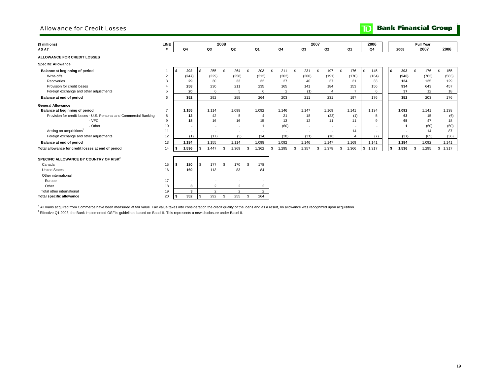### Allowance for Credit Losses

## **TD** Bank Financial Group

| (\$ millions)                                                      | LINE           |             |                          |                                  | 2008 |                                  |                |                          |                |      |                | 2007 |                          |     |                | 2006      |    |       | <b>Full Year</b> |           |
|--------------------------------------------------------------------|----------------|-------------|--------------------------|----------------------------------|------|----------------------------------|----------------|--------------------------|----------------|------|----------------|------|--------------------------|-----|----------------|-----------|----|-------|------------------|-----------|
| AS AT                                                              |                | Q4          |                          | Q3                               |      | Q2                               |                | Q <sub>1</sub>           | Q4             |      | Q3             |      | Q2                       |     | Q1             | Q4        |    | 2008  | 2007             | 2006      |
| ALLOWANCE FOR CREDIT LOSSES                                        |                |             |                          |                                  |      |                                  |                |                          |                |      |                |      |                          |     |                |           |    |       |                  |           |
| <b>Specific Allowance</b>                                          |                |             |                          |                                  |      |                                  |                |                          |                |      |                |      |                          |     |                |           |    |       |                  |           |
| Balance at beginning of period                                     |                | 292<br>\$   |                          | 255<br>\$                        | \$   | 264                              | $\mathfrak{L}$ | 203                      | \$<br>211      | - \$ | 231            | \$.  | 197                      | \$. | 176            | \$<br>145 | s  | 203   | \$<br>176        | \$<br>155 |
| Write-offs                                                         | 2              | (247)       |                          | (229)                            |      | (258)                            |                | (212)                    | (202)          |      | (200)          |      | (191)                    |     | (170)          | (164)     |    | (946) | (763)            | (583)     |
| Recoveries                                                         | 3              |             | 29                       | 30                               |      | 33                               |                | 32                       | 27             |      | 40             |      | 37                       |     | 31             | 33        |    | 124   | 135              | 129       |
| Provision for credit losses                                        |                | 258         |                          | 230                              |      | 211                              |                | 235                      | 165            |      | 141            |      | 184                      |     | 153            | 156       |    | 934   | 643              | 457       |
| Foreign exchange and other adjustments                             | 5              |             | 20                       | 6                                |      | 5                                |                | 6                        | $\overline{2}$ |      | (1)            |      | $\overline{4}$           |     | $\overline{7}$ | 6         |    | 37    | 12               | 18        |
| Balance at end of period                                           | 6              | 352         |                          | 292                              |      | 255                              |                | 264                      | 203            |      | 211            |      | 231                      |     | 197            | 176       |    | 352   | 203              | 176       |
| <b>General Allowance</b>                                           |                |             |                          |                                  |      |                                  |                |                          |                |      |                |      |                          |     |                |           |    |       |                  |           |
| Balance at beginning of period                                     | $\overline{7}$ | 1,155       |                          | 1,114                            |      | 1.098                            |                | 1,092                    | 1,146          |      | 1,147          |      | 1,169                    |     | 1,141          | 1,134     |    | 1.092 | 1.141            | 1,138     |
| Provision for credit losses - U.S. Personal and Commercial Banking | 8              |             | 12                       | 42                               |      | -5                               |                | $\overline{4}$           | 21             |      | 18             |      | (23)                     |     | (1)            | 5         |    | 63    | 15               | (6)       |
| - VFC                                                              | 9              |             | 18                       | 16                               |      | 16                               |                | 15                       | 13             |      | 12             |      | 11                       |     | 11             | 9         |    | 65    | 47               | 18        |
| - Other                                                            | 10             |             |                          | $\overline{a}$                   |      | $\overline{\phantom{a}}$         |                |                          | (60)           |      | $\sim$         |      | $\overline{\phantom{a}}$ |     | $\sim$         | $\sim$    |    |       | (60)             | (60)      |
| Arising on acquisitions <sup>1</sup>                               | 11             |             | $\overline{\phantom{a}}$ | $\overline{\phantom{a}}$         |      | $\sim$                           |                | $\overline{\phantom{a}}$ | ÷              |      | $\overline{a}$ |      | $\overline{\phantom{a}}$ |     | 14             | $\sim$    |    |       | 14               | 87        |
| Foreign exchange and other adjustments                             | 12             |             | (1)                      | (17)                             |      | (5)                              |                | (14)                     | (28)           |      | (31)           |      | (10)                     |     | $\overline{4}$ | (7)       |    | (37)  | (65)             | (36)      |
| Balance at end of period                                           | 13             | 1,184       |                          | 1,155                            |      | 1,114                            |                | 1,098                    | 1,092          |      | 1,146          |      | 1,147                    |     | 1,169          | 1,141     |    | 1,184 | 1,092            | 1,141     |
| Total allowance for credit losses at end of period                 | 14             | 1,536<br>\$ |                          | 1.447<br>$\sqrt{3}$              | \$   | 1,369                            | \$             | 1,362                    | \$<br>1,295    | \$   | 1,357          | \$   | 1,378                    | S.  | 1,366          | \$1,317   | \$ | 1,536 | \$<br>1,295      | \$1,317   |
| SPECIFIC ALLOWANCE BY COUNTRY OF RISK <sup>2</sup>                 |                |             |                          |                                  |      |                                  |                |                          |                |      |                |      |                          |     |                |           |    |       |                  |           |
| Canada                                                             | 15             | 180<br>- \$ |                          | 177<br>$\mathbf{s}$              | \$   | 170                              | \$             | 178                      |                |      |                |      |                          |     |                |           |    |       |                  |           |
| <b>United States</b>                                               | 16             | 169         |                          | 113                              |      | 83                               |                | 84                       |                |      |                |      |                          |     |                |           |    |       |                  |           |
| Other international                                                |                |             |                          |                                  |      |                                  |                |                          |                |      |                |      |                          |     |                |           |    |       |                  |           |
|                                                                    | 17             |             |                          |                                  |      |                                  |                |                          |                |      |                |      |                          |     |                |           |    |       |                  |           |
| Europe<br>Other                                                    |                |             | $\blacksquare$           |                                  |      |                                  |                | ٠                        |                |      |                |      |                          |     |                |           |    |       |                  |           |
| Total other international                                          | 18             |             | 3<br>3                   | $\overline{2}$<br>$\overline{2}$ |      | $\overline{2}$<br>$\overline{2}$ |                | 2<br>$\overline{2}$      |                |      |                |      |                          |     |                |           |    |       |                  |           |
|                                                                    | 19             | 352         |                          | 292                              |      |                                  |                | 264                      |                |      |                |      |                          |     |                |           |    |       |                  |           |
| <b>Total specific allowance</b>                                    | 20             |             |                          | \$                               | \$   | 255                              | \$             |                          |                |      |                |      |                          |     |                |           |    |       |                  |           |

<sup>1</sup> All loans acquired from Commerce have been measured at fair value. Fair value takes into consideration the credit quality of the loans and as a result, no allowance was recognized upon acquisition.  ${}^{2}$  Effective Q1 2008, the Bank implemented OSFI's guidelines based on Basel II. This represents a new disclosure under Basel II.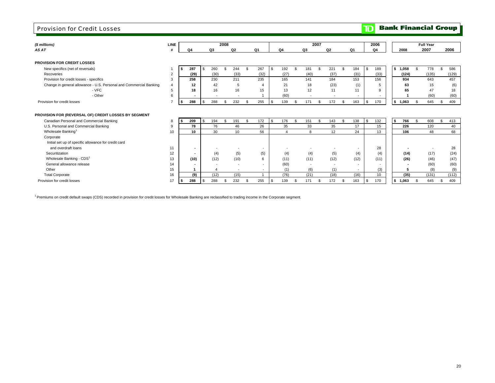### Provision for Credit Losses

## **TD** Bank Financial Group

| (\$ millions)                                                      | <b>LINE</b>    |      |                |           | 2008 |                          |     |                          |    |                       |      |                          | 2007 |                |     |                          | 2006            |           |     | <b>Full Year</b> |            |
|--------------------------------------------------------------------|----------------|------|----------------|-----------|------|--------------------------|-----|--------------------------|----|-----------------------|------|--------------------------|------|----------------|-----|--------------------------|-----------------|-----------|-----|------------------|------------|
| AS AT                                                              |                | Q4   |                | Q3        |      | Q <sub>2</sub>           |     | Q1                       |    | Q4                    |      | Q3                       |      | Q <sub>2</sub> |     | Q1                       | Q4              | 2008      |     | 2007             | 2006       |
|                                                                    |                |      |                |           |      |                          |     |                          |    |                       |      |                          |      |                |     |                          |                 |           |     |                  |            |
| <b>PROVISION FOR CREDIT LOSSES</b>                                 |                |      |                |           |      |                          |     |                          |    |                       |      |                          |      |                |     |                          |                 |           |     |                  |            |
| New specifics (net of reversals)                                   |                |      | 287            | 260<br>-S | \$   | 244                      |     | 267                      | \$ | 192                   | - \$ | 181                      |      | 221            | \$  | 184                      | 189<br>-S       | \$1,058   | \$. | 778              | \$<br>586  |
| Recoveries                                                         | $\overline{2}$ |      | (29)           | (30)      |      | (33)                     |     | (32)                     |    | (27)                  |      | (40)                     |      | (37)           |     | (31)                     | (33)            | (124)     |     | (135)            | (129)      |
| Provision for credit losses - specifics                            | 3              |      | 258            | 230       |      | 211                      |     | 235                      |    | 165                   |      | 141                      |      | 184            |     | 153                      | 156             | 934       |     | 643              | 457        |
| Change in general allowance - U.S. Personal and Commercial Banking | $\overline{4}$ |      | 12             | 42        |      | 5                        |     | 4                        |    | 21                    |      | 18                       |      | (23)           |     | (1)                      | 5               | 63        |     | 15               | (6)        |
| - VFC                                                              | 5              |      | 18             | 16        |      | 16                       |     | 15                       |    | 13                    |      | 12                       |      | 11             |     | 11                       | 9               | 65        |     | 47               | 18         |
| - Other                                                            | 6              |      | $\blacksquare$ |           |      |                          |     |                          |    | (60)                  |      | $\overline{\phantom{a}}$ |      |                |     | $\overline{\phantom{a}}$ |                 |           |     | (60)             | (60)       |
| Provision for credit losses                                        |                | \$   | 288            | 288       |      | 232<br>\$.               | \$. | 255                      | \$ | 139                   |      | 171                      |      | 172            | \$  | 163                      | 170<br>-S       | \$1,063   |     | 645              | 409<br>\$  |
|                                                                    |                |      |                |           |      |                          |     |                          |    |                       |      |                          |      |                |     |                          |                 |           |     |                  |            |
| PROVISION FOR (REVERSAL OF) CREDIT LOSSES BY SEGMENT               |                |      |                |           |      |                          |     |                          |    |                       |      |                          |      |                |     |                          |                 |           |     |                  |            |
| Canadian Personal and Commercial Banking                           | 8              |      | 209            | 194       | - \$ | 191                      | \$. | 172                      | -S | 176                   | Ŝ.   | 151                      |      | 143            | \$. | 138                      | 132<br><b>S</b> | 766<br>\$ |     | 608              | 413<br>\$. |
| U.S. Personal and Commercial Banking                               | 9              |      | 78             | 76        |      | 46                       |     | 26                       |    | 35                    |      | 33                       |      | 35             |     | 17                       | 15              | 226       |     | 120              | 40         |
| Wholesale Banking <sup>1</sup>                                     | 10             |      | 10             | 30        |      | 10                       |     | 56                       |    | $\boldsymbol{\Delta}$ |      | 8                        |      | 12             |     | 24                       | 13              | 106       |     | 48               | 68         |
| Corporate                                                          |                |      |                |           |      |                          |     |                          |    |                       |      |                          |      |                |     |                          |                 |           |     |                  |            |
| Initial set up of specific allowance for credit card               |                |      |                |           |      |                          |     |                          |    |                       |      |                          |      |                |     |                          |                 |           |     |                  |            |
| and overdraft loans                                                | 11             |      | $\blacksquare$ |           |      |                          |     | $\overline{\phantom{a}}$ |    |                       |      |                          |      |                |     | $\overline{\phantom{a}}$ | 28              |           |     |                  | 28         |
| Securitization                                                     | 12             |      | $\blacksquare$ |           | (4)  | (5)                      |     | (5)                      |    | (4)                   |      | (4)                      |      | (5)            |     | (4)                      | (4)             | (14)      |     | (17)             | (24)       |
| Wholesale Banking - CDS <sup>1</sup>                               | 13             |      | (10)           | (12)      |      | (10)                     |     | 6                        |    | (11)                  |      | (11)                     |      | (12)           |     | (12)                     | (11)            | (26)      |     | (46)             | (47)       |
| General allowance release                                          | 14             |      |                |           |      | $\overline{\phantom{a}}$ |     |                          |    | (60)                  |      | $\sim$                   |      | $\sim$         |     | $\overline{\phantom{a}}$ |                 |           |     | (60)             | (60)       |
| Other                                                              | 15             |      |                |           |      | $\overline{\phantom{a}}$ |     | $\overline{\phantom{a}}$ |    | (1)                   |      | (6)                      |      | (1)            |     | $\sim$                   | (3)             |           |     | (8)              | (9)        |
| <b>Total Corporate</b>                                             | 16             |      | (9)            | (12)      |      | (15)                     |     |                          |    | (76)                  |      | (21)                     |      | (18)           |     | (16)                     | 10              | (35)      |     | (131)            | (112)      |
| Provision for credit losses                                        | 17             | l \$ | 288            | 288       | - \$ | 232                      | \$  | 255                      | \$ | 139                   | - \$ | 171                      |      | 172            | \$. | 163                      | 170<br>-S       | \$1,063   |     | 645              | 409<br>S   |

<sup>1</sup> Premiums on credit default swaps (CDS) recorded in provision for credit losses for Wholesale Banking are reclassified to trading income in the Corporate segment.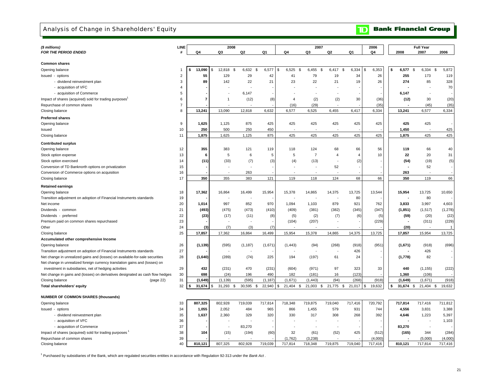### Analysis of Change in Shareholders' Equity

## **TD** Bank Financial Group

| (\$ millions)                                                                  | LINE           |                |                | 2008         |              |                 | 2007                     |                          |                             | 2006          |              | <b>Full Year</b> |                |
|--------------------------------------------------------------------------------|----------------|----------------|----------------|--------------|--------------|-----------------|--------------------------|--------------------------|-----------------------------|---------------|--------------|------------------|----------------|
| <b>FOR THE PERIOD ENDED</b>                                                    | #              | Q4             | Q3             | Q2           | Q1           | Q4              | Q3                       | Q2                       | Q1                          | Q4            | 2008         | 2007             | 2006           |
|                                                                                |                |                |                |              |              |                 |                          |                          |                             |               |              |                  |                |
| <b>Common shares</b>                                                           |                |                |                |              |              |                 |                          |                          |                             |               |              |                  |                |
| Opening balance                                                                | $\mathbf{1}$   | 13,090<br>\$   | 12,818<br>\$   | 6,632<br>\$  | \$<br>6,577  | \$<br>6,525     | 6,455<br>-9<br>- \$      | 6,417<br>.ኖ              | 6,334                       | 6,353<br>\$.  | 6,577<br>\$  | 6,334<br>- \$    | \$<br>5,872    |
| Issued - options                                                               | $\overline{2}$ | 55             | 129            | 29           | 42           | 41              | 79                       | 19                       | 34                          | 26            | 255          | 173              | 119            |
| - dividend reinvestment plan                                                   | 3              | 89             | 142            | 22           | 21           | 23              | 22                       | 21                       | 19                          | 26            | 274          | 85               | 328            |
| - acquisition of VFC                                                           | 4              |                |                |              |              |                 |                          |                          |                             |               |              | ÷                | 70             |
| - acquisition of Commerce                                                      | 5              |                |                | 6,147        |              |                 | $\overline{\phantom{a}}$ |                          |                             |               | 6,147        | $\sim$           |                |
| Impact of shares (acquired) sold for trading purposes <sup>1</sup>             | 6              | $\overline{7}$ | $\overline{1}$ | (12)         | (8)          | $\overline{4}$  | (2)                      | (2)                      | 30                          | (36)          | (12)         | 30               | (20)           |
| Repurchase of common shares                                                    | $\overline{7}$ |                |                |              |              | (16)            | (29)                     |                          |                             | (35)          |              | (45)             | (35)           |
| Closing balance                                                                | 8              | 13,241         | 13,090         | 12,818       | 6,632        | 6,577           | 6,525                    | 6,455                    | 6,417                       | 6,334         | 13,241       | 6,577            | 6,334          |
| <b>Preferred shares</b>                                                        |                |                |                |              |              |                 |                          |                          |                             |               |              |                  |                |
| Opening balance                                                                | 9              | 1,625          | 1,125          | 875          | 425          | 425             | 425                      | 425                      | 425                         | 425           | 425          | 425              |                |
| Issued                                                                         | 10             | 250            | 500            | 250          | 450          |                 |                          |                          |                             |               | 1,450        |                  | 425            |
| Closing balance                                                                | 11             | 1,875          | 1,625          | 1,125        | 875          | 425             | 425                      | 425                      | 425                         | 425           | 1,875        | 425              | 425            |
| <b>Contributed surplus</b>                                                     |                |                |                |              |              |                 |                          |                          |                             |               |              |                  |                |
| Opening balance                                                                |                | 355            | 383            | 121          |              | 118             | 124                      | 68                       |                             | 56            | 119          |                  | 40             |
|                                                                                | 12             |                |                |              | 119          |                 |                          | $\overline{4}$           | 66<br>$\boldsymbol{\Delta}$ |               |              | 66               |                |
| Stock option expense                                                           | 13             | 6              | 5              | 6            | 5            | 5               | $\overline{7}$           |                          |                             | 10            | 22           | 20               | 31             |
| Stock option exercised                                                         | 14             | (11)           | (33)           | (7)          | (3)          | (4)             | (13)                     | $\overline{\phantom{a}}$ | (2)                         |               | (54)         | (19)             | (5)            |
| Conversion of TD Banknorth options on privatization                            | 15             |                |                |              |              |                 |                          | 52                       |                             |               |              | 52               |                |
| Conversion of Commerce options on acquisition                                  | 16             |                |                | 263          |              |                 |                          |                          |                             |               | 263          |                  |                |
| Closing balance                                                                | 17             | 350            | 355            | 383          | 121          | 119             | 118                      | 124                      | 68                          | 66            | 350          | 119              | 66             |
| <b>Retained earnings</b>                                                       |                |                |                |              |              |                 |                          |                          |                             |               |              |                  |                |
| Opening balance                                                                | 18             | 17,362         | 16,864         | 16,499       | 15,954       | 15,378          | 14,865                   | 14,375                   | 13,725                      | 13,544        | 15,954       | 13,725           | 10,650         |
| Transition adjustment on adoption of Financial Instruments standards           | 19             |                |                |              |              |                 |                          |                          | 80                          |               |              | 80<br>٠.         |                |
| Net income                                                                     | 20             | 1,014          | 997            | 852          | 970          | 1,094           | 1,103                    | 879                      | 921                         | 762           | 3,833        | 3,997            | 4,603          |
| Dividends - common                                                             | 21             | (493)          | (475)          | (473)        | (410)        | (409)           | (381)                    | (382)                    | (345)                       | (347)         | (1, 851)     | (1, 517)         | (1, 278)       |
| Dividends - preferred                                                          | 22             | (23)           | (17)           | (11)         | (8)          | (5)             | (2)                      | (7)                      | (6)                         | (5)           | (59)         | (20)             | (22)           |
| Premium paid on common shares repurchased                                      | 23             |                |                |              |              | (104)           | (207)                    |                          |                             | (229)         |              | (311)            | (229)          |
| Other                                                                          | 24             | (3)            | (7)            | (3)          | (7)          |                 |                          |                          |                             |               | (20)         |                  | $\overline{1}$ |
| Closing balance                                                                | 25             | 17,857         | 17,362         | 16,864       | 16,499       | 15,954          | 15,378                   | 14,865                   | 14,375                      | 13,725        | 17,857       | 15,954           | 13,725         |
| Accumulated other comprehensive Income                                         |                |                |                |              |              |                 |                          |                          |                             |               |              |                  |                |
| Opening balance                                                                | 26             | (1, 139)       | (595)          | (1, 187)     | (1,671)      | (1, 443)        | (94)                     | (268)                    | (918)                       | (951)         | (1,671)      | (918)            | (696)          |
| Transition adjustment on adoption of Financial Instruments standards           | 27             |                |                |              |              |                 | $\blacksquare$           | $\overline{\phantom{a}}$ | 426                         |               |              | 426              |                |
| Net change in unrealized gains and (losses) on available-for-sale securities   | 28             | (1,640)        | (289)          | (74)         | 225          | 194             | (197)                    | 61                       | 24                          |               | (1,778)      | 82               |                |
| Net change in unrealized foreign currency translation gains and (losses) on    |                |                |                |              |              |                 |                          |                          |                             |               |              |                  |                |
| investment in subsidiaries, net of hedging activities                          | 29             | 432            | (231)          | 470          | (231)        | (604)           | (971)                    | 97                       | 323                         | 33            | 440          | (1, 155)         | (222)          |
| Net change in gains and (losses) on derivatives designated as cash flow hedges | 30             | 698            | (24)           | 196          | 490          | 182             | (181)                    | 16                       | (123)                       |               | 1,360        | (106)            |                |
| Closing balance<br>(page 22)                                                   | 31             | (1,649)        | (1, 139)       | (595)        | (1, 187)     | (1,671)         | (1, 443)                 | (94)                     | (268)                       | (918)         | (1,649)      | (1,671)          | (918)          |
| Total shareholders' equity                                                     | 32             | 31,674         | 31,293         | 30,595<br>\$ | 22,940<br>\$ | 21,404 \$<br>\$ | 21,003<br>\$             | 21,775<br>\$             | 21,017                      | 19,632<br>\$. | 31,674<br>\$ | \$<br>21,404     | \$<br>19,632   |
|                                                                                |                |                |                |              |              |                 |                          |                          |                             |               |              |                  |                |
| <b>NUMBER OF COMMON SHARES (thousands)</b>                                     |                |                |                |              |              |                 |                          |                          |                             |               |              |                  |                |
| Opening balance                                                                | 33             | 807,325        | 802,928        | 719,039      | 717,814      | 718,348         | 719,875                  | 719,040                  | 717,416                     | 720,792       | 717,814      | 717,416          | 711,812        |
| Issued - options                                                               | 34             | 1,055          | 2,052          | 484          | 965          | 866             | 1,455                    | 579                      | 931                         | 744           | 4,556        | 3,831            | 3,388          |
| - dividend reinvestment plan                                                   | 35             | 1,637          | 2,360          | 329          | 320          | 330             | 317                      | 308                      | 268                         | 392           | 4,646        | 1,223            | 5,397          |
| - acquisition of VFC                                                           | 36             |                |                |              |              |                 |                          |                          |                             |               |              | $\overline{a}$   | 1,103          |
| - acquisition of Commerce                                                      | 37             |                |                | 83,270       |              |                 | $\sim$                   | $\overline{\phantom{a}}$ |                             |               | 83,270       | $\sim$           |                |
| Impact of shares (acquired) sold for trading purposes                          | 38             | 104            | (15)           | (194)        | (60)         | 32              | (61)                     | (52)                     | 425                         | (512)         | (165)        | 344              | (284)          |
| Repurchase of common shares                                                    | 39             |                |                |              |              | (1,762)         | (3,238)                  |                          |                             | (4,000)       |              | (5,000)          | (4,000)        |
| Closing balance                                                                | 40             | 810,121        | 807,325        | 802,928      | 719,039      | 717,814         | 718,348                  | 719,875                  | 719,040                     | 717,416       | 810,121      | 717,814          | 717,416        |

1 Purchased by subsidiaries of the Bank, which are regulated securities entities in accordance with Regulation 92-313 under the *Bank Act* .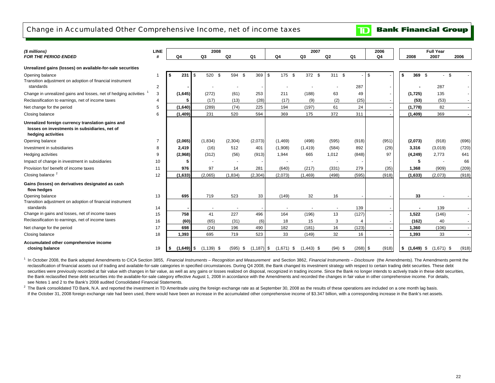## Change in Accumulated Other Comprehensive Income, net of income taxes

**TD** Bank Financial Group

| (\$ millions)                                                                                                            | <b>LINE</b> |      |              | 2008           |                |                |              | 2007         |           |            | 2006  |                           | <b>Full Year</b> |       |
|--------------------------------------------------------------------------------------------------------------------------|-------------|------|--------------|----------------|----------------|----------------|--------------|--------------|-----------|------------|-------|---------------------------|------------------|-------|
| <b>FOR THE PERIOD ENDED</b>                                                                                              | #           |      | Q4           | Q3             | Q <sub>2</sub> | Q <sub>1</sub> | Q4           | Q3           | Q2        | Q1         | Q4    | 2008                      | 2007             | 2006  |
| Unrealized gains (losses) on available-for-sale securities                                                               |             |      |              |                |                |                |              |              |           |            |       |                           |                  |       |
| Opening balance<br>Transition adjustment on adoption of financial instrument                                             |             | - \$ | 231          | 520 \$<br>ا \$ | 594 \$         | 369 \$         | 175 \$       | 372 \$       | 311 \$    |            | -\$   | 369 \$<br>- \$            | -S               |       |
| standards<br>Change in unrealized gains and losses, net of hedging activities                                            | 2<br>3      |      | (1,645)      | (272)          | (61)           | 253            | 211          | (188)        | 63        | 287<br>49  |       | (1,725)                   | 287<br>135       |       |
| Reclassification to earnings, net of income taxes                                                                        | 4           |      | 5            | (17)           | (13)           | (28)           | (17)         | (9)          | (2)       | (25)       |       | (53)                      | (53)             |       |
| Net change for the period                                                                                                | 5           |      | (1,640)      | (289)          | (74)           | 225            | 194          | (197)        | 61        | 24         |       | (1,778)                   | 82               |       |
| Closing balance                                                                                                          | 6           |      | (1, 409)     | 231            | 520            | 594            | 369          | 175          | 372       | 311        |       | (1,409)                   | 369              |       |
| Unrealized foreign currency translation gains and<br>losses on investments in subsidiaries, net of<br>hedging activities |             |      |              |                |                |                |              |              |           |            |       |                           |                  |       |
| Opening balance                                                                                                          |             |      | (2,065)      | (1,834)        | (2,304)        | (2,073)        | (1,469)      | (498)        | (595)     | (918)      | (951) | (2,073)                   | (918)            | (696) |
| Investment in subsidiaries                                                                                               | 8           |      | 2,419        | (16)           | 512            | 401            | (1,908)      | (1, 419)     | (584)     | 892        | (29)  | 3,316                     | (3,019)          | (720) |
| Hedging activities                                                                                                       | 9           |      | (2,968)      | (312)          | (56)           | (913)          | 1,944        | 665          | 1,012     | (848)      | 97    | (4, 249)                  | 2,773            | 641   |
| Impact of change in investment in subsidiaries                                                                           | 10          |      | 5            |                |                |                |              |              |           |            |       | 5                         |                  | 66    |
| Provision for/ benefit of income taxes                                                                                   | 11          |      | 976          | 97             | 14             | 281            | (640)        | (217)        | (331)     | 279        | (35)  | 1,368                     | (909)            | (209) |
| Closing balance <sup>2</sup>                                                                                             | 12          |      | (1,633)      | (2,065)        | (1,834)        | (2, 304)       | (2,073)      | (1,469)      | (498)     | (595)      | (918) | (1,633)                   | (2,073)          | (918) |
| Gains (losses) on derivatives designated as cash<br>flow hedges                                                          |             |      |              |                |                |                |              |              |           |            |       |                           |                  |       |
| Opening balance                                                                                                          | 13          |      | 695          | 719            | 523            | 33             | (149)        | 32           | 16        |            |       | 33                        |                  |       |
| Transition adjustment on adoption of financial instrument<br>standards                                                   | 14          |      |              |                |                |                |              |              | $\sim$    | 139        |       |                           | 139              |       |
| Change in gains and losses, net of income taxes                                                                          | 15          |      | 758          | 41             | 227            | 496            | 164          | (196)        | 13        | (127)      |       | 1,522                     | (146)            |       |
| Reclassification to earnings, net of income taxes                                                                        | 16          |      | (60)         | (65)           | (31)           | (6)            | 18           | 15           | 3         |            |       | (162)                     | 40               |       |
| Net change for the period                                                                                                | 17          |      | 698          | (24)           | 196            | 490            | 182          | (181)        | 16        | (123)      |       | 1,360                     | (106)            |       |
| Closing balance                                                                                                          | 18          |      | 1,393        | 695            | 719            | 523            | 33           | (149)        | 32        | 16         |       | 1,393                     | 33               |       |
| Accumulated other comprehensive income<br>closing balance                                                                | 19          |      | $(1,649)$ \$ | $(1, 139)$ \$  | $(595)$ \$     | $(1, 187)$ \$  | $(1,671)$ \$ | $(1,443)$ \$ | $(94)$ \$ | $(268)$ \$ | (918) | <b>\$</b><br>$(1,649)$ \$ | $(1,671)$ \$     | (918) |

<sup>1</sup> In October 2008, the Bank adopted Amendments to CICA Section 3855, Financial Instruments - Recognition and Measurement and Section 3862, Financial Instruments - Disclosure (the Amendments). The Amendments permit the reclassification of financial assets out of trading and available-for-sale categories in specified circumstances. During Q4 2008, the Bank changed its investment strategy with respect to certain trading debt securities. Th securities were previously recorded at fair value with changes in fair value, as well as any gains or losses realized on disposal, recognized in trading income. Since the Bank no longer intends to actively trade in these d the Bank reclassified these debt securities into the available-for-sale category effective August 1, 2008 in accordance with the Amendments and recorded the changes in fair value in other comprehensive income. For details, see Notes 1 and 2 to the Bank's 2008 audited Consolidated Financial Statements.

 $^2$  The Bank consolidated TD Bank, N.A. and reported the investment in TD Ameritrade using the foreign exchange rate as at September 30, 2008 as the results of these operations are included on a one month lag basis. If the October 31, 2008 foreign exchange rate had been used, there would have been an increase in the accumulated other comprehensive income of \$3.347 billion, with a corresponding increase in the Bank's net assets.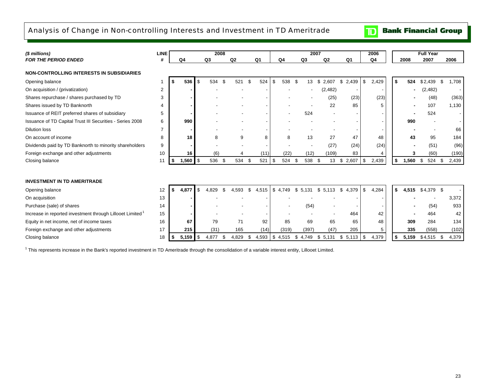## Analysis of Change in Non-controlling Interests and Investment in TD Ameritrade



| (\$ millions)                                                         | <b>LINE</b> |             |          | 2008  |     |       |     |                |          |       |             | 2007 |          |                |     | 2006  |             | <b>Full Year</b> |             |
|-----------------------------------------------------------------------|-------------|-------------|----------|-------|-----|-------|-----|----------------|----------|-------|-------------|------|----------|----------------|-----|-------|-------------|------------------|-------------|
| <b>FOR THE PERIOD ENDED</b>                                           |             | Q4          |          | Q3    |     | Q2    |     | Q <sub>1</sub> | Q4       |       | Q3          | Q2   |          | Q <sub>1</sub> |     | Q4    | 2008        | 2007             | 2006        |
| <b>NON-CONTROLLING INTERESTS IN SUBSIDIARIES</b>                      |             |             |          |       |     |       |     |                |          |       |             |      |          |                |     |       |             |                  |             |
| Opening balance                                                       |             | 536         | \$       | 534   |     | 521   |     | 524            |          | 538   | \$<br>13    | \$.  | 2.607    | \$<br>2,439    | \$  | 2,429 | \$<br>524   | \$2,439          | \$<br>1,708 |
| On acquisition / (privatization)                                      | 2           |             |          |       |     |       |     |                |          |       |             |      | (2, 482) | ٠              |     |       |             | (2, 482)         |             |
| Shares repurchase / shares purchased by TD                            | 3           |             |          |       |     |       |     |                |          |       |             |      | (25)     | (23)           |     | (23)  |             | (48)             | (363)       |
| Shares issued by TD Banknorth                                         |             |             |          |       |     |       |     |                |          |       |             |      | 22       | 85             |     | 5     |             | 107              | 1,130       |
| Issuance of REIT preferred shares of subsidiary                       | 5           |             |          |       |     |       |     |                |          |       | 524         |      |          |                |     |       |             | 524              |             |
| Issuance of TD Capital Trust III Securities - Series 2008             | 6           | 990         |          |       |     |       |     |                |          |       |             |      |          |                |     |       | 990         |                  |             |
| <b>Dilution loss</b>                                                  |             |             |          |       |     |       |     |                |          |       |             |      |          |                |     |       |             |                  | 66          |
| On account of income                                                  | 8           | 18          |          | 8     |     | 9     |     | 8              |          | 8     | 13          |      | 27       | 47             |     | 48    | 43          | 95               | 184         |
| Dividends paid by TD Banknorth to minority shareholders               | 9           |             |          |       |     |       |     |                |          |       |             |      | (27)     | (24)           |     | (24)  |             | (51)             | (96)        |
| Foreign exchange and other adjustments                                | 10          | 16          |          | (6)   |     |       |     | (11)           |          | (22)  | (12)        |      | (109)    | 83             |     | 4     | 3           | (60)             | (190)       |
| Closing balance                                                       | 11          | \$<br>1,560 | <b>S</b> | 536   | -\$ | 534   | -\$ | 521            | -\$      | 524   | \$<br>538   | - \$ | 13       | \$<br>2,607    | \$  | 2,439 | \$<br>1,560 | \$<br>524        | \$<br>2,439 |
|                                                                       |             |             |          |       |     |       |     |                |          |       |             |      |          |                |     |       |             |                  |             |
| <b>INVESTMENT IN TD AMERITRADE</b>                                    |             |             |          |       |     |       |     |                |          |       |             |      |          |                |     |       |             |                  |             |
| Opening balance                                                       | 12          | \$<br>4,877 | \$       | 4.829 | £.  | 4,593 | \$  | 4,515          | -\$      | 4,749 | \$<br>5.131 | \$   | 5.113    | \$<br>4.379    | \$  | 4,284 | \$<br>4.515 | $$4.379$ \$      |             |
| On acquisition                                                        | 13          |             |          |       |     |       |     |                |          |       |             |      |          |                |     |       |             |                  | 3,372       |
| Purchase (sale) of shares                                             | 14          |             |          |       |     |       |     |                |          |       | (54)        |      |          |                |     |       |             | (54)             | 933         |
| Increase in reported investment through Lillooet Limited <sup>1</sup> | 15          |             |          |       |     |       |     |                |          |       |             |      |          | 464            |     | 42    |             | 464              | 42          |
| Equity in net income, net of income taxes                             | 16          | 67          |          | 79    |     | 71    |     | 92             |          | 85    | 69          |      | 65       | 65             |     | 48    | 309         | 284              | 134         |
| Foreign exchange and other adjustments                                | 17          | 215         |          | (31)  |     | 165   |     | (14)           |          | (319) | (397)       |      | (47)     | 205            |     | 5     | 335         | (558)            | (102)       |
| Closing balance                                                       | 18          | 5,159       | \$       | 4,877 |     | 4,829 |     | 4,593          | <b>S</b> | 4,515 | \$<br>4,749 | \$   | 5,131    | \$<br>5,113    | -\$ | 4,379 | \$<br>5,159 | \$4,515          | 4,379<br>\$ |

<sup>1</sup> This represents increase in the Bank's reported investment in TD Ameritrade through the consolidation of a variable interest entity, Lillooet Limited.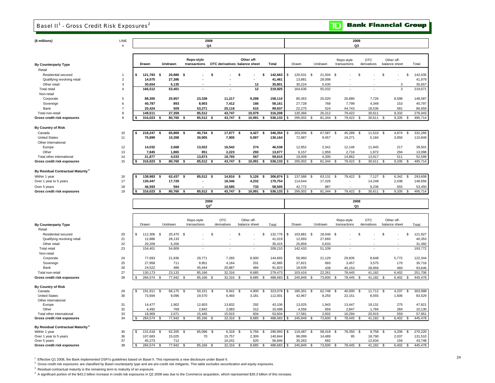### Basel II<sup>1</sup> - Gross Credit Risk Exposures<sup>2</sup>

**TD** Bank Financial Group

| (\$ millions)                                   | LINE<br>#      |    |            |                |           |                             | 2008<br>Q4      |                               |      |               |                |            |    |            |                |           |                    |                            | 2008<br>Q3         |                           |                |                             |      |                    |
|-------------------------------------------------|----------------|----|------------|----------------|-----------|-----------------------------|-----------------|-------------------------------|------|---------------|----------------|------------|----|------------|----------------|-----------|--------------------|----------------------------|--------------------|---------------------------|----------------|-----------------------------|------|--------------------|
|                                                 |                |    |            |                |           |                             |                 |                               |      |               |                |            |    |            |                |           |                    |                            |                    |                           |                |                             |      |                    |
|                                                 |                |    | Drawn      | Undrawn        |           | Repo-style<br>transactions  |                 | OTC derivatives balance sheet |      | Other off-    |                | Total      |    | Drawn      |                | Undrawn   |                    | Repo-style<br>transactions |                    | <b>OTC</b><br>derivatives |                | Other off-<br>balance sheet |      | Total              |
| <b>By Counterparty Type</b>                     |                |    |            |                |           |                             |                 |                               |      |               |                |            |    |            |                |           |                    |                            |                    |                           |                |                             |      |                    |
| Retail                                          |                |    |            |                |           |                             |                 |                               |      |               |                |            |    |            |                |           |                    |                            |                    |                           |                |                             |      |                    |
| Residential secured                             | $\overline{1}$ | \$ | 121,783 \$ |                | 20,880 \$ |                             | \$              |                               | s    |               | \$             | 142,663    | \$ | 120,531 \$ |                | 21,504 \$ |                    |                            | \$                 |                           | \$             |                             | s.   | 142,035            |
| Qualifying revolving retail                     | $\sqrt{2}$     |    | 14,075     |                | 27,386    |                             |                 |                               |      |               |                | 41,461     |    | 13,881     |                | 28,098    |                    |                            |                    |                           |                |                             |      | 41,979             |
| Other retail                                    | 3              |    | 30,654     |                | 5,135     |                             |                 |                               |      | 12            |                | 35,801     |    | 30,224     |                | 5,430     |                    |                            |                    |                           |                | 3                           |      | 35,657             |
| <b>Total retail</b>                             | $\overline{4}$ |    | 166,512    |                | 53,401    | $\overline{a}$              |                 |                               |      | 12            |                | 219,925    |    | 164,636    |                | 55,032    |                    | ×                          |                    | ÷.                        |                | 3                           |      | 219,671            |
| Non-retail                                      |                |    |            |                |           |                             |                 |                               |      |               |                |            |    |            |                |           |                    |                            |                    |                           |                |                             |      |                    |
|                                                 | 5              |    | 88.300     |                | 25,957    | 23,338                      |                 | 11,217                        |      | 9.298         |                | 158.110    |    | 80,363     |                | 25,020    |                    | 26,880                     |                    | 7,726                     |                | 8,598                       |      | 148,587            |
| Corporate                                       |                |    |            |                |           |                             |                 |                               |      |               |                |            |    |            |                |           |                    |                            |                    |                           |                |                             |      |                    |
| Sovereign                                       | 6              |    | 40,787     |                | 893       | 8,903                       |                 | 7,412                         |      | 166           |                | 58,161     |    | 27,728     |                | 768       |                    | 7,799                      |                    | 4,349                     |                | 153                         |      | 40,797             |
| Bank                                            | $\overline{7}$ |    | 20,424     |                | 509       | 53,271                      |                 | 25,118                        |      | 615           |                | 99,937     |    | 22,275     |                | 524       |                    | 44,743                     |                    | 18,536                    |                | 581                         |      | 86,659             |
| Total non-retail                                | 8              |    | 149.511    |                | 27.359    | 85,512                      |                 | 43.747                        |      | 10.079        |                | 316,208    |    | 130,366    |                | 26,312    |                    | 79.422                     |                    | 30.611                    |                | 9.332                       |      | 276,043            |
| Gross credit risk exposures                     | 9              |    | 316,023    |                | 80,760    | 85,512<br>\$.               |                 | 43,747                        | \$   | 10,091        |                | 536,133    |    | 295,002    | -S             | 81,344    | - \$               | 79,422                     | - \$               | 30,611                    | S              | 9,335                       |      | 495,714            |
| By Country of Risk                              |                |    |            |                |           |                             |                 |                               |      |               |                |            |    |            |                |           |                    |                            |                    |                           |                |                             |      |                    |
| Canada                                          | 10             | \$ | 218,247    | - \$           | 65,869    | 40,734<br>\$                | - \$            | 17,077                        | \$   | 4,427         | \$             | 346,354    | \$ | 203,006    | -S             | 67,587    | - \$               | 45,289                     | - \$               | 11,510                    | <b>S</b>       | 4,874                       | S,   | 332,266            |
| <b>United States</b>                            | 11             |    | 75,899     |                | 10,358    | 30,905                      |                 | 7,905                         |      | 5,097         |                | 130,164    |    | 72,987     |                | 9,457     |                    | 19,271                     |                    | 5,184                     |                | 3,950                       |      | 110,849            |
| Other international                             |                |    |            |                |           |                             |                 |                               |      |               |                |            |    |            |                |           |                    |                            |                    |                           |                |                             |      |                    |
| Europe                                          | 12             |    | 14,032     |                | 2,668     | 13,022                      |                 | 16,542                        |      | 274           |                | 46,538     |    | 12,852     |                | 2,341     |                    | 12,146                     |                    | 11,945                    |                | 217                         |      | 39,501             |
| Other                                           | 13             |    |            |                | 1,865     | 851                         |                 | 2,223                         |      | 293           |                |            |    |            |                | 1,959     |                    | 2,716                      |                    | 1,972                     |                | 294                         |      | 13,098             |
|                                                 |                |    | 7,845      |                |           |                             |                 |                               |      |               |                | 13,077     |    | 6,157      |                |           |                    |                            |                    |                           |                |                             |      |                    |
| Total other international                       | 14             |    | 21,877     |                | 4,533     | 13,873                      |                 | 18,765                        |      | 567           |                | 59,615     |    | 19,009     |                | 4,300     |                    | 14,862                     |                    | 13,917                    |                | 511                         |      | 52,599             |
| Gross credit risk exposures                     | 15             |    | 316,023    |                | 80,760    | 85,512<br>\$                |                 | 43,747                        | \$   | 10,091        | \$             | 536,133    |    | 295,002    | £.             | 81,344    |                    | 79,422                     | $\mathbf{\hat{S}}$ | 30,611                    | s              | 9,335                       | -S   | 495,714            |
| By Residual Contractual Maturity <sup>3</sup>   |                |    |            |                |           |                             |                 |                               |      |               |                |            |    |            |                |           |                    |                            |                    |                           |                |                             |      |                    |
| Within 1 year                                   | 16             | \$ | 138,983    | Ŝ.             | 62,437    | $85,512$ \$<br>$\mathbf{s}$ |                 | $14,816$ \$                   |      | 5,126         | \$             | 306,874    | \$ | 137,586    | S.             | 63,131    | <sup>\$</sup>      | 79,422                     | - \$               | 7,127                     | \$             | 6,342                       | -S   | 293,608            |
| Over 1 year to 5 years                          | 17             |    | 130,447    |                | 17,729    | ä,                          |                 | 18,346                        |      | 4,232         |                | 170,754    |    | 114,644    |                | 17,326    |                    |                            |                    | 14,248                    |                | 2,438                       |      | 148,656            |
| Over 5 years                                    | 18             |    | 46,593     |                | 594       |                             |                 | 10,585                        |      | 733           |                | 58,505     |    | 42,772     |                | 887       |                    |                            |                    | 9,236                     |                | 555                         |      | 53,450             |
| Gross credit risk exposures                     | 19             |    | 316,023    | \$             | 80,760    | \$<br>85,512 \$             |                 | 43,747                        | \$   | 10,091        | \$             | 536,133    |    | 295,002    | $\mathfrak{s}$ | 81,344    | $\mathfrak{L}$     | 79,422                     | <b>S</b>           | 30,611                    | <b>S</b>       | 9,335                       | \$   | 495,714            |
|                                                 |                |    |            |                |           |                             | 2008            |                               |      |               |                |            |    |            |                |           |                    |                            | 2008               |                           |                |                             |      |                    |
|                                                 |                |    |            |                |           |                             | Q2 <sup>4</sup> |                               |      |               |                |            |    |            |                |           |                    |                            | Q1                 |                           |                |                             |      |                    |
|                                                 |                |    |            |                |           |                             |                 | OTC                           |      | Other off-    |                |            |    |            |                |           |                    |                            |                    | <b>OTC</b>                |                | Other off-                  |      |                    |
| <b>By Counterparty Type</b>                     |                |    | Drawn      | Undrawn        |           | Repo-style<br>transactions  |                 | derivatives                   |      | balance sheet |                | Total      |    | Drawn      |                | Undrawn   |                    | Repo-style<br>transactions |                    | derivatives               |                | balance sheet               |      | Total              |
| Retail                                          |                |    |            |                |           |                             |                 |                               |      |               |                |            |    |            |                |           |                    |                            |                    |                           |                |                             |      |                    |
| Residential secured                             | 20             | \$ | 112,306 \$ |                | 20,470 \$ |                             | \$              |                               | \$   |               | $\mathfrak{L}$ | 132,776    | \$ | 103,881 \$ |                | 18.046    | $\mathcal{F}$      |                            | £.                 |                           | \$             |                             | \$   | 121,927            |
| Qualifying revolving retail                     | 21             |    | 12,886     |                | 28,133    |                             |                 |                               |      |               |                | 41,019     |    | 12,693     |                | 27,660    |                    |                            |                    |                           |                |                             |      | 40,353             |
| Other retail                                    | 22             |    | 29,209     |                | 6,206     |                             |                 |                               |      |               |                | 35,415     |    | 25,859     |                | 5,633     |                    |                            |                    |                           |                |                             |      | 31,492             |
| <b>Total retail</b>                             | 23             |    | 154,401    |                | 54,809    | ä,                          |                 |                               |      |               |                | 209,210    |    | 142,433    |                | 51,339    |                    |                            |                    |                           |                |                             |      | 193,772            |
| Non-retail                                      |                |    |            |                |           |                             |                 |                               |      |               |                |            |    |            |                |           |                    |                            |                    |                           |                |                             |      |                    |
| Corporate                                       | 24             |    | 77,693     |                | 21,936    | 29,771                      |                 | 7,265                         |      | 8,000         |                | 144,665    |    | 56,960     |                | 21,129    |                    | 29,835                     |                    | 8,648                     |                | 5,772                       |      | 122,344            |
| Sovereign                                       | 25             |    | 27,958     |                | 711       | 9,951                       |                 | 4,164                         |      | 201           |                | 42,985     |    | 27,821     |                | 693       |                    | 3,457                      |                    | 3,575                     |                | 170                         |      | 35,716             |
| Bank                                            | 26             |    | 24,522     |                | 486       | 45,444                      |                 | 20,887                        |      | 484           |                | 91,823     |    | 18,635     |                | 439       |                    | 45,153                     |                    | 28,959                    |                | 460                         |      | 93,646             |
|                                                 | 27             |    | 130,173    |                | 23,133    | 85,166                      |                 | 32,316                        |      | 8,685         |                | 279,473    |    | 103,416    |                | 22,261    |                    | 78,445                     |                    | 41,182                    |                | 6,402                       |      |                    |
| Total non-retail<br>Gross credit risk exposures | 28             |    | 284,574    |                | 77,942    | 85,166<br>$\mathfrak{s}$    |                 | 32,316                        | \$   | 8,685         |                | 488,683    | -S | 245,849    | $\mathfrak{s}$ | 73,600    | $\mathbf{\hat{z}}$ | 78,445                     | $\mathfrak{s}$     | 41,182                    | \$             | 6,402                       | s    | 251,706<br>445,478 |
|                                                 |                |    |            |                |           |                             |                 |                               |      |               |                |            |    |            |                |           |                    |                            |                    |                           |                |                             |      |                    |
| <b>By Country of Risk</b>                       |                |    |            |                |           |                             |                 |                               |      |               |                |            |    |            |                |           |                    |                            |                    |                           |                |                             |      |                    |
| Canada                                          | 29             | S. | 191,911    | -\$            | 66,175 \$ | 50,151                      | - \$            | 9,941                         | - \$ | 4,900         | -\$            | 323,078 \$ |    | 185,301    | \$             | 62,748    | -\$                | 40,000                     | -\$                | $11,712$ \$               |                | 4,237                       | - \$ | 303,998            |
| <b>United States</b>                            | 30             |    | 73,694     |                | 9,096     | 19,570                      |                 | 6,460                         |      | 3,181         |                | 112,001    |    | 42,967     |                | 8,250     |                    | 22,151                     |                    | 8,555                     |                | 1,606                       |      | 83,529             |
| Other international                             |                |    |            |                |           |                             |                 |                               |      |               |                |            |    |            |                |           |                    |                            |                    |                           |                |                             |      |                    |
| Europe                                          | 31             |    | 14,477     |                | 1,902     | 12,603                      |                 | 13,832                        |      | 292           |                | 43,106     |    | 13,025     |                | 1,943     |                    | 13,447                     |                    | 19,131                    |                | 275                         |      | 47,821             |
| Other                                           | 32             |    | 4.492      |                | 769       | 2,842                       |                 | 2,083                         |      | 312           |                | 10,498     |    | 4,556      |                | 659       |                    | 2,847                      |                    | 1,784                     |                | 284                         |      | 10,130             |
| Total other international                       | 33             |    | 18,969     |                | 2,671     | 15,445                      |                 | 15,915                        |      | 604           |                | 53,604     |    | 17,581     |                | 2,602     |                    | 16,294                     |                    | 20,915                    |                | 559                         |      | 57,951             |
| Gross credit risk exposures                     | 34             |    | 284,574    | $\mathfrak{L}$ | 77,942    | 85,166<br>$\mathfrak{s}$    |                 | 32,316                        | £.   | 8,685         | $\mathfrak{L}$ | 488,683    | s  | 245,849    | $\mathfrak{s}$ | 73,600    | $\mathcal{R}$      | 78,445                     | $\mathbf{\hat{z}}$ | 41,182                    | $\mathfrak{s}$ | 6.402                       | s    | 445,478            |
| By Residual Contractual Maturity <sup>3</sup>   |                |    |            |                |           |                             |                 |                               |      |               |                |            |    |            |                |           |                    |                            |                    |                           |                |                             |      |                    |
| Within 1 year                                   | 35             | \$ | 131,618    | \$             | 62.205    | Ŝ.<br>85,096                | - \$            | 6,318                         | \$   | 5,756         | \$             | 290,993    | \$ | 119,487    | <b>S</b>       | 58,419    | $\mathfrak{F}$     | 78,350                     | <b>S</b>           | 9,758                     | <b>S</b>       | 4,206                       | S.   | 270,220            |
| Over 1 year to 5 years                          | 36             |    | 107,683    |                | 15,025    | 70                          |                 | 15,757                        |      | 2,309         |                | 140,844    |    | 96,099     |                | 14,489    |                    | 95                         |                    | 18,790                    |                | 2,037                       |      | 131,510            |
| Over 5 years                                    | 37             |    | 45.273     |                | 712       |                             |                 | 10.241                        |      | 620           |                | 56.846     |    | 30.263     |                | 692       |                    |                            |                    | 12.634                    |                | 159                         |      | 43.748             |

38 284,574 \$ 77,942 \$ 85,166 \$ 32,316 \$ 8,685 \$ 488,683 \$ 245,849 \$ 73,600 \$ 78,445 \$ 41,182 \$ 6,402 \$ 445,478 \$

1 Effective Q1 2008, the Bank implemented OSFI's guidelines based on Basel II. This represents a new disclosure under Basel II.

 $2$  Gross credit risk exposures are classified by Basel counterparty type and are pre-credit risk mitigants. This table excludes securitization and equity exposures.

 $3$  Residual contractual maturity is the remaining term to maturity of an exposure.

**Gross credit risk exposures**

4 A significant portion of the \$43.2 billion increase in credit risk exposures in Q2 2008 was due to the Commerce acquisition, which represented \$30.3 billion of this increase.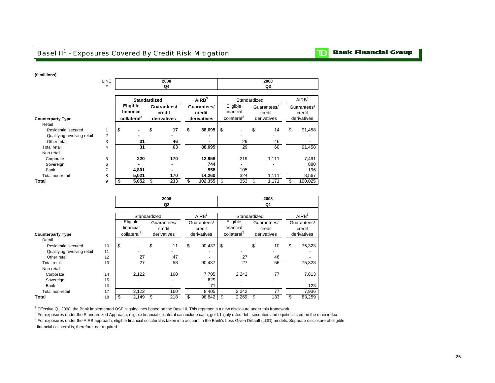## Basel II<sup>1</sup> - Exposures Covered By Credit Risk Mitigation

#### **Bank Financial Group**  $\mathbf{D}$

### **(\$ millions)**

|                             | <b>LINE</b><br># |                                                  |    | 2008<br>Q4                           |                                      |                                                  | 2008<br>Q3                           |                                      |
|-----------------------------|------------------|--------------------------------------------------|----|--------------------------------------|--------------------------------------|--------------------------------------------------|--------------------------------------|--------------------------------------|
|                             |                  | <b>Standardized</b>                              |    |                                      | AIRB <sup>3</sup>                    | Standardized                                     |                                      | AIRB <sup>3</sup>                    |
| <b>Counterparty Type</b>    |                  | Eligible<br>financial<br>collateral <sup>2</sup> |    | Guarantees/<br>credit<br>derivatives | Guarantees/<br>credit<br>derivatives | Eligible<br>financial<br>collateral <sup>2</sup> | Guarantees/<br>credit<br>derivatives | Guarantees/<br>credit<br>derivatives |
| Retail                      |                  |                                                  |    |                                      |                                      |                                                  |                                      |                                      |
| <b>Residential secured</b>  | $\mathbf{1}$     | \$<br>٠                                          | \$ | 17                                   | \$<br>88,095                         | \$                                               | \$<br>14                             | \$<br>91,458                         |
| Qualifying revolving retail | 2                |                                                  |    |                                      |                                      |                                                  |                                      |                                      |
| Other retail                | 3                | 31                                               |    | 46                                   | ۰                                    | 29                                               | 46                                   |                                      |
| <b>Total retail</b>         | 4                | 31                                               |    | 63                                   | 88,095                               | 29                                               | 60                                   | 91,458                               |
| Non-retail                  |                  |                                                  |    |                                      |                                      |                                                  |                                      |                                      |
| Corporate                   | 5                | 220                                              |    | 170                                  | 12,958                               | 219                                              | 1,111                                | 7,491                                |
| Sovereign                   | 6                |                                                  |    | ۰                                    | 744                                  |                                                  |                                      | 880                                  |
| Bank                        | 7                | 4,801                                            |    | ۰                                    | 558                                  | 105                                              |                                      | 196                                  |
| Total non-retail            | 8                | 5,021                                            |    | 170                                  | 14,260                               | 324                                              | 1,111                                | 8,567                                |
| Total                       | 9                | 5,052                                            | S  | 233                                  | 102,355                              | \$<br>353                                        | \$<br>1,171                          | \$<br>100,025                        |

|                             |    |                         | 2008                     |    |                          |                         | 2008                  |                       |
|-----------------------------|----|-------------------------|--------------------------|----|--------------------------|-------------------------|-----------------------|-----------------------|
|                             |    |                         | Q2                       |    |                          |                         | Q1                    |                       |
|                             |    |                         |                          |    |                          |                         |                       |                       |
|                             |    | Standardized            |                          |    | AIRB <sup>3</sup>        | Standardized            |                       | AIRB <sup>3</sup>     |
|                             |    | Eligible<br>financial   | Guarantees/              |    | Guarantees/              | Eligible<br>financial   | Guarantees/           | Guarantees/           |
| <b>Counterparty Type</b>    |    | collateral <sup>2</sup> | credit<br>derivatives    |    | credit<br>derivatives    | collateral <sup>2</sup> | credit<br>derivatives | credit<br>derivatives |
| Retail                      |    |                         |                          |    |                          |                         |                       |                       |
| Residential secured         | 10 | \$                      | \$<br>11                 | \$ | 90,437                   | \$                      | \$<br>10              | \$<br>75,323          |
| Qualifying revolving retail | 11 |                         |                          |    |                          |                         |                       |                       |
| Other retail                | 12 | 27                      | 47                       |    | $\overline{\phantom{a}}$ | 27                      | 46                    |                       |
| Total retail                | 13 | 27                      | 58                       |    | 90,437                   | 27                      | 56                    | 75,323                |
| Non-retail                  |    |                         |                          |    |                          |                         |                       |                       |
| Corporate                   | 14 | 2,122                   | 160                      |    | 7,705                    | 2,242                   | 77                    | 7,813                 |
| Sovereign                   | 15 |                         | $\overline{\phantom{a}}$ |    | 629                      |                         |                       |                       |
| Bank                        | 16 |                         | $\overline{\phantom{a}}$ |    | 71                       |                         |                       | 123                   |
| Total non-retail            | 17 | 2,122                   | 160                      |    | 8,405                    | 2,242                   | 77                    | 7,936                 |
| Total                       | 18 | 2,149                   | \$<br>218                | S  | 98,842                   | \$<br>2,269             | \$<br>133             | 83,259                |

1 Effective Q1 2008, the Bank implemented OSFI's guidelines based on the Basel II. This represents a new disclosure under this framework.

<sup>2</sup> For exposures under the Standardized Approach, eligible financial collateral can include cash, gold, highly rated debt securities and equities listed on the main index.

 $3$  For exposures under the AIRB approach, eligible financial collateral is taken into account in the Bank's Loss Given Default (LGD) models. Separate disclosure of eligible financial collateral is, therefore, not required.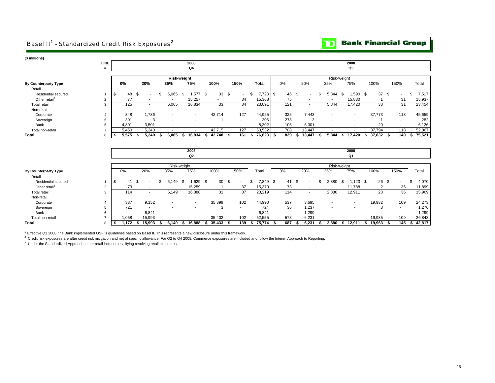## Basel II<sup>1</sup> - Standardized Credit Risk Exposures<sup>2</sup>



| (\$ millions)               |                |             |               |      |       |                        |                          |                 |                          |              |             |              |      |       |             |                          |                 |      |                          |              |
|-----------------------------|----------------|-------------|---------------|------|-------|------------------------|--------------------------|-----------------|--------------------------|--------------|-------------|--------------|------|-------|-------------|--------------------------|-----------------|------|--------------------------|--------------|
|                             | LINE           |             |               |      |       | 2008                   |                          |                 |                          |              |             |              |      |       | 2008        |                          |                 |      |                          |              |
|                             | #              |             |               |      |       | Q4                     |                          |                 |                          |              |             |              |      |       |             | Q3                       |                 |      |                          |              |
|                             |                |             |               |      |       |                        |                          |                 |                          |              |             |              |      |       |             |                          |                 |      |                          |              |
|                             |                |             |               |      |       | <b>Risk-weight</b>     |                          |                 |                          |              |             |              |      |       | Risk-weight |                          |                 |      |                          |              |
| <b>By Counterparty Type</b> |                | 0%          | 20%           |      | 35%   | 75%                    | 100%                     | 150%            |                          | <b>Total</b> | 0%          | 20%          |      | 35%   |             | 75%                      | 100%            |      | 150%                     | Total        |
| Retail                      |                |             |               |      |       |                        |                          |                 |                          |              |             |              |      |       |             |                          |                 |      |                          |              |
| Residential secured         |                | 48<br>Ŝ.    | \$            | \$   | 6.065 | $1.577$ \$<br>\$       | 33                       | - \$            | $\overline{\phantom{a}}$ | 7.723<br>\$  | 46<br>\$    | \$           | \$   | 5.844 | -\$         | $1.590$ \$               | 37              | \$   | $\sim$                   | \$<br>7,517  |
| Other retail <sup>3</sup>   | $\overline{2}$ | 77          |               |      |       | 15,257                 | $\overline{\phantom{a}}$ |                 | 34                       | 15,368       | 75          |              |      |       |             | 15,830                   |                 |      | 31                       | 15,937       |
| Total retail                | 3              | 125         |               |      | 6,065 | 16,834                 | 33                       |                 | 34                       | 23,091       | 121         |              |      | 5,844 |             | 17,420                   | 38              |      | 31                       | 23,454       |
| Non-retail                  |                |             |               |      |       |                        |                          |                 |                          |              |             |              |      |       |             |                          |                 |      |                          |              |
| Corporate                   | 4              | 348         | 1,736         |      |       |                        | 42,714                   |                 | 127                      | 44,925       | 325         | 7,443        |      |       |             | $\overline{\phantom{a}}$ | 37,773          |      | 118                      | 45,659       |
| Sovereign                   | 5              | 301         |               | 3    |       |                        |                          |                 | $\sim$                   | 305          | 278         | 3            |      |       |             |                          |                 |      | $\sim$                   | 282          |
| Bank                        | 6              | 4,801       | 3,501         |      |       |                        | $\sim$                   |                 | $\overline{\phantom{a}}$ | 8,302        | 105         | 6,001        |      |       |             |                          | 20              |      |                          | 6,126        |
| Total non-retail            |                | 5,450       | 5,240         |      |       |                        | 42,715                   |                 | 127                      | 53,532       | 708         | 13,447       |      |       |             |                          | 37,794          |      | 118                      | 52,067       |
| <b>Total</b>                | 8              | 5,575<br>-S | 5.240<br>- \$ | - \$ | 6.065 | 16.834<br>s.           | 42,748<br>- \$           | - \$            | 161                      | 76,623<br>s. | 829<br>- \$ | 13,447<br>s. | - 56 | 5.844 | \$17.420    |                          | 37,832 \$<br>s. |      | 149                      | 75,521<br>s. |
|                             |                |             |               |      |       |                        |                          |                 |                          |              |             |              |      |       |             |                          |                 |      |                          |              |
|                             |                |             |               |      |       |                        |                          |                 |                          |              |             |              |      |       |             |                          |                 |      |                          |              |
|                             |                |             |               |      |       | 2008<br>Q <sub>2</sub> |                          |                 |                          |              |             |              |      |       | 2008        |                          |                 |      |                          |              |
|                             |                |             |               |      |       |                        |                          |                 |                          |              |             |              |      |       | Q1          |                          |                 |      |                          |              |
|                             |                |             |               |      |       | Risk-weight            |                          |                 |                          |              |             |              |      |       | Risk-weight |                          |                 |      |                          |              |
| <b>By Counterparty Type</b> |                | 0%          | 20%           |      | 35%   | 75%                    | 100%                     | 150%            |                          | Total        | 0%          | 20%          |      | 35%   | 75%         |                          | 100%            |      | 150%                     | Total        |
| Retail                      |                |             |               |      |       |                        |                          |                 |                          |              |             |              |      |       |             |                          |                 |      |                          |              |
| Residential secured         | $\mathbf{1}$   | \$<br>41    | \$            |      |       |                        |                          |                 |                          |              |             |              |      |       |             |                          |                 |      |                          |              |
|                             |                |             |               | \$.  | 6,149 | $1.629$ \$<br>- \$     |                          | 30 <sup>5</sup> | $\sim$                   | 7,849<br>\$  | \$<br>41    | \$           | \$.  | 2,880 | \$          | $1.123$ \$               | 26              | - \$ | $\overline{\phantom{a}}$ | \$<br>4,070  |
| Other retail <sup>3</sup>   | 2              | 73          |               |      |       | 15,259                 |                          |                 | 37                       | 15,370       | 73          |              |      |       |             | 11,788                   | $\overline{2}$  |      | 36                       | 11,899       |
| Total retail                | 3              | 114         |               |      | 6.149 | 16.888                 | 31                       |                 | 37                       | 23,219       | 114         | $\sim$       |      | 2,880 |             | 12,911                   | $\overline{28}$ |      | 36                       | 15,969       |
| Non-retail                  |                |             |               |      |       |                        |                          |                 |                          |              |             |              |      |       |             |                          |                 |      |                          |              |
| Corporate                   | 4              | 337         | 9,152         |      |       |                        | 35,399                   |                 | 102                      | 44,990       | 537         | 3,695        |      |       |             |                          | 19,932          |      | 109                      | 24,273       |
| Sovereign                   | 5              | 721         | $\sim$        |      |       |                        | 3                        |                 | $\sim$                   | 724          | 36          | 1,237        |      |       |             |                          | 3               |      | $\overline{\phantom{a}}$ | 1,276        |
| Bank                        | 6              |             | 6,841         |      |       |                        |                          |                 | $\overline{\phantom{a}}$ | 6,841        | ۰           | 1,299        |      |       |             |                          |                 |      | $\sim$                   | 1,299        |
| Total non-retail            |                | 1,058       | 15,993        |      |       |                        | 35,402                   |                 | 102                      | 52,555       | 573         | 6,231        |      |       |             |                          | 19,935          |      | 109                      | 26,848       |

1 Effective Q1 2008, the Bank implemented OSFI's guidelines based on Basel II. This represents a new disclosure under this framework.

2 Credit risk exposures are after credit risk mitigation and net of specific allowance. For Q2 to Q4 2008, Commerce exposures are included and follow the Interim Approach to Reporting.

<sup>3</sup> Under the Standardized Approach, other retail includes qualifying revolving retail exposures.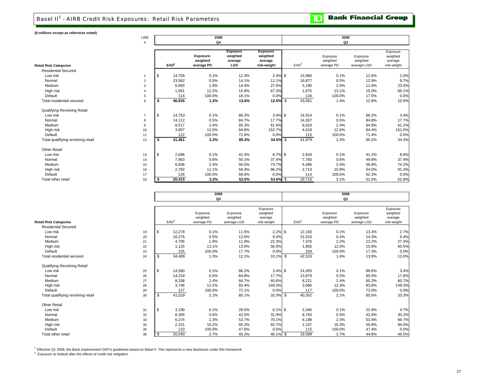## Basel II<sup>1</sup> - AIRB Credit Risk Exposures: Retail Risk Parameters

### **(\$ millions except as otherwise noted)**

|                                    | LINE           |    |                  | 2008<br>Q4                          |                                               |                                                       |                  | 2008<br>Q3                         |                                     |                                                |
|------------------------------------|----------------|----|------------------|-------------------------------------|-----------------------------------------------|-------------------------------------------------------|------------------|------------------------------------|-------------------------------------|------------------------------------------------|
| Retail Risk Categories             |                |    | EAD <sup>2</sup> | Exposure-<br>weighted<br>average PD | <b>Exposure</b><br>weighted<br>average<br>LGD | <b>Exposure</b><br>weighted<br>average<br>risk-weight | EAD <sup>2</sup> | Exposure<br>weighted<br>average PD | Exposure<br>weighted<br>average LGD | Exposure<br>weighted<br>average<br>risk-weight |
| <b>Residential Secured</b>         |                |    |                  |                                     |                                               |                                                       |                  |                                    |                                     |                                                |
| Low risk                           |                | \$ | 14,705           | 0.1%                                | 12.3%                                         | $2.4\%$ \$                                            | 15,985           | 0.1%                               | 12.6%                               | 2.0%                                           |
| Normal                             | $\overline{2}$ |    | 23,562           | 0.5%                                | 14.1%                                         | 11.1%                                                 | 19,877           | 0.5%                               | 12.9%                               | 9.7%                                           |
| Medium                             | 3              |    | 6,893            | 1.9%                                | 14.4%                                         | 27.0%                                                 | 5,190            | 2.0%                               | 11.8%                               | 23.0%                                          |
| High risk                          | $\overline{4}$ |    | 1,561            | 12.2%                               | 15.8%                                         | 67.3%                                                 | 1,875            | 13.1%                              | 15.0%                               | 66.1%                                          |
| Default                            | 5              |    | 114              | 100.0%                              | 18.1%                                         | 0.0%                                                  | 134              | 100.0%                             | 17.5%                               | 0.0%                                           |
| Total residential secured          | 6              | \$ | 46,835           | 1.2%                                | 13.6%                                         | 12.5% \$                                              | 43,061           | 1.4%                               | 12.8%                               | 10.9%                                          |
| Qualifying Revolving Retail        |                |    |                  |                                     |                                               |                                                       |                  |                                    |                                     |                                                |
| Low risk                           | $\overline{7}$ | \$ | 14,753           | 0.1%                                | 86.2%                                         | $3.4\%$ \$                                            | 14,914           | 0.1%                               | 86.2%                               | 3.4%                                           |
| Normal                             | 8              |    | 14,112           | 0.5%                                | 84.7%                                         | 17.7%                                                 | 14,307           | 0.5%                               | 84.8%                               | 17.7%                                          |
| Medium                             | 9              |    | 8,517            | 2.4%                                | 85.3%                                         | 61.9%                                                 | 8,624            | 2.4%                               | 84.9%                               | 61.2%                                          |
| High risk                          | 10             |    | 3,957            | 12.5%                               | 84.8%                                         | 152.7%                                                | 4,019            | 12.6%                              | 84.4%                               | 151.5%                                         |
| Default                            | 11             |    | 122              | 100.0%                              | 72.8%                                         | 0.0%                                                  | 115              | 100.0%                             | 71.4%                               | 0.0%                                           |
| Total qualifiying revolving retail | 12             | s. | 41,461           | 2.2%                                | 85.3%                                         | 34.5% \$                                              | 41,979           | 2.2%                               | 85.2%                               | 34.3%                                          |
| <b>Other Retail</b>                |                |    |                  |                                     |                                               |                                                       |                  |                                    |                                     |                                                |
| Low risk                           | 13             | \$ | 2,696            | 0.1%                                | 41.4%                                         | $8.7\%$ \$                                            | 2,643            | 0.1%                               | 41.2%                               | 8.6%                                           |
| Normal                             | 14             |    | 7,963            | 0.6%                                | 50.1%                                         | 37.4%                                                 | 7,760            | 0.6%                               | 49.8%                               | 37.4%                                          |
| Medium                             | 15             |    | 6,836            | 2.4%                                | 56.5%                                         | 73.7%                                                 | 6,486            | 2.4%                               | 56.8%                               | 74.2%                                          |
| High risk                          | 16             |    | 2,792            | 11.1%                               | 56.4%                                         | 96.2%                                                 | 2,713            | 10.9%                              | 54.0%                               | 91.3%                                          |
| Default                            | 17             |    | 128              | 100.0%                              | 58.6%                                         | 0.0%                                                  | 114              | 100.0%                             | 52.3%                               | 0.0%                                           |
| Total other retail                 | 18             |    | 20,415           | 3.2%                                | 52.0%                                         | 53.6% \$                                              | 19,716           | 3.1%                               | 51.5%                               | 52.8%                                          |

|                                    |    |     |                  | 2008<br>Q <sub>2</sub>             |                                     |                                                |                  | 2008<br>Q <sub>1</sub>             |                                     |                                                |
|------------------------------------|----|-----|------------------|------------------------------------|-------------------------------------|------------------------------------------------|------------------|------------------------------------|-------------------------------------|------------------------------------------------|
| <b>Retail Risk Categories</b>      |    |     | EAD <sup>2</sup> | Exposure<br>weighted<br>average PD | Exposure<br>weighted<br>average LGD | Exposure<br>weighted<br>average<br>risk-weight | EAD <sup>2</sup> | Exposure<br>weighted<br>average PD | Exposure<br>weighted<br>average LGD | Exposure<br>weighted<br>average<br>risk-weight |
| <b>Residential Secured</b>         |    |     |                  |                                    |                                     |                                                |                  |                                    |                                     |                                                |
| Low risk                           | 19 | \$  | 12,278           | 0.1%                               | 11.5%                               | $2.2\%$ \$                                     | 12,183           | 0.1%                               | 13.3%                               | 2.7%                                           |
| Normal                             | 20 |     | 16,276           | 0.5%                               | 12.6%                               | 9.4%                                           | 21,010           | 0.4%                               | 14.3%                               | 9.4%                                           |
| Medium                             | 21 |     | 4,705            | 1.9%                               | 11.9%                               | 22.3%                                          | 7,376            | 2.2%                               | 13.2%                               | 27.3%                                          |
| High risk                          | 22 |     | 1,125            | 13.1%                              | 13.0%                               | 56.9%                                          | 1,855            | 12.0%                              | 15.6%                               | 65.5%                                          |
| Default                            | 23 |     | 105              | 100.0%                             | 17.7%                               | 0.0%                                           | 109              | 100.0%                             | 17.3%                               | 0.0%                                           |
| Total residential secured          | 24 | \$  | 34,489           | 1.3%                               | 12.1%                               | 10.1% \$                                       | 42,533           | 1.4%                               | 13.9%                               | 13.0%                                          |
| Qualifying Revolving Retail        |    |     |                  |                                    |                                     |                                                |                  |                                    |                                     |                                                |
| Low risk                           | 25 | \$  | 14,590           | 0.1%                               | 86.2%                               | $3.4\%$ \$                                     | 14.455           | 0.1%                               | 86.6%                               | 3.4%                                           |
| Normal                             | 26 |     | 14,218           | 0.5%                               | 84.8%                               | 17.7%                                          | 13,879           | 0.5%                               | 85.5%                               | 17.8%                                          |
| Medium                             | 27 |     | 8,338            | 2.4%                               | 84.7%                               | 60.6%                                          | 8,221            | 2.4%                               | 85.2%                               | 60.7%                                          |
| High risk                          | 28 |     | 3,746            | 12.2%                              | 83.4%                               | 149.3%                                         | 3,680            | 12.3%                              | 83.6%                               | 149.3%                                         |
| Default                            | 29 |     | 127              | 100.0%                             | 72.1%                               | 0.0%                                           | 117              | 100.0%                             | 73.0%                               | 0.0%                                           |
| Total qualifiying revolving retail | 30 | \$  | 41,019           | 2.1%                               | 85.1%                               | 33.3% \$                                       | 40,352           | 2.1%                               | 85.6%                               | 33.3%                                          |
| <b>Other Retail</b>                |    |     |                  |                                    |                                     |                                                |                  |                                    |                                     |                                                |
| Low risk                           | 31 | \$  | 3,190            | 0.1%                               | 28.5%                               | $6.1\%$ \$                                     | 2,346            | 0.1%                               | 22.6%                               | 4.7%                                           |
| Normal                             | 32 |     | 8,305            | 0.6%                               | 42.5%                               | 31.9%                                          | 8,783            | 0.5%                               | 42.0%                               | 30.2%                                          |
| Medium                             | 33 |     | 6,274            | 2.3%                               | 53.7%                               | 70.1%                                          | 6,188            | 2.3%                               | 53.4%                               | 69.7%                                          |
| High risk                          | 34 |     | 2,151            | 10.2%                              | 55.2%                               | 92.7%                                          | 2,157            | 10.3%                              | 55.8%                               | 94.0%                                          |
| Default                            | 35 |     | 120              | 100.0%                             | 47.6%                               | 0.0%                                           | 115              | 100.0%                             | 47.4%                               | 0.0%                                           |
| Total other retail                 | 36 | -\$ | 20,040           | 2.7%                               | 45.2%                               | 46.1% \$                                       | 19,589           | 2.7%                               | 44.8%                               | 46.5%                                          |

<sup>1</sup> Effective Q1 2008, the Bank implemented OSFI's guidelines based on Basel II. This represents a new disclosure under this framework.<br><sup>2</sup> Exposure at Default after the effects of credit risk mitigation.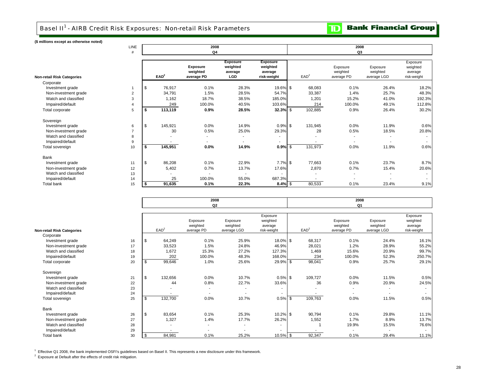**Bank Financial Group** 

 $\mathbf{D}$ 

**(\$ millions except as otherwise noted)**

|                                   | <b>LINE</b><br># |                  |         | 2008<br>Q <sub>4</sub>                    |                                               |                                                       | 2008<br>Q3       |                                    |                                     |                                                |  |  |  |  |  |  |  |
|-----------------------------------|------------------|------------------|---------|-------------------------------------------|-----------------------------------------------|-------------------------------------------------------|------------------|------------------------------------|-------------------------------------|------------------------------------------------|--|--|--|--|--|--|--|
| <b>Non-retail Risk Categories</b> |                  | EAD <sup>2</sup> |         | <b>Exposure</b><br>weighted<br>average PD | <b>Exposure</b><br>weighted<br>average<br>LGD | <b>Exposure</b><br>weighted<br>average<br>risk-weight | EAD <sup>2</sup> | Exposure<br>weighted<br>average PD | Exposure<br>weighted<br>average LGD | Exposure<br>weighted<br>average<br>risk-weight |  |  |  |  |  |  |  |
| Corporate                         |                  |                  |         |                                           |                                               |                                                       |                  |                                    |                                     |                                                |  |  |  |  |  |  |  |
| Investment grade                  |                  |                  | 76,917  | 0.1%                                      | 28.3%                                         | 19.6% \$                                              | 68,083           | 0.1%                               | 26.4%                               | 18.2%                                          |  |  |  |  |  |  |  |
| Non-investment grade              | $\overline{2}$   |                  | 34,791  | 1.5%                                      | 28.5%                                         | 54.7%                                                 | 33,387           | 1.4%                               | 25.7%                               | 48.3%                                          |  |  |  |  |  |  |  |
| Watch and classified              | 3                |                  | 1,162   | 18.7%                                     | 38.5%                                         | 185.0%                                                | 1,201            | 15.2%                              | 41.0%                               | 192.3%                                         |  |  |  |  |  |  |  |
| Impaired/default                  | $\overline{4}$   |                  | 249     | 100.0%                                    | 40.5%                                         | 103.6%                                                | 214              | 100.0%                             | 49.1%                               | 112.8%                                         |  |  |  |  |  |  |  |
| Total corporate                   | 5                |                  | 113,119 | 0.9%                                      | 28.5%                                         | $32.3%$ \$                                            | 102,885          | 0.9%                               | 26.4%                               | 30.2%                                          |  |  |  |  |  |  |  |
| Sovereign                         |                  |                  |         |                                           |                                               |                                                       |                  |                                    |                                     |                                                |  |  |  |  |  |  |  |
| Investment grade                  | 6                | - \$             | 145,921 | 0.0%                                      | 14.9%                                         | $0.9\%$ \$                                            | 131,945          | 0.0%                               | 11.9%                               | 0.6%                                           |  |  |  |  |  |  |  |
| Non-investment grade              | $\overline{7}$   |                  | 30      | 0.5%                                      | 25.0%                                         | 29.3%                                                 | 28               | 0.5%                               | 18.5%                               | 20.8%                                          |  |  |  |  |  |  |  |
| Watch and classified              | 8                |                  |         | ٠                                         |                                               |                                                       |                  |                                    |                                     |                                                |  |  |  |  |  |  |  |
| Impaired/default                  | 9                |                  |         | ٠                                         |                                               |                                                       |                  | $\overline{\phantom{a}}$           |                                     |                                                |  |  |  |  |  |  |  |
| Total sovereign                   | 10               | Ŝ.               | 145,951 | $0.0\%$                                   | 14.9%                                         | $0.9%$ \$                                             | 131,973          | 0.0%                               | 11.9%                               | 0.6%                                           |  |  |  |  |  |  |  |
| Bank                              |                  |                  |         |                                           |                                               |                                                       |                  |                                    |                                     |                                                |  |  |  |  |  |  |  |
| Investment grade                  | 11               | l \$             | 86,208  | 0.1%                                      | 22.9%                                         | $7.7\%$ \$                                            | 77,663           | 0.1%                               | 23.7%                               | 8.7%                                           |  |  |  |  |  |  |  |
| Non-investment grade              | 12               |                  | 5,402   | 0.7%                                      | 13.7%                                         | 17.6%                                                 | 2,870            | 0.7%                               | 15.4%                               | 20.6%                                          |  |  |  |  |  |  |  |
| Watch and classified              | 13               |                  |         |                                           |                                               |                                                       |                  |                                    |                                     |                                                |  |  |  |  |  |  |  |
| Impaired/default                  | 14               |                  | 25      | 100.0%                                    | 55.0%                                         | 687.3%                                                | $\sim$           |                                    |                                     |                                                |  |  |  |  |  |  |  |
| <b>Total bank</b>                 | 15               |                  | 91,635  | 0.1%                                      | 22.3%                                         | $8.4\%$ \$                                            | 80,533           | 0.1%                               | 23.4%                               | 9.1%                                           |  |  |  |  |  |  |  |

|                                   |    |                  | 2008<br>Q <sub>2</sub>             |                                     |                                                |                  | 2008<br>Q <sub>1</sub>             |                                     |                                                |
|-----------------------------------|----|------------------|------------------------------------|-------------------------------------|------------------------------------------------|------------------|------------------------------------|-------------------------------------|------------------------------------------------|
| <b>Non-retail Risk Categories</b> |    | EAD <sup>2</sup> | Exposure<br>weighted<br>average PD | Exposure<br>weighted<br>average LGD | Exposure<br>weighted<br>average<br>risk-weight | EAD <sup>2</sup> | Exposure<br>weighted<br>average PD | Exposure<br>weighted<br>average LGD | Exposure<br>weighted<br>average<br>risk-weight |
| Corporate                         |    |                  |                                    |                                     |                                                |                  |                                    |                                     |                                                |
| Investment grade                  | 16 | \$<br>64,249     | 0.1%                               | 25.9%                               | 18.0% \$                                       | 68,317           | 0.1%                               | 24.4%                               | 16.1%                                          |
| Non-investment grade              | 17 | 33,523           | 1.5%                               | 24.8%                               | 46.9%                                          | 28,021           | 1.2%                               | 28.9%                               | 55.2%                                          |
| Watch and classified              | 18 | 1,672            | 15.3%                              | 27.2%                               | 127.3%                                         | 1,469            | 15.6%                              | 20.9%                               | 99.7%                                          |
| Impaired/default                  | 19 | 202              | 100.0%                             | 48.3%                               | 168.0%                                         | 234              | 100.0%                             | 52.3%                               | 250.7%                                         |
| Total corporate                   | 20 | \$<br>99,646     | 1.0%                               | 25.6%                               | 29.9% \$                                       | 98,041           | 0.9%                               | 25.7%                               | 29.1%                                          |
| Sovereign                         |    |                  |                                    |                                     |                                                |                  |                                    |                                     |                                                |
| Investment grade                  | 21 | \$<br>132,656    | 0.0%                               | 10.7%                               | $0.5\%$ \$                                     | 109,727          | 0.0%                               | 11.5%                               | 0.5%                                           |
| Non-investment grade              | 22 | 44               | 0.8%                               | 22.7%                               | 33.6%                                          | 36               | 0.9%                               | 20.9%                               | 24.5%                                          |
| Watch and classified              | 23 |                  |                                    |                                     | ۰                                              |                  |                                    |                                     |                                                |
| Impaired/default                  | 24 |                  | $\overline{\phantom{a}}$           |                                     | $\sim$                                         |                  |                                    |                                     |                                                |
| Total sovereign                   | 25 | \$<br>132,700    | 0.0%                               | 10.7%                               | 0.5%                                           | 109,763<br>-\$   | 0.0%                               | 11.5%                               | 0.5%                                           |
| Bank                              |    |                  |                                    |                                     |                                                |                  |                                    |                                     |                                                |
| Investment grade                  | 26 | \$<br>83,654     | 0.1%                               | 25.3%                               | 10.2% \$                                       | 90,794           | 0.1%                               | 29.8%                               | 11.1%                                          |
| Non-investment grade              | 27 | 1,327            | 1.4%                               | 17.7%                               | 26.2%                                          | 1,552            | 1.7%                               | 8.9%                                | 13.7%                                          |
| Watch and classified              | 28 |                  | ж.                                 |                                     |                                                |                  | 19.9%                              | 15.5%                               | 76.6%                                          |
| Impaired/default                  | 29 |                  |                                    |                                     |                                                |                  |                                    |                                     | $\sim$                                         |
| Total bank                        | 30 | \$<br>84,981     | 0.1%                               | 25.2%                               | $10.5\%$ \$                                    | 92,347           | 0.1%                               | 29.4%                               | 11.1%                                          |

1 Effective Q1 2008, the bank implemented OSFI's guidelines based on Basel II. This represents a new disclosure under this framework.

<sup>2</sup> Exposure at Default after the effects of credit risk mitigation.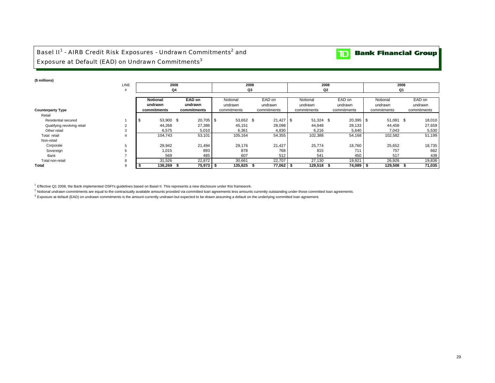## Basel II<sup>1</sup> - AIRB Credit Risk Exposures - Undrawn Commitments<sup>2</sup> and Exposure at Default (EAD) on Undrawn Commitments<sup>3</sup>

### **(\$ millions)**

|                             | LINE |                                                        | 2008             |                     | 2008              | 2008                |                   | 2008                |                   |  |  |  |  |
|-----------------------------|------|--------------------------------------------------------|------------------|---------------------|-------------------|---------------------|-------------------|---------------------|-------------------|--|--|--|--|
|                             |      |                                                        | Q4               |                     | Q3                |                     | Q2                | Q1                  |                   |  |  |  |  |
|                             |      | <b>EAD on</b><br><b>Notional</b><br>undrawn<br>undrawn |                  | Notional<br>undrawn | EAD on<br>undrawn | Notional<br>undrawn | EAD on<br>undrawn | Notional<br>undrawn | EAD on<br>undrawn |  |  |  |  |
| <b>Counterparty Type</b>    |      | commitments                                            | commitments      | commitments         | commitments       | commitments         | commitments       | commitments         | commitments       |  |  |  |  |
| Retail                      |      |                                                        |                  |                     |                   |                     |                   |                     |                   |  |  |  |  |
| Residential secured         |      | 53,900 \$<br>- \$                                      | 20,705 \$        | 53,652 \$           | 21,427            | 51,324 \$<br>-S     | 20,395 \$         | 51,081 \$           | 18,010            |  |  |  |  |
| Qualifying revolving retail |      | 44,268                                                 | 27,386           | 45,151              | 28,098            | 44,848              | 28,133            | 44,458              | 27,659            |  |  |  |  |
| Other retail                |      | 6,575                                                  | 5,010            | 6,361               | 4,830             | 6,216               | 5,640             | 7,043               | 5,530             |  |  |  |  |
| Total retail                |      | 104,743                                                | 53,101           | 105,164             | 54,355            | 102,388             | 54,168            | 102,582             | 51,199            |  |  |  |  |
| Non-retail                  |      |                                                        |                  |                     |                   |                     |                   |                     |                   |  |  |  |  |
| Corporate                   |      | 29,942                                                 | 21,494           | 29,176              | 21,427            | 25,774              | 18,760            | 25,652              | 18,735            |  |  |  |  |
| Sovereign                   |      | 1,015                                                  | 893              | 878                 | 768               | 815                 | 711               | 757                 | 662               |  |  |  |  |
| Bank                        |      |                                                        | 485<br>569       |                     | 607<br>512        | 541                 | 450               | 517                 | 439               |  |  |  |  |
| Total non-retail            |      |                                                        | 22,872<br>31,526 |                     | 22,707<br>30,661  | 27,130              | 19,921            | 26,926              | 19,836            |  |  |  |  |
| Total                       |      | 136,269                                                | 75,973           | 135,825             | 77,062            | 129,518             | 74,089            | 129,508             | 71,035            |  |  |  |  |

<sup>1</sup> Effective Q1 2008, the Bank implemented OSFI's guidelines based on Basel II. This represents a new disclosure under this framework.

<sup>2</sup> Notional undrawn commitments are equal to the contractually available amounts provided via committed loan agreements less amounts currently outstanding under those committed loan agreements.

<sup>3</sup> Exposure at default (EAD) on undrawn commitments is the amount currently undrawn but expected to be drawn assuming a default on the underlying committed loan agreement.

**TD** Bank Financial Group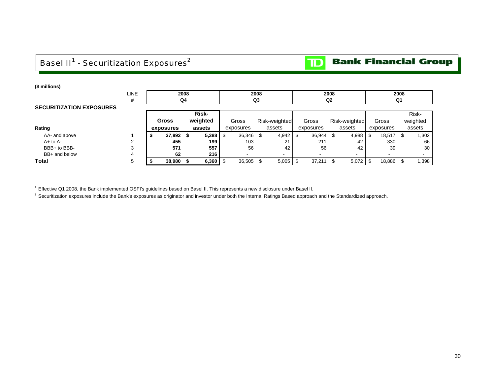# Basel II<sup>1</sup> - Securitization Exposures<sup>2</sup>

**TD** Bank Financial Group

| (\$ millions)                   |             |              |              |              |           |               |        |                |                          |           |                 |  |
|---------------------------------|-------------|--------------|--------------|--------------|-----------|---------------|--------|----------------|--------------------------|-----------|-----------------|--|
|                                 | <b>LINE</b> |              | 2008         |              | 2008      |               |        | 2008           | 2008                     |           |                 |  |
|                                 | #           |              | Q4           |              | Q3        |               |        | Q <sub>2</sub> |                          | Q1        |                 |  |
| <b>SECURITIZATION EXPOSURES</b> |             |              |              |              |           |               |        |                |                          |           |                 |  |
|                                 |             | <b>Risk-</b> |              |              |           |               |        |                |                          |           | Risk-           |  |
|                                 |             |              | <b>Gross</b> | Gross        |           | Risk-weighted | Gross  | Risk-weighted  | Gross                    | weighted  |                 |  |
| Rating                          |             |              | exposures    | assets       | exposures |               | assets | exposures      | assets                   | exposures | assets          |  |
| AA- and above                   |             |              | 37,892 \$    | $5,388$   \$ | 36,346 \$ |               | 4,942  | 36,944<br>-\$  | 4,988                    | 18,517 \$ | 0.302           |  |
| $A+$ to $A-$                    | 2           |              | 455          | 199          | 103       |               | 21     | 211            | 42                       | 330       | 66              |  |
| BBB+ to BBB-                    | 3           |              | 571          | 557          | 56        |               | 42     | 56             | 42                       | 39        | 30 <sub>1</sub> |  |
| BB+ and below                   | 4           |              | 62           | 216          |           |               |        |                | $\overline{\phantom{a}}$ |           |                 |  |
| Total                           | 5           |              | 38,980       | 6,360        | 36,505    | -S            | 5,005  | 37,211         | 5,072                    | 18,886    | .398            |  |

<sup>1</sup> Effective Q1 2008, the Bank implemented OSFI's guidelines based on Basel II. This represents a new disclosure under Basel II.

<sup>2</sup> Securitization exposures include the Bank's exposures as originator and investor under both the Internal Ratings Based approach and the Standardized approach.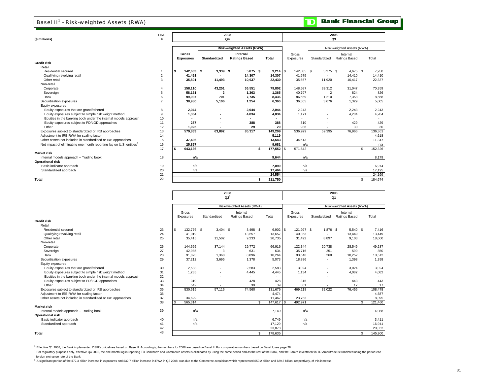## Basel II<sup>1</sup> - Risk-weighted Assets (RWA)

| (\$ millions)                                                                   | LINE<br>#      |    |                  |                     | 2008<br>Q <sub>4</sub>            | 2008<br>Q3 |                            |            |                |               |     |         |  |  |  |  |
|---------------------------------------------------------------------------------|----------------|----|------------------|---------------------|-----------------------------------|------------|----------------------------|------------|----------------|---------------|-----|---------|--|--|--|--|
|                                                                                 |                |    |                  |                     | <b>Risk-weighted Assets (RWA)</b> |            | Risk-weighted Assets (RWA) |            |                |               |     |         |  |  |  |  |
|                                                                                 |                |    | Gross            |                     | Internal                          | Gross      |                            |            |                |               |     |         |  |  |  |  |
|                                                                                 |                |    | <b>Exposures</b> | <b>Standardized</b> | <b>Ratings Based</b>              |            | <b>Total</b>               | Exposures  | Standardized   | Ratings Based |     | Total   |  |  |  |  |
| Credit risk                                                                     |                |    |                  |                     |                                   |            |                            |            |                |               |     |         |  |  |  |  |
| Retail                                                                          |                |    |                  |                     |                                   |            |                            |            |                |               |     |         |  |  |  |  |
| Residential secured                                                             |                | -S | 142.663 \$       | $3,339$ \$          | 5.875S                            |            | $9,214$ \$                 | 142,035 \$ | $3,275$ \$     | 4.675 \$      |     | 7,950   |  |  |  |  |
| Qualifying revolving retail                                                     | $\overline{2}$ |    | 41,461           |                     | 14,307                            |            | 14,307                     | 41,979     |                | 14,410        |     | 14,410  |  |  |  |  |
| Other retail                                                                    | 3              |    | 35,801           | 11,493              | 10,937                            |            | 22,430                     | 35,657     | 11,920         | 10,417        |     | 22,337  |  |  |  |  |
| Non-retail                                                                      |                |    |                  |                     |                                   |            |                            |            |                |               |     |         |  |  |  |  |
| Corporate                                                                       |                |    | 158,110          | 43,251              | 36,551                            |            | 79,802                     | 148,587    | 39,312         | 31,047        |     | 70,359  |  |  |  |  |
| Sovereign                                                                       |                |    | 58.161           | 2                   | 1,363                             |            | 1,365                      | 40.797     | $\overline{2}$ | 824           |     | 826     |  |  |  |  |
| Bank                                                                            |                |    | 99,937           | 701                 | 7,735                             |            | 8,436                      | 86,659     | 1,210          | 7,358         |     | 8,568   |  |  |  |  |
| Securitization exposures                                                        |                |    | 38,980           | 5,106               | 1,254                             |            | 6,360                      | 36,505     | 3,676          | 1,329         |     | 5,005   |  |  |  |  |
| Equity exposures                                                                |                |    |                  |                     |                                   |            |                            |            |                |               |     |         |  |  |  |  |
| Equity exposures that are grandfathered                                         | 8              |    | 2,044            |                     | 2,044                             |            | 2,044                      | 2,243      |                | 2,243         |     | 2,243   |  |  |  |  |
| Equity exposures subject to simple risk weight method                           | 9              |    | 1,364            |                     | 4,834                             |            | 4,834                      | 1,171      |                | 4,204         |     | 4,204   |  |  |  |  |
| Equities in the banking book under the internal models approach                 | 10             |    |                  |                     |                                   |            |                            |            |                |               |     |         |  |  |  |  |
| Equity exposures subject to PD/LGD approaches                                   | 11             |    | 287              |                     | 388                               |            | 388                        | 310        |                | 429           |     | 429     |  |  |  |  |
| Other                                                                           | 12             |    | 1,025            |                     | 29                                |            | 29                         | 986        |                | 30            |     | 30      |  |  |  |  |
| Exposures subject to standardized or IRB approaches                             | 13             |    | 579,833          | 63,892              | 85,317                            |            | 149,209                    | 536,929    | 59,395         | 76,966        |     | 136,361 |  |  |  |  |
| Adjustment to IRB RWA for scaling factor                                        | 14             |    |                  |                     |                                   |            | 5,119                      |            |                |               |     | 4,618   |  |  |  |  |
| Other assets not included in standardized or IRB approaches                     | 15             |    | 37,436           |                     |                                   |            | 13,543                     | 34,613     |                |               |     | 11,347  |  |  |  |  |
| Net impact of eliminating one month reporting lag on U.S. entities <sup>2</sup> | 16             |    | 25.867           |                     |                                   |            | 9.681                      | n/a        |                |               |     | n/a     |  |  |  |  |
|                                                                                 | 17             | \$ | 643,136          |                     |                                   | \$         | 177,552 \$                 | 571,542    |                |               | \$. | 152,326 |  |  |  |  |
| Market risk                                                                     |                |    |                  |                     |                                   |            |                            |            |                |               |     |         |  |  |  |  |
| Internal models approach - Trading book                                         | 18             |    | n/a              |                     |                                   |            | 9,644                      | n/a        |                |               |     | 8,179   |  |  |  |  |
| Operational risk                                                                |                |    |                  |                     |                                   |            |                            |            |                |               |     |         |  |  |  |  |
| Basic indicator approach                                                        | 19             |    | n/a              |                     |                                   |            | 7,090                      | n/a        |                |               |     | 6,974   |  |  |  |  |
| Standardized approach                                                           | 20             |    | n/a              |                     |                                   |            | 17,464                     | n/a        |                |               |     | 17,195  |  |  |  |  |
|                                                                                 | 21             |    |                  |                     |                                   |            | 24.554                     |            |                |               |     | 24,169  |  |  |  |  |
| Total                                                                           | 22             |    |                  |                     |                                   | \$.        | 211,750                    |            |                |               | \$  | 184,674 |  |  |  |  |

|                                                                       |                  |     |              | 2008<br>$Q2^3$ |                            | 2008<br>Q1 |            |                            |            |                          |                           |          |    |                          |  |  |
|-----------------------------------------------------------------------|------------------|-----|--------------|----------------|----------------------------|------------|------------|----------------------------|------------|--------------------------|---------------------------|----------|----|--------------------------|--|--|
|                                                                       |                  |     |              |                | Risk-weighted Assets (RWA) |            |            | Risk-weighted Assets (RWA) |            |                          |                           |          |    |                          |  |  |
|                                                                       |                  |     |              |                |                            |            |            |                            |            |                          |                           |          |    |                          |  |  |
|                                                                       | Gross            |     |              | Internal       |                            |            |            | Gross                      |            |                          | Internal<br>Ratings Based |          |    |                          |  |  |
| <b>Credit risk</b>                                                    | Exposures        |     | Standardized |                | Ratings Based              |            | Total      |                            | Exposures  | Standardized             |                           |          |    | Total                    |  |  |
| Retail                                                                |                  |     |              |                |                            |            |            |                            |            |                          |                           |          |    |                          |  |  |
| Residential secured<br>23                                             | \$<br>132,776 \$ |     | $3.404$ \$   |                | $3.498$ \$                 |            | $6,902$ \$ |                            | 121.927 \$ |                          | 1,876 \$                  | 5.540 \$ |    | 7.416                    |  |  |
| 24<br>Qualifying revolving retail                                     | 41.019           |     |              |                | 13,657                     |            | 13,657     |                            | 40.353     | $\sim$                   |                           | 13,449   |    | 13,449                   |  |  |
| Other retail<br>25                                                    | 35,415           |     | 11,502       |                | 9,233                      |            | 20,735     |                            | 31.492     | 8,897                    |                           | 9.103    |    | 18,000                   |  |  |
| Non-retail                                                            |                  |     |              |                |                            |            |            |                            |            |                          |                           |          |    |                          |  |  |
| 26<br>Corporate                                                       | 144.665          |     | 37.144       |                | 29,772                     |            | 66.916     |                            | 122.344    | 20.738                   |                           | 28.549   |    | 49,287                   |  |  |
| 27<br>Sovereign                                                       | 42,985           |     | 3            |                | 631                        |            | 634        |                            | 35.716     | 251                      |                           | 599      |    | 850                      |  |  |
| 28<br>Bank                                                            | 91,823           |     | 1,368        |                | 8,896                      |            | 10,264     |                            | 93.646     |                          | 260                       | 10,252   |    | 10,512                   |  |  |
| 29<br>Securitization exposures                                        | 37,212           |     | 3,695        |                | 1,378                      |            | 5,073      |                            | 18,886     | ٠                        |                           | 1,398    |    | 1,398                    |  |  |
| Equity exposures                                                      |                  |     |              |                |                            |            |            |                            |            |                          |                           |          |    |                          |  |  |
| Equity exposures that are grandfathered<br>30                         | 2,583            |     |              |                | 2,583                      |            | 2,583      |                            | 3,024      | ٠                        |                           | 3,024    |    | 3,024                    |  |  |
| 31<br>Equity exposures subject to simple risk weight method           | 1,285            |     |              |                | 4,445                      |            | 4,445      |                            | 1,134      | ٠                        |                           | 4,082    |    | 4,082                    |  |  |
| Equities in the banking book under the internal models approach<br>32 |                  |     |              |                |                            |            |            |                            | . н.       | $\overline{\phantom{a}}$ |                           | ۰.       |    | $\overline{\phantom{a}}$ |  |  |
| 33<br>Equity exposures subject to PD/LGD approaches                   | 310              |     |              |                | 428                        |            | 428        |                            | 315        | $\overline{\phantom{a}}$ |                           | 443      |    | 443                      |  |  |
| 34<br>Other                                                           | 542              |     |              |                | 39                         |            | 39         |                            | 381        |                          |                           | 17       |    | 17                       |  |  |
| Exposures subject to standardized or IRB approaches<br>35             | 530,615          |     | 57,116       |                | 74,560                     |            | 131,676    |                            | 469,218    | 32,022                   |                           | 76,456   |    | 108,478                  |  |  |
| 36<br>Adjustment to IRB RWA for scaling factor                        |                  |     |              |                |                            |            | 4.474      |                            |            |                          |                           |          |    | 4,587                    |  |  |
| Other assets not included in standardized or IRB approaches<br>37     | 34,699           |     |              |                |                            |            | 11,467     |                            | 23,753     |                          |                           |          |    | 8,395                    |  |  |
| 38                                                                    | 565,314          |     |              |                |                            | £.         | 147,617 \$ |                            | 492,971    |                          |                           |          |    | 121,460                  |  |  |
| <b>Market risk</b>                                                    |                  |     |              |                |                            |            |            |                            |            |                          |                           |          |    |                          |  |  |
| 39<br>Internal models approach - Trading book                         |                  | n/a |              |                |                            |            | 7.140      |                            | n/a        |                          |                           |          |    | 4.088                    |  |  |
| <b>Operational risk</b>                                               |                  |     |              |                |                            |            |            |                            |            |                          |                           |          |    |                          |  |  |
| 40<br>Basic indicator approach                                        | n/a              |     |              |                |                            |            | 6,749      |                            | n/a        |                          |                           |          |    | 3,411                    |  |  |
| Standardized approach<br>41                                           | n/a              |     |              |                |                            |            | 17,129     |                            | n/a        |                          |                           |          |    | 16,941                   |  |  |
| 42                                                                    |                  |     |              |                |                            |            | 23,878     |                            |            |                          |                           |          |    | 20,352                   |  |  |
| 43<br>Total                                                           |                  |     |              |                |                            | S.         | 178,635    |                            |            |                          |                           |          | £. | 145,900                  |  |  |

1 Effective Q1 2008, the Bank implemented OSFI's guidelines based on Basel II. Accordingly, the numbers for 2008 are based on Basel II. For comparative numbers based on Basel I, see page 28.

<sup>2</sup> For regulatory purposes only, effective Q4 2008, the one month lag in reporting TD Banknorth and Commerce assets is eliminated by using the same period end as the rest of the Bank, and the Bank's investment in TD Ameri foreign exchange rate of the Bank.

<sup>3</sup> A significant portion of the \$72.3 billion increase in exposures and \$32.7 billion increase in RWA in Q2 2008 was due to the Commerce acquisition which represented \$59.2 billion and \$29.3 billion, respectively, of this

#### $\mathbf{D}$ **Bank Financial Group**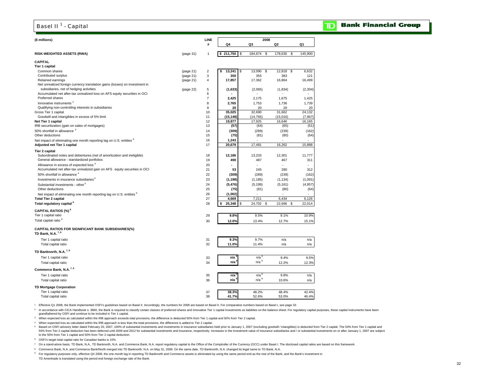## Basel II<sup>1</sup> - Capital

### **Bank Financial Group**

 $\mathbf{D}$ 

| (\$ millions)                                                                                                          |           | LINE<br>#      | Q4                 | 2008<br>Q3       | Q2            | Q1       |
|------------------------------------------------------------------------------------------------------------------------|-----------|----------------|--------------------|------------------|---------------|----------|
| RISK-WEIGHTED ASSETS (RWA)                                                                                             | (page 31) | 1              | \$211,750<br>\$    | 184,674<br>\$    | 178,635<br>\$ | 145,900  |
| <b>CAPITAL</b>                                                                                                         |           |                |                    |                  |               |          |
| Tier 1 capital                                                                                                         |           |                |                    |                  |               |          |
| Common shares                                                                                                          | (page 21) | $\mathbf 2$    | 13,241<br>\$<br>S  | 13,090<br>\$     | 12,818<br>\$  | 6,632    |
| Contributed surplus                                                                                                    | (page 21) | 3              | 350                | 355              | 383           | 121      |
| Retained earnings                                                                                                      | (page 21) | $\overline{4}$ | 17,857             | 17,362           | 16,864        | 16,499   |
| Net unrealized foreign currency translation gains (losses) on investment in<br>subsidiaries, net of hedging activities | (page 22) | 5              | (1,633)            | (2,065)          | (1,834)       | (2, 304) |
| Accumulated net after-tax unrealized loss on AFS equity securities in OCI                                              |           | 6              |                    |                  |               |          |
| Preferred shares                                                                                                       |           | $\overline{7}$ | 2,425              | 2,175            | 1,675         | 1,425    |
| Innovative instruments <sup>2</sup>                                                                                    |           | 8              | 2,765              | 1,753            | 1,736         | 1,739    |
| Qualifying non-controlling interests in subsidiaries                                                                   |           | 9              | 20                 | 20               | 20            | 20       |
| Gross Tier 1 capital                                                                                                   |           | 10             | 35,025             | 32,690           | 31,662        | 24,132   |
| Goodwill and intangibles in excess of 5% limit                                                                         |           | 11             | (15, 148)          | (14, 765)        | (15,016)      | (7, 967) |
| Net Tier 1 capital                                                                                                     |           | 12             | 19,877             | 17,925           | 16,646        | 16,165   |
| IRB securitization (gain on sales of mortgages)                                                                        |           | 13             | (57)               | (64)             | (65)          | (51)     |
| 50% shortfall in allowance 3                                                                                           |           | 14             | (309)              | (289)            | (239)         | (162)    |
| Other deductions                                                                                                       |           | 15             | (75)               | (81)             | (80)          | (64)     |
| Net impact of eliminating one month reporting lag on U.S. entities <sup>9</sup>                                        |           | 16             | 1,243              |                  |               |          |
| Adjusted net Tier 1 capital                                                                                            |           | 17             | 20,679             | 17,491           | 16,262        | 15,888   |
| Tier 2 capital                                                                                                         |           |                |                    |                  |               |          |
| Subordinated notes and debentures (net of amortization and ineligible)                                                 |           | 18             | 12,186             | 13,233           | 12,301        | 11,777   |
| General allowance - standardized portfolios                                                                            |           | 19             | 490                | 487              | 467           | 311      |
| Allowance in excess of expected loss <sup>4</sup>                                                                      |           | 20             |                    |                  |               |          |
| Accumulated net after-tax unrealized gain on AFS equity securities in OCI                                              |           | 21             | 53                 | 245              | 280           | 312      |
| 50% shortfall in allowance 3                                                                                           |           | 22             | (309)              | (289)            | (239)         | (162)    |
| Investments in insurance subsidiaries <sup>5</sup>                                                                     |           | 23             | (1, 198)           | (1, 185)         | (1, 134)      | (1,091)  |
| Substantial investments - other <sup>5</sup>                                                                           |           | 24             | (5, 476)           | (5, 199)         | (5, 161)      | (4,957)  |
| Other deductions                                                                                                       |           | 25             | (75)               | (81)             | (80)          | (64)     |
| Net impact of eliminating one month reporting lag on U.S. entities <sup>9</sup><br><b>Total Tier 2 capital</b>         |           | 26<br>27       | (1,002)<br>4,669   | ä,<br>7,211      | 6,434         | 6,126    |
| Total regulatory capital <sup>9</sup>                                                                                  |           | 28             | 25,348<br>\$<br>\$ | 24,702<br>- \$   | 22,696<br>\$  | 22,014   |
| CAPITAL RATIOS (%) <sup>9</sup>                                                                                        |           |                |                    |                  |               |          |
| Tier 1 capital ratio                                                                                                   |           | 29             | 9.8%               | 9.5%             | 9.1%          | 10.9%    |
| Total capital ratio <sup>6</sup>                                                                                       |           | 30             | 12.0%              | 13.4%            | 12.7%         | 15.1%    |
| <b>CAPITAL RATIOS FOR SIGNIFICANT BANK SUBSIDIARIES(%)</b><br>TD Bank, N.A. <sup>7,8</sup>                             |           |                |                    |                  |               |          |
|                                                                                                                        |           |                |                    | 9.7%             | n/a           | n/a      |
| Tier 1 capital ratio<br>Total capital ratio                                                                            |           | 31<br>32       | 9.3%<br>11.0%      | 11.4%            | n/a           | n/a      |
|                                                                                                                        |           |                |                    |                  |               |          |
| TD Banknorth, N.A. <sup>7,8</sup>                                                                                      |           |                |                    |                  |               |          |
| Tier 1 capital ratio                                                                                                   |           | 33             | n/a                | n/a <sup>8</sup> | 9.4%          | 9.5%     |
| Total capital ratio                                                                                                    |           | 34             | n/a                | n/a <sup>8</sup> | 12.2%         | 12.3%    |
| Commerce Bank, N.A. <sup>7,8</sup>                                                                                     |           |                |                    |                  |               |          |
| Tier 1 capital ratio                                                                                                   |           | 35             | n/a                | n/a <sup>8</sup> | 9.8%          | n/a      |
| Total capital ratio                                                                                                    |           | 36             | n/a                | n/a <sup>8</sup> | 10.6%         | n/a      |
| <b>TD Mortgage Corporation</b>                                                                                         |           |                |                    |                  |               |          |
| Tier 1 capital ratio                                                                                                   |           | 37             | 38.3%              | 48.2%            | 48.4%         | 42.4%    |
| Total capital ratio                                                                                                    |           | 38             | 41.7%              | 52.6%            | 53.0%         | 46.4%    |
|                                                                                                                        |           |                |                    |                  |               |          |

1 Effective Q1 2008, the Bank implemented OSFI's guidelines based on Basel II. Accordingly, the numbers for 2008 are based on Basel II. For comparative numbers based on Basel I, see page 33.

n accordance with CICA Handbook s. 3860, the Bank is required to classify certain classes of preferred shares and innovative Tier 1 capital investments as liabilities on the balance sheet. For regulatory capital purposes,

grandfathered by OSFI and continue to be included in Tier 1 capital.

3 When expected loss as calculated within the IRB approach exceeds total provisions, the difference is deducted 50% from Tier 1 capital and 50% from Tier 2 capital.

4 When expected loss as calculated within the IRB approach is less than the total provisions, the difference is added to Tier 2 capital.

Based on OSFI advisory letter dated February 20, 2007, 100% of substantial investments and investments in insurance subsidiaries held prior to January 1, 2007 (excluding goodwill / intangibles) is deducted from Tier 2 capi to the 50% from Tier 1 capital and 50% from Tier 2 capital deduction.

6 OSFI's target total capital ratio for Canadian banks is 10%.

7 On a stand-alone basis, TD Bank, N.A., TD Banknorth, N.A. and Commerce Bank, N.A. report regulatory capital to the Office of the Comptroller of the Currency (OCC) under Basel I. The disclosed capital ratios are based on

8 Commerce Bank, N.A. and Commerce Bank/North merged into TD Banknorth, N.A. on May 31, 2008. On the same date, TD Banknorth, N.A. changed its legal name to TD Bank, N.A.

<sup>9</sup> For regulatory purposes only, effective Q4 2008, the one month lag in reporting TD Banknorth and Commerce assets is eliminated by using the same period end as the rest of the Bank, and the Bank's investment in TD Ameritrade is translated using the period end foreign exchange rate of the Bank.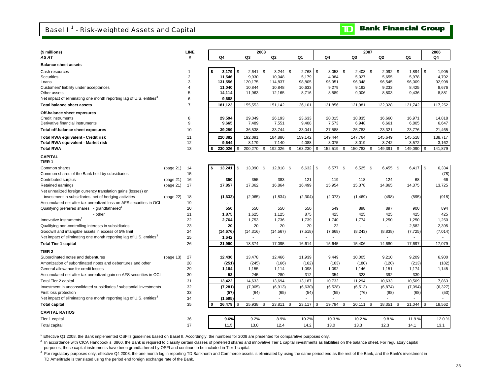**D** Bank Financial Group

| (\$ millions)                                                                   |           | <b>LINE</b>    |    |                  |    | 2008             |    |                  |                  |            |                  | 2007             |    |                          |    |                  |             | 2006             |  |
|---------------------------------------------------------------------------------|-----------|----------------|----|------------------|----|------------------|----|------------------|------------------|------------|------------------|------------------|----|--------------------------|----|------------------|-------------|------------------|--|
| AS AT                                                                           |           | #              |    | Q4               |    | Q3               |    | Q <sub>2</sub>   | Q1               |            | Q4               | Q3               |    | Q <sub>2</sub>           |    | Q1               |             | Q4               |  |
| <b>Balance sheet assets</b>                                                     |           |                |    |                  |    |                  |    |                  |                  |            |                  |                  |    |                          |    |                  |             |                  |  |
| Cash resources                                                                  |           |                | \$ | 3.179            | \$ | $2,641$ \$       |    | $3,244$ \$       | 2,768            | $\sqrt{3}$ | $3,053$ \$       | 2.408            | \$ | $2,092$ \$               |    | 1,894            | \$          | 1,905            |  |
| Securities                                                                      |           | $\overline{2}$ |    | 11,546           |    | 9,930            |    | 10,048           | 5,179            |            | 4,984            | 5,027            |    | 5,655                    |    | 5,978            |             | 4,792            |  |
| Loans                                                                           |           | 3              |    | 131,556          |    | 120,175          |    | 114,837          | 98,805           |            | 95,951           | 96,348           |    | 96,545                   |    | 96,009           |             | 92,998           |  |
| Customers' liability under acceptances                                          |           | $\overline{4}$ |    | 11,040           |    | 10,844           |    | 10,848           | 10,633           |            | 9,279            | 9,192            |    | 9,233                    |    | 8,425            |             | 8,676            |  |
| Other assets                                                                    |           | 5<br>6         |    | 14,114           |    | 11,963           |    | 12,165           | 8,716            |            | 8,589            | 9,006            |    | 8,803                    |    | 9,436            |             | 8,881            |  |
| Net impact of eliminating one month reporting lag of U.S. entities <sup>3</sup> |           | $\overline{7}$ |    | 9,688            |    | $\blacksquare$   |    | $\blacksquare$   |                  |            | $\sim$           | $\blacksquare$   |    | $\blacksquare$           |    |                  |             | $\sim$           |  |
| <b>Total balance sheet assets</b>                                               |           |                |    | 181,123          |    | 155,553          |    | 151,142          | 126,101          |            | 121,856          | 121,981          |    | 122,328                  |    | 121,742          |             | 117,252          |  |
| Off-balance sheet exposures                                                     |           | 8              |    | 29,594           |    |                  |    |                  |                  |            |                  | 18,835           |    |                          |    | 16,971           |             | 14,818           |  |
| <b>Credit instruments</b><br>Derivative financial instruments                   |           | 9              |    | 9,665            |    | 29,049<br>7,489  |    | 26,193<br>7,551  | 23,633<br>9,408  |            | 20,015<br>7,573  | 6,948            |    | 16,660<br>6,661          |    | 6,805            |             | 6,647            |  |
| Total off-balance sheet exposures                                               |           | 10             |    | 39,259           |    | 36,538           |    | 33,744           | 33,041           |            | 27,588           | 25,783           |    | 23,321                   |    | 23,776           |             | 21,465           |  |
|                                                                                 |           |                |    |                  |    |                  |    |                  |                  |            |                  |                  |    |                          |    |                  |             |                  |  |
| <b>Total RWA equivalent - Credit risk</b><br>Total RWA equivalent - Market risk |           | 11<br>12       |    | 220,382<br>9,644 |    | 192,091<br>8,179 |    | 184,886<br>7,140 | 159,142<br>4,088 |            | 149,444<br>3,075 | 147,764<br>3,019 |    | 145,649<br>3,742         |    | 145,518<br>3,572 |             | 138,717<br>3,162 |  |
| <b>Total RWA</b>                                                                |           | 13             | \$ | 230,026          | \$ | 200,270          | \$ | 192,026          | \$<br>163,230    | <b>S</b>   | 152,519          | \$<br>150,783    | \$ | 149,391                  | \$ | 149,090          | \$          | 141,879          |  |
| <b>CAPITAL</b>                                                                  |           |                |    |                  |    |                  |    |                  |                  |            |                  |                  |    |                          |    |                  |             |                  |  |
| TIER <sub>1</sub>                                                               |           |                |    |                  |    |                  |    |                  |                  |            |                  |                  |    |                          |    |                  |             |                  |  |
| Common shares                                                                   | (page 21) | 14             | \$ | 13,241           | \$ | 13,090           | \$ | 12,818           | \$<br>6,632      | \$         | 6,577            | \$<br>6,525      | \$ | 6,455                    | \$ | 6,417            | $\mathbb S$ | 6,334            |  |
| Common shares of the Bank held by subsidiaries                                  |           | 15             |    |                  |    |                  |    |                  |                  |            |                  |                  |    |                          |    |                  |             | (78)             |  |
| Contributed surplus                                                             | (page 21) | 16             |    | 350              |    | 355              |    | 383              | 121              |            | 119              | 118              |    | 124                      |    | 68               |             | 66               |  |
| Retained earnings                                                               | (page 21) | 17             |    | 17,857           |    | 17,362           |    | 16,864           | 16,499           |            | 15,954           | 15,378           |    | 14,865                   |    | 14,375           |             | 13,725           |  |
| Net unrealized foreign currency translation gains (losses) on                   |           |                |    |                  |    |                  |    |                  |                  |            |                  |                  |    |                          |    |                  |             |                  |  |
| investment in subsidiaries, net of hedging activities                           | (page 22) | 18             |    | (1,633)          |    | (2,065)          |    | (1,834)          | (2, 304)         |            | (2,073)          | (1, 469)         |    | (498)                    |    | (595)            |             | (918)            |  |
| Accumulated net after tax unrealized loss on AFS securities in OCI              |           | 19             |    |                  |    |                  |    |                  |                  |            |                  |                  |    | $\mathbf{r}$             |    |                  |             |                  |  |
| Qualifying preferred shares - grandfathered                                     |           | 20             |    | 550              |    | 550              |    | 550              | 550              |            | 549              | 898              |    | 897                      |    | 900              |             | 894              |  |
| - other                                                                         |           | 21             |    | 1,875            |    | 1,625            |    | 1,125            | 875              |            | 425              | 425              |    | 425                      |    | 425              |             | 425              |  |
| Innovative instruments <sup>2</sup>                                             |           | 22             |    | 2,764            |    | 1,753            |    | 1,736            | 1,739            |            | 1,740            | 1,774            |    | 1,250                    |    | 1,250            |             | 1,250            |  |
| Qualifying non-controlling interests in subsidiaries                            |           | 23             |    | 20               |    | 20               |    | 20               | 20               |            | 22               | $\blacksquare$   |    | $\overline{\phantom{a}}$ |    | 2,582            |             | 2,395            |  |
| Goodwill and intangible assets in excess of 5% limit                            |           | 24             |    | (14, 676)        |    | (14, 316)        |    | (14, 567)        | (7, 518)         |            | (7,668)          | (8, 243)         |    | (8,838)                  |    | (7, 725)         |             | (7,014)          |  |
| Net impact of eliminating one month reporting lag of U.S. entities <sup>3</sup> |           | 25             |    | 1,642            |    |                  |    |                  |                  |            |                  |                  |    | $\overline{a}$           |    |                  |             | $\sim$           |  |
| <b>Total Tier 1 capital</b>                                                     |           | 26             |    | 21,990           |    | 18,374           |    | 17,095           | 16,614           |            | 15,645           | 15,406           |    | 14,680                   |    | 17,697           |             | 17,079           |  |
| TIER <sub>2</sub>                                                               |           |                |    |                  |    |                  |    |                  |                  |            |                  |                  |    |                          |    |                  |             |                  |  |
| Subordinated notes and debentures                                               | (page 13) | 27             |    | 12,436           |    | 13,478           |    | 12,466           | 11,939           |            | 9,449            | 10,005           |    | 9,210                    |    | 9,209            |             | 6,900            |  |
| Amortization of subordinated notes and debentures and other                     |           | 28             |    | (251)            |    | (245)            |    | (166)            | (162)            |            | (163)            | (180)            |    | (120)                    |    | (213)            |             | (182)            |  |
| General allowance for credit losses                                             |           | 29             |    | 1,184            |    | 1,155            |    | 1,114            | 1,098            |            | 1,092            | 1,146            |    | 1,151                    |    | 1,174            |             | 1,145            |  |
| Accumulated net after tax unrealized gain on AFS securities in OCI              |           | 30             |    | 53               |    | 245              |    | 280              | 312              |            | 354              | 323              |    | 392                      |    | 339              |             | $\sim$           |  |
| Total Tier 2 capital                                                            |           | 31             |    | 13,422           |    | 14,633           |    | 13,694           | 13,187           |            | 10,732           | 11,294           |    | 10,633                   |    | 10,509           |             | 7,863            |  |
| Investment in unconsolidated subsidiaries / substantial investments             |           | 32             |    | (7, 281)         |    | (7,005)          |    | (6, 913)         | (6,630)          |            | (6, 528)         | (6, 513)         |    | (6, 874)                 |    | (7,094)          |             | (6, 327)         |  |
| First loss protection                                                           |           | 33             |    | (57)             |    | (64)             |    | (65)             | (54)             |            | (55)             | (76)             |    | (88)                     |    | (68)             |             | (53)             |  |
| Net impact of eliminating one month reporting lag of U.S. entities <sup>3</sup> |           | 34             |    | (1, 595)         |    |                  |    |                  |                  |            |                  | ÷                |    | ÷,                       |    |                  |             | $\sim$           |  |
| <b>Total capital</b>                                                            |           | 35             | \$ | 26,479           | \$ | 25,938           | \$ | 23,811           | \$<br>23,117     | - \$       | 19,794           | \$<br>20,111     | \$ | 18,351                   | \$ | 21,044           | \$          | 18,562           |  |
| <b>CAPITAL RATIOS</b>                                                           |           |                |    |                  |    |                  |    |                  |                  |            |                  |                  |    |                          |    |                  |             |                  |  |
| Tier 1 capital                                                                  |           | 36             |    | 9.6%             |    | 9.2%             |    | 8.9%             | 10.2%            |            | 10.3%            | 10.2%            |    | 9.8%                     |    | 11.9%            |             | 12.0%            |  |
| <b>Total capital</b>                                                            |           | 37             |    | 11.5             |    | 13.0             |    | 12.4             | 14.2             |            | 13.0             | 13.3             |    | 12.3                     |    | 14.1             |             | 13.1             |  |

1 Effective Q1 2008, the Bank implemented OSFI's guidelines based on Basel II. Accordingly, the numbers for 2008 are presented for comparative purposes only.

<sup>2</sup> In accordance with CICA Handbook s. 3860, the Bank is required to classify certain classes of preferred shares and innovative Tier 1 capital investments as liabilities on the balance sheet. For regulatory capital

purposes, these capital instruments have been grandfathered by OSFI and continue to be included in Tier 1 capital.<br><sup>3</sup> For regulatory purposes only, effective Q4 2008, the one month lag in reporting TD Banknorth and Commer TD Ameritrade is translated using the period end foreign exchange rate of the Bank.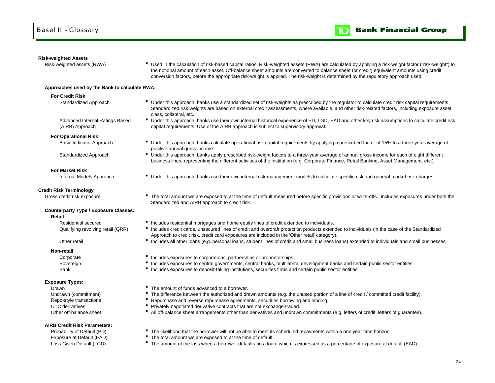

### **Risk-weighted Assets**

Risk-weighted assets (RWA) **Fig. 200 and Fig. 1** Used in the calculation of risk-based capital ratios. Risk-weighted assets (RWA) are calculated by applying a risk-weight factor ("risk-weight") to the notional amount of each asset. Off-balance sheet amounts are converted to balance sheet (or credit) equivalent amounts using credit conversion factors, before the appropriate risk-weight is applied. The risk-weight is determined by the regulatory approach used.

Standardized risk-weights are based on external credit assessments, where available, and other risk-related factors, including exposure asset

Under this approach, banks use their own internal historical experience of PD, LGD, EAD and other key risk assumptions to calculate credit risk

business lines, representing the different activities of the institution (e.g. Corporate Finance, Retail Banking, Asset Management, etc.).

### **Approaches used by the Bank to calculate RWA:**

### **For Credit Risk**

Standardized Approach **IDCO CONFICED STANDER THE Under this approach, banks use a standardized set of risk-weights as prescribed by the regulator to calculate credit risk capital requirements.** 

Advanced Internal Ratings Based (AIRB) Approach

### **For Operational Risk**

Basic Indicator Approach **E** Under this approach, banks calculate operational risk capital requirements by applying a prescribed factor of 15% to a three-year average of

Standardized Approach **IDC** Under this approach, banks apply prescribed risk-weight factors to a three-year average of annual gross income for each of eight different

### **For Market Risk**

Internal Models Approach **Internal Tell Conder this approach, banks use their own internal risk management models to calculate specific risk and general market risk charges.** 

### **Credit Risk Terminology**

Gross credit risk exposure **The total amount we are exposed to at the time of default measured before specific provisions or write-offs. Includes exposures under both the** 

### **Counterparty Type / Exposure Classes:**

**Retail**

Residential secured

### Other retail

**Non-retail**

Bank

### **Exposure Types:**

DrawnOTC derivativesOther off-balance sheet

### **AIRB Credit Risk Parameters:**

**Includes residential mortgages and home equity lines of credit extended to individuals.** 

capital requirements. Use of the AIRB approach is subject to supervisory approval.

- Qualifying revolving retail (QRR) <sup>"</sup> Includes credit cards, unsecured lines of credit and overdraft protection products extended to individuals (in the case of the Standardized Approach to credit risk, credit card exposures are included in the 'Other retail' category).
	- Includes all other loans (e.g. personal loans, student lines of credit and small business loans) extended to individuals and small businesses.
- Corporate **Includes exposures to corporations, partnerships or proprietorships.**
- Sovereign **Includes exposures to central governments**, central banks, multilateral development banks and certain public sector entities.
	- **Includes exposures to deposit-taking institutions, securities firms and certain public sector entities.**
	- The amount of funds advanced to a borrower.

Standardized and AIRB approach to credit risk.

class, collateral, etc.

positive annual gross income.

- Undrawn (commitment) **F** The difference between the authorized and drawn amounts (e.g. the unused portion of a line of credit / committed credit facility).
- Repo-style transactions **F** Repurchase and reverse repurchase agreements, securities borrowing and lending.
	- **Privately negotiated derivative contracts that are not exchange-traded.**
	- All off-balance sheet arrangements other than derivatives and undrawn commitments (e.g. letters of credit, letters of guarantee).
- Probability of Default (PD) **The likelihood that the borrower will not be able to meet its scheduled repayments within a one year time horizon**
- Exposure at Default (EAD) **The total amount we are exposed to at the time of default.**
- Loss Given Default (LGD) **The amount of the loss when a borrower defaults on a loan**, which is expressed as a percentage of exposure at default (EAD)